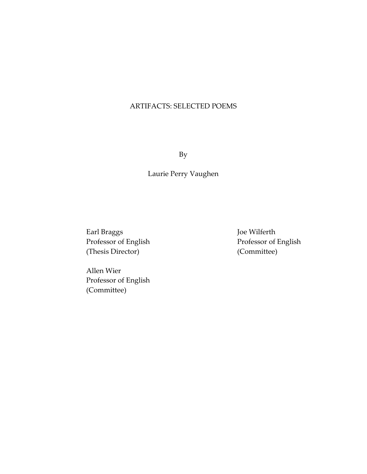## ARTIFACTS: SELECTED POEMS

By

Laurie Perry Vaughen

Earl Braggs Professor of English (Thesis Director)

Joe Wilferth Professor of English (Committee)

Allen Wier Professor of English (Committee)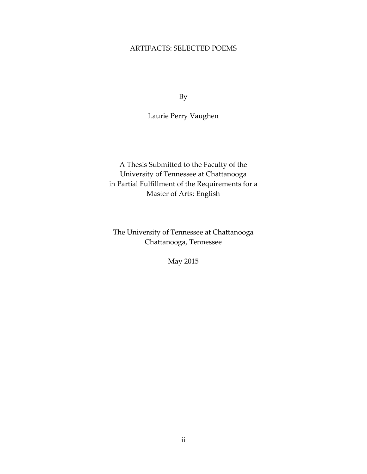### ARTIFACTS: SELECTED POEMS

By

Laurie Perry Vaughen

A Thesis Submitted to the Faculty of the University of Tennessee at Chattanooga in Partial Fulfillment of the Requirements for a Master of Arts: English

The University of Tennessee at Chattanooga Chattanooga, Tennessee

May 2015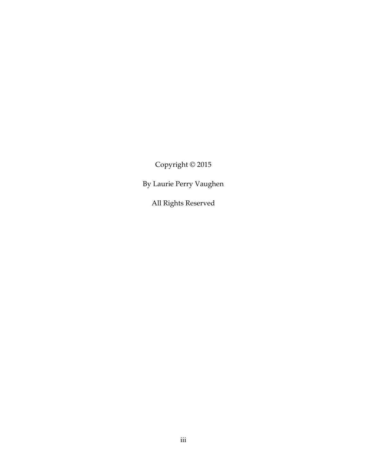Copyright © 2015

By Laurie Perry Vaughen

All Rights Reserved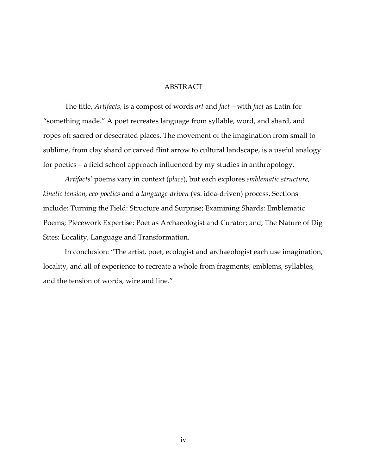#### ABSTRACT

The title, Artifacts, is a compost of words art and fact—with fact as Latin for "something made." A poet recreates language from syllable, word, and shard, and ropes off sacred or desecrated places. The movement of the imagination from small to sublime, from clay shard or carved flint arrow to cultural landscape, is a useful analogy for poetics – a field school approach influenced by my studies in anthropology.

Artifacts' poems vary in context (place), but each explores emblematic structure, kinetic tension, eco-poetics and a language-driven (vs. idea-driven) process. Sections include: Turning the Field: Structure and Surprise; Examining Shards: Emblematic Poems; Piecework Expertise: Poet as Archaeologist and Curator; and, The Nature of Dig Sites: Locality, Language and Transformation.

In conclusion: "The artist, poet, ecologist and archaeologist each use imagination, locality, and all of experience to recreate a whole from fragments, emblems, syllables, and the tension of words, wire and line."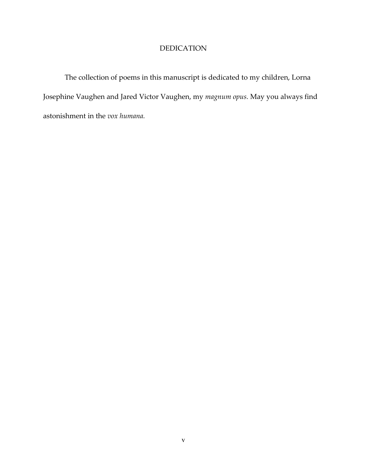### DEDICATION

 The collection of poems in this manuscript is dedicated to my children, Lorna Josephine Vaughen and Jared Victor Vaughen, my magnum opus. May you always find astonishment in the vox humana.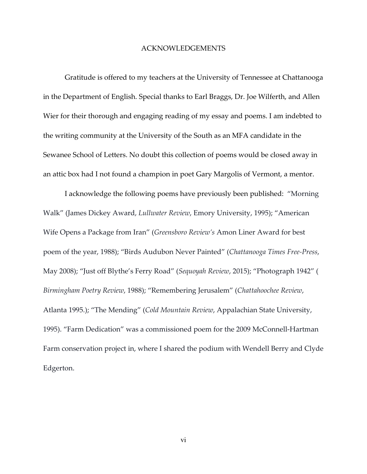#### ACKNOWLEDGEMENTS

 Gratitude is offered to my teachers at the University of Tennessee at Chattanooga in the Department of English. Special thanks to Earl Braggs, Dr. Joe Wilferth, and Allen Wier for their thorough and engaging reading of my essay and poems. I am indebted to the writing community at the University of the South as an MFA candidate in the Sewanee School of Letters. No doubt this collection of poems would be closed away in an attic box had I not found a champion in poet Gary Margolis of Vermont, a mentor.

I acknowledge the following poems have previously been published: "Morning Walk" (James Dickey Award, Lullwater Review, Emory University, 1995); "American Wife Opens a Package from Iran" (Greensboro Review's Amon Liner Award for best poem of the year, 1988); "Birds Audubon Never Painted" (Chattanooga Times Free-Press, May 2008); "Just off Blythe's Ferry Road" (Sequoyah Review, 2015); "Photograph 1942" ( Birmingham Poetry Review, 1988); "Remembering Jerusalem" (Chattahoochee Review, Atlanta 1995.); "The Mending" (Cold Mountain Review, Appalachian State University, 1995). "Farm Dedication" was a commissioned poem for the 2009 McConnell-Hartman Farm conservation project in, where I shared the podium with Wendell Berry and Clyde Edgerton.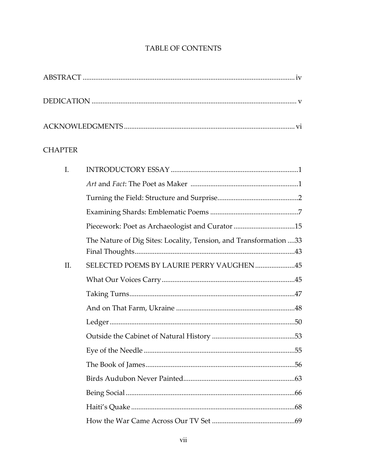# TABLE OF CONTENTS

## **CHAPTER**

| $I_{\cdot}$ |                                                                   |  |
|-------------|-------------------------------------------------------------------|--|
|             |                                                                   |  |
|             |                                                                   |  |
|             |                                                                   |  |
|             |                                                                   |  |
|             | The Nature of Dig Sites: Locality, Tension, and Transformation 33 |  |
| II.         | SELECTED POEMS BY LAURIE PERRY VAUGHEN45                          |  |
|             |                                                                   |  |
|             |                                                                   |  |
|             |                                                                   |  |
|             |                                                                   |  |
|             |                                                                   |  |
|             |                                                                   |  |
|             |                                                                   |  |
|             |                                                                   |  |
|             |                                                                   |  |
|             |                                                                   |  |
|             |                                                                   |  |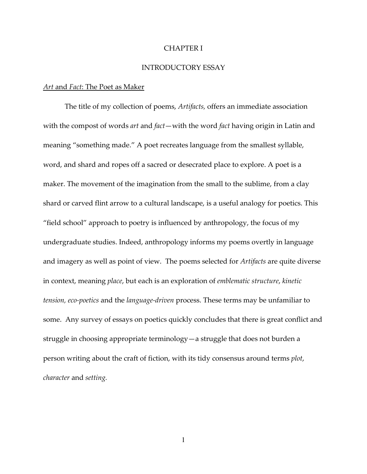#### CHAPTER I

#### INTRODUCTORY ESSAY

#### Art and Fact: The Poet as Maker

The title of my collection of poems, Artifacts, offers an immediate association with the compost of words *art* and *fact*—with the word *fact* having origin in Latin and meaning "something made." A poet recreates language from the smallest syllable, word, and shard and ropes off a sacred or desecrated place to explore. A poet is a maker. The movement of the imagination from the small to the sublime, from a clay shard or carved flint arrow to a cultural landscape, is a useful analogy for poetics. This "field school" approach to poetry is influenced by anthropology, the focus of my undergraduate studies. Indeed, anthropology informs my poems overtly in language and imagery as well as point of view. The poems selected for Artifacts are quite diverse in context, meaning place, but each is an exploration of emblematic structure, kinetic tension, eco-poetics and the language-driven process. These terms may be unfamiliar to some. Any survey of essays on poetics quickly concludes that there is great conflict and struggle in choosing appropriate terminology—a struggle that does not burden a person writing about the craft of fiction, with its tidy consensus around terms plot, character and setting.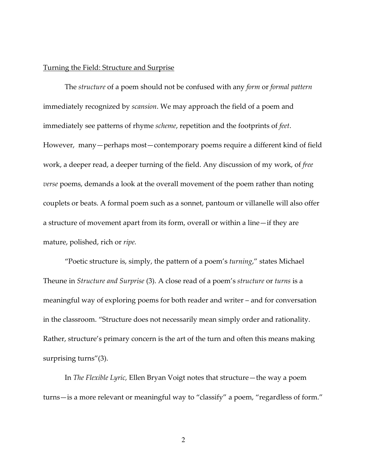#### Turning the Field: Structure and Surprise

The structure of a poem should not be confused with any form or formal pattern immediately recognized by scansion. We may approach the field of a poem and immediately see patterns of rhyme scheme, repetition and the footprints of feet. However, many—perhaps most—contemporary poems require a different kind of field work, a deeper read, a deeper turning of the field. Any discussion of my work, of free verse poems, demands a look at the overall movement of the poem rather than noting couplets or beats. A formal poem such as a sonnet, pantoum or villanelle will also offer a structure of movement apart from its form, overall or within a line—if they are mature, polished, rich or ripe.

"Poetic structure is, simply, the pattern of a poem's *turning*," states Michael Theune in Structure and Surprise (3). A close read of a poem's structure or turns is a meaningful way of exploring poems for both reader and writer – and for conversation in the classroom. "Structure does not necessarily mean simply order and rationality. Rather, structure's primary concern is the art of the turn and often this means making surprising turns"(3).

In The Flexible Lyric, Ellen Bryan Voigt notes that structure—the way a poem turns—is a more relevant or meaningful way to "classify" a poem, "regardless of form."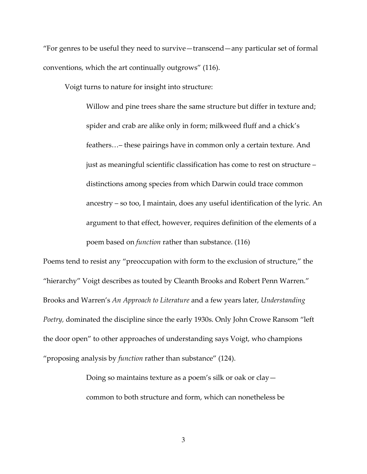"For genres to be useful they need to survive—transcend—any particular set of formal conventions, which the art continually outgrows" (116).

Voigt turns to nature for insight into structure:

Willow and pine trees share the same structure but differ in texture and; spider and crab are alike only in form; milkweed fluff and a chick's feathers…– these pairings have in common only a certain texture. And just as meaningful scientific classification has come to rest on structure – distinctions among species from which Darwin could trace common ancestry – so too, I maintain, does any useful identification of the lyric. An argument to that effect, however, requires definition of the elements of a poem based on function rather than substance. (116)

Poems tend to resist any "preoccupation with form to the exclusion of structure," the "hierarchy" Voigt describes as touted by Cleanth Brooks and Robert Penn Warren." Brooks and Warren's An Approach to Literature and a few years later, Understanding Poetry, dominated the discipline since the early 1930s. Only John Crowe Ransom "left the door open" to other approaches of understanding says Voigt, who champions "proposing analysis by function rather than substance" (124).

> Doing so maintains texture as a poem's silk or oak or clay common to both structure and form, which can nonetheless be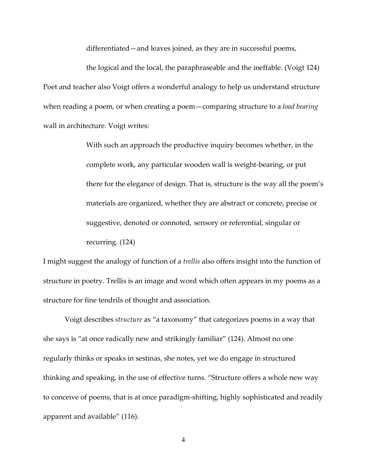differentiated—and leaves joined, as they are in successful poems,

 the logical and the local, the paraphraseable and the ineffable. (Voigt 124) Poet and teacher also Voigt offers a wonderful analogy to help us understand structure when reading a poem, or when creating a poem—comparing structure to a *load bearing* wall in architecture. Voigt writes:

> With such an approach the productive inquiry becomes whether, in the complete work, any particular wooden wall is weight-bearing, or put there for the elegance of design. That is, structure is the way all the poem's materials are organized, whether they are abstract or concrete, precise or suggestive, denoted or connoted, sensory or referential, singular or recurring. (124)

I might suggest the analogy of function of a trellis also offers insight into the function of structure in poetry. Trellis is an image and word which often appears in my poems as a structure for fine tendrils of thought and association.

Voigt describes structure as "a taxonomy" that categorizes poems in a way that she says is "at once radically new and strikingly familiar" (124). Almost no one regularly thinks or speaks in sestinas, she notes, yet we do engage in structured thinking and speaking, in the use of effective turns. "Structure offers a whole new way to conceive of poems, that is at once paradigm-shifting, highly sophisticated and readily apparent and available" (116).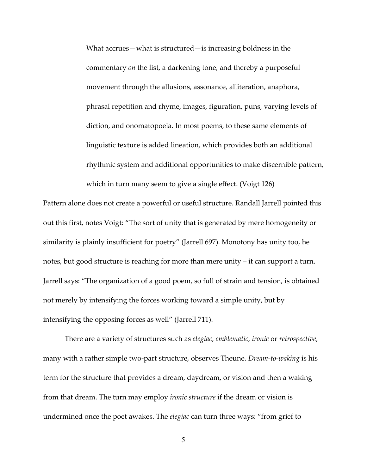What accrues—what is structured—is increasing boldness in the commentary on the list, a darkening tone, and thereby a purposeful movement through the allusions, assonance, alliteration, anaphora, phrasal repetition and rhyme, images, figuration, puns, varying levels of diction, and onomatopoeia. In most poems, to these same elements of linguistic texture is added lineation, which provides both an additional rhythmic system and additional opportunities to make discernible pattern, which in turn many seem to give a single effect. (Voigt 126)

Pattern alone does not create a powerful or useful structure. Randall Jarrell pointed this out this first, notes Voigt: "The sort of unity that is generated by mere homogeneity or similarity is plainly insufficient for poetry" (Jarrell 697). Monotony has unity too, he notes, but good structure is reaching for more than mere unity – it can support a turn. Jarrell says: "The organization of a good poem, so full of strain and tension, is obtained not merely by intensifying the forces working toward a simple unity, but by intensifying the opposing forces as well" (Jarrell 711).

There are a variety of structures such as elegiac, emblematic, ironic or retrospective, many with a rather simple two-part structure, observes Theune. *Dream-to-waking* is his term for the structure that provides a dream, daydream, or vision and then a waking from that dream. The turn may employ ironic structure if the dream or vision is undermined once the poet awakes. The elegiac can turn three ways: "from grief to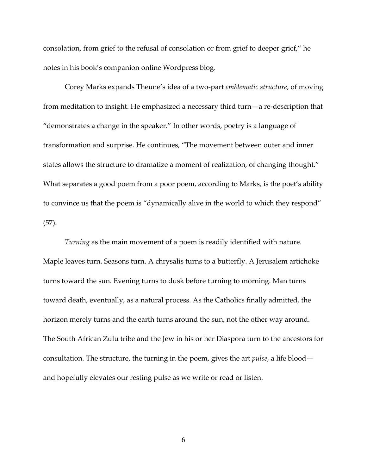consolation, from grief to the refusal of consolation or from grief to deeper grief," he notes in his book's companion online Wordpress blog.

Corey Marks expands Theune's idea of a two-part emblematic structure, of moving from meditation to insight. He emphasized a necessary third turn—a re-description that "demonstrates a change in the speaker." In other words, poetry is a language of transformation and surprise. He continues, "The movement between outer and inner states allows the structure to dramatize a moment of realization, of changing thought." What separates a good poem from a poor poem, according to Marks, is the poet's ability to convince us that the poem is "dynamically alive in the world to which they respond" (57).

Turning as the main movement of a poem is readily identified with nature. Maple leaves turn. Seasons turn. A chrysalis turns to a butterfly. A Jerusalem artichoke turns toward the sun. Evening turns to dusk before turning to morning. Man turns toward death, eventually, as a natural process. As the Catholics finally admitted, the horizon merely turns and the earth turns around the sun, not the other way around. The South African Zulu tribe and the Jew in his or her Diaspora turn to the ancestors for consultation. The structure, the turning in the poem, gives the art *pulse*, a life blood  $$ and hopefully elevates our resting pulse as we write or read or listen.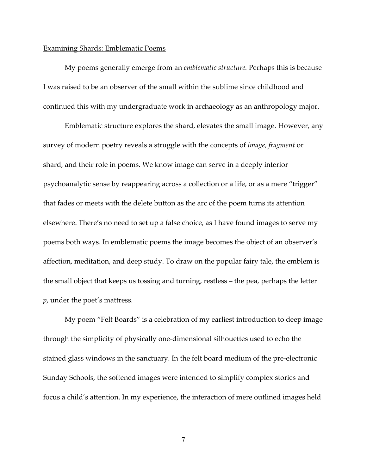#### Examining Shards: Emblematic Poems

My poems generally emerge from an *emblematic structure*. Perhaps this is because I was raised to be an observer of the small within the sublime since childhood and continued this with my undergraduate work in archaeology as an anthropology major.

Emblematic structure explores the shard, elevates the small image. However, any survey of modern poetry reveals a struggle with the concepts of image, fragment or shard, and their role in poems. We know image can serve in a deeply interior psychoanalytic sense by reappearing across a collection or a life, or as a mere "trigger" that fades or meets with the delete button as the arc of the poem turns its attention elsewhere. There's no need to set up a false choice, as I have found images to serve my poems both ways. In emblematic poems the image becomes the object of an observer's affection, meditation, and deep study. To draw on the popular fairy tale, the emblem is the small object that keeps us tossing and turning, restless – the pea, perhaps the letter p, under the poet's mattress.

My poem "Felt Boards" is a celebration of my earliest introduction to deep image through the simplicity of physically one-dimensional silhouettes used to echo the stained glass windows in the sanctuary. In the felt board medium of the pre-electronic Sunday Schools, the softened images were intended to simplify complex stories and focus a child's attention. In my experience, the interaction of mere outlined images held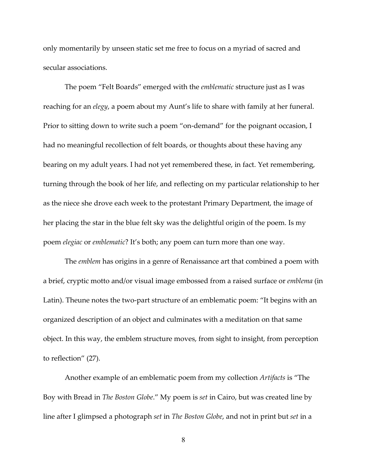only momentarily by unseen static set me free to focus on a myriad of sacred and secular associations.

The poem "Felt Boards" emerged with the emblematic structure just as I was reaching for an elegy, a poem about my Aunt's life to share with family at her funeral. Prior to sitting down to write such a poem "on-demand" for the poignant occasion, I had no meaningful recollection of felt boards, or thoughts about these having any bearing on my adult years. I had not yet remembered these, in fact. Yet remembering, turning through the book of her life, and reflecting on my particular relationship to her as the niece she drove each week to the protestant Primary Department, the image of her placing the star in the blue felt sky was the delightful origin of the poem. Is my poem elegiac or emblematic? It's both; any poem can turn more than one way.

The *emblem* has origins in a genre of Renaissance art that combined a poem with a brief, cryptic motto and/or visual image embossed from a raised surface or emblema (in Latin). Theune notes the two-part structure of an emblematic poem: "It begins with an organized description of an object and culminates with a meditation on that same object. In this way, the emblem structure moves, from sight to insight, from perception to reflection" (27).

 Another example of an emblematic poem from my collection Artifacts is "The Boy with Bread in The Boston Globe." My poem is set in Cairo, but was created line by line after I glimpsed a photograph set in The Boston Globe, and not in print but set in a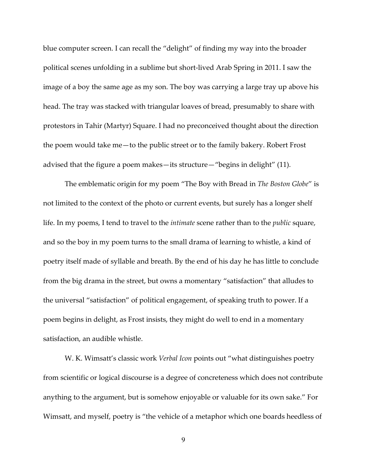blue computer screen. I can recall the "delight" of finding my way into the broader political scenes unfolding in a sublime but short-lived Arab Spring in 2011. I saw the image of a boy the same age as my son. The boy was carrying a large tray up above his head. The tray was stacked with triangular loaves of bread, presumably to share with protestors in Tahir (Martyr) Square. I had no preconceived thought about the direction the poem would take me—to the public street or to the family bakery. Robert Frost advised that the figure a poem makes—its structure—"begins in delight" (11).

The emblematic origin for my poem "The Boy with Bread in The Boston Globe" is not limited to the context of the photo or current events, but surely has a longer shelf life. In my poems, I tend to travel to the intimate scene rather than to the public square, and so the boy in my poem turns to the small drama of learning to whistle, a kind of poetry itself made of syllable and breath. By the end of his day he has little to conclude from the big drama in the street, but owns a momentary "satisfaction" that alludes to the universal "satisfaction" of political engagement, of speaking truth to power. If a poem begins in delight, as Frost insists, they might do well to end in a momentary satisfaction, an audible whistle.

 W. K. Wimsatt's classic work Verbal Icon points out "what distinguishes poetry from scientific or logical discourse is a degree of concreteness which does not contribute anything to the argument, but is somehow enjoyable or valuable for its own sake." For Wimsatt, and myself, poetry is "the vehicle of a metaphor which one boards heedless of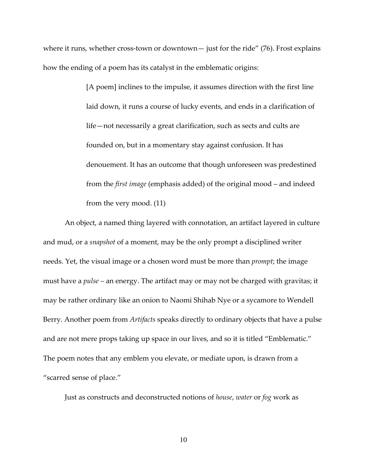where it runs, whether cross-town or downtown— just for the ride" (76). Frost explains how the ending of a poem has its catalyst in the emblematic origins:

> [A poem] inclines to the impulse, it assumes direction with the first line laid down, it runs a course of lucky events, and ends in a clarification of life—not necessarily a great clarification, such as sects and cults are founded on, but in a momentary stay against confusion. It has denouement. It has an outcome that though unforeseen was predestined from the first image (emphasis added) of the original mood – and indeed from the very mood. (11)

An object, a named thing layered with connotation, an artifact layered in culture and mud, or a snapshot of a moment, may be the only prompt a disciplined writer needs. Yet, the visual image or a chosen word must be more than *prompt*; the image must have a *pulse* – an energy. The artifact may or may not be charged with gravitas; it may be rather ordinary like an onion to Naomi Shihab Nye or a sycamore to Wendell Berry. Another poem from *Artifacts* speaks directly to ordinary objects that have a pulse and are not mere props taking up space in our lives, and so it is titled "Emblematic." The poem notes that any emblem you elevate, or mediate upon, is drawn from a "scarred sense of place."

Just as constructs and deconstructed notions of house, water or fog work as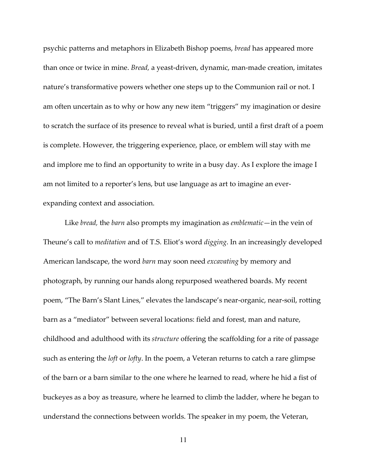psychic patterns and metaphors in Elizabeth Bishop poems, bread has appeared more than once or twice in mine. Bread, a yeast-driven, dynamic, man-made creation, imitates nature's transformative powers whether one steps up to the Communion rail or not. I am often uncertain as to why or how any new item "triggers" my imagination or desire to scratch the surface of its presence to reveal what is buried, until a first draft of a poem is complete. However, the triggering experience, place, or emblem will stay with me and implore me to find an opportunity to write in a busy day. As I explore the image I am not limited to a reporter's lens, but use language as art to imagine an everexpanding context and association.

Like *bread*, the *barn* also prompts my imagination as *emblematic*—in the vein of Theune's call to *meditation* and of T.S. Eliot's word *digging*. In an increasingly developed American landscape, the word barn may soon need excavating by memory and photograph, by running our hands along repurposed weathered boards. My recent poem, "The Barn's Slant Lines," elevates the landscape's near-organic, near-soil, rotting barn as a "mediator" between several locations: field and forest, man and nature, childhood and adulthood with its structure offering the scaffolding for a rite of passage such as entering the *loft* or *lofty*. In the poem, a Veteran returns to catch a rare glimpse of the barn or a barn similar to the one where he learned to read, where he hid a fist of buckeyes as a boy as treasure, where he learned to climb the ladder, where he began to understand the connections between worlds. The speaker in my poem, the Veteran,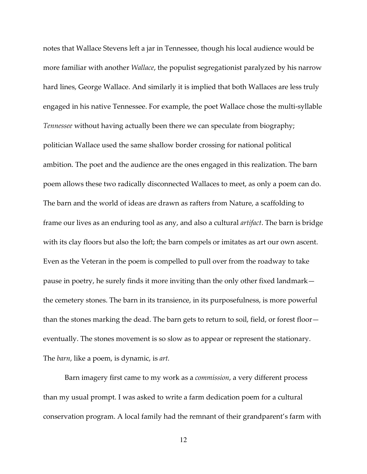notes that Wallace Stevens left a jar in Tennessee, though his local audience would be more familiar with another *Wallace*, the populist segregationist paralyzed by his narrow hard lines, George Wallace. And similarly it is implied that both Wallaces are less truly engaged in his native Tennessee. For example, the poet Wallace chose the multi-syllable Tennessee without having actually been there we can speculate from biography; politician Wallace used the same shallow border crossing for national political ambition. The poet and the audience are the ones engaged in this realization. The barn poem allows these two radically disconnected Wallaces to meet, as only a poem can do. The barn and the world of ideas are drawn as rafters from Nature, a scaffolding to frame our lives as an enduring tool as any, and also a cultural artifact. The barn is bridge with its clay floors but also the loft; the barn compels or imitates as art our own ascent. Even as the Veteran in the poem is compelled to pull over from the roadway to take pause in poetry, he surely finds it more inviting than the only other fixed landmark the cemetery stones. The barn in its transience, in its purposefulness, is more powerful than the stones marking the dead. The barn gets to return to soil, field, or forest floor eventually. The stones movement is so slow as to appear or represent the stationary. The *barn*, like a poem, is dynamic, is *art*.

Barn imagery first came to my work as a commission, a very different process than my usual prompt. I was asked to write a farm dedication poem for a cultural conservation program. A local family had the remnant of their grandparent's farm with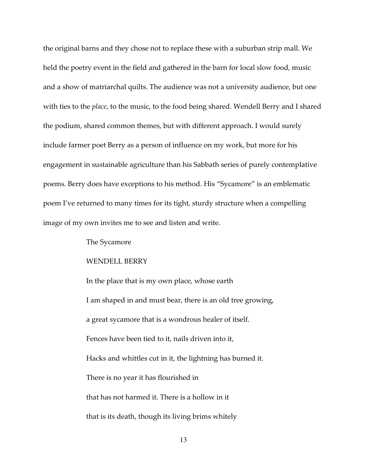the original barns and they chose not to replace these with a suburban strip mall. We held the poetry event in the field and gathered in the barn for local slow food, music and a show of matriarchal quilts. The audience was not a university audience, but one with ties to the *place*, to the music, to the food being shared. Wendell Berry and I shared the podium, shared common themes, but with different approach. I would surely include farmer poet Berry as a person of influence on my work, but more for his engagement in sustainable agriculture than his Sabbath series of purely contemplative poems. Berry does have exceptions to his method. His "Sycamore" is an emblematic poem I've returned to many times for its tight, sturdy structure when a compelling image of my own invites me to see and listen and write.

#### The Sycamore

#### WENDELL BERRY

 In the place that is my own place, whose earth I am shaped in and must bear, there is an old tree growing, a great sycamore that is a wondrous healer of itself. Fences have been tied to it, nails driven into it, Hacks and whittles cut in it, the lightning has burned it. There is no year it has flourished in that has not harmed it. There is a hollow in it that is its death, though its living brims whitely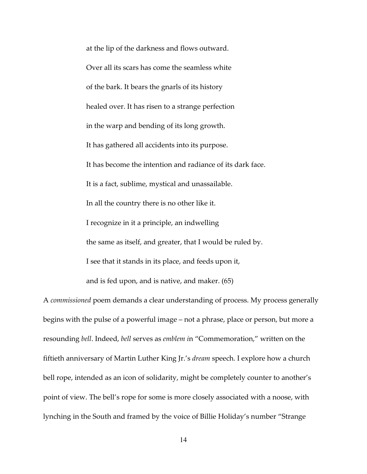at the lip of the darkness and flows outward. Over all its scars has come the seamless white of the bark. It bears the gnarls of its history healed over. It has risen to a strange perfection in the warp and bending of its long growth. It has gathered all accidents into its purpose. It has become the intention and radiance of its dark face. It is a fact, sublime, mystical and unassailable. In all the country there is no other like it. I recognize in it a principle, an indwelling the same as itself, and greater, that I would be ruled by. I see that it stands in its place, and feeds upon it, and is fed upon, and is native, and maker. (65)

A commissioned poem demands a clear understanding of process. My process generally begins with the pulse of a powerful image – not a phrase, place or person, but more a resounding bell. Indeed, bell serves as emblem in "Commemoration," written on the fiftieth anniversary of Martin Luther King Jr.'s dream speech. I explore how a church bell rope, intended as an icon of solidarity, might be completely counter to another's point of view. The bell's rope for some is more closely associated with a noose, with lynching in the South and framed by the voice of Billie Holiday's number "Strange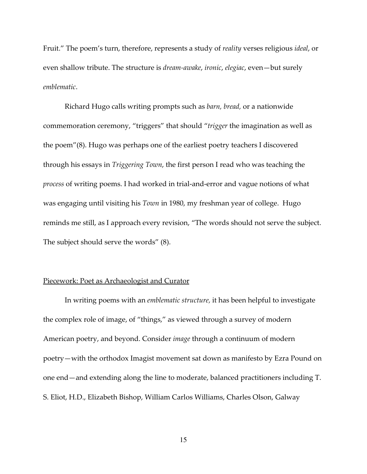Fruit." The poem's turn, therefore, represents a study of reality verses religious ideal, or even shallow tribute. The structure is *dream-awake*, *ironic*, *elegiac*, even—but surely emblematic.

 Richard Hugo calls writing prompts such as barn, bread, or a nationwide commemoration ceremony, "triggers" that should "trigger the imagination as well as the poem"(8). Hugo was perhaps one of the earliest poetry teachers I discovered through his essays in Triggering Town, the first person I read who was teaching the process of writing poems. I had worked in trial-and-error and vague notions of what was engaging until visiting his Town in 1980, my freshman year of college. Hugo reminds me still, as I approach every revision, "The words should not serve the subject. The subject should serve the words" (8).

#### Piecework: Poet as Archaeologist and Curator

In writing poems with an emblematic structure, it has been helpful to investigate the complex role of image, of "things," as viewed through a survey of modern American poetry, and beyond. Consider image through a continuum of modern poetry—with the orthodox Imagist movement sat down as manifesto by Ezra Pound on one end—and extending along the line to moderate, balanced practitioners including T. S. Eliot, H.D., Elizabeth Bishop, William Carlos Williams, Charles Olson, Galway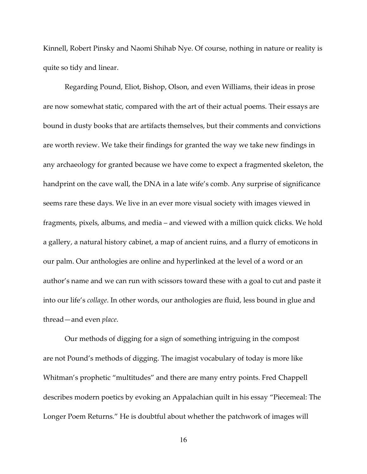Kinnell, Robert Pinsky and Naomi Shihab Nye. Of course, nothing in nature or reality is quite so tidy and linear.

Regarding Pound, Eliot, Bishop, Olson, and even Williams, their ideas in prose are now somewhat static, compared with the art of their actual poems. Their essays are bound in dusty books that are artifacts themselves, but their comments and convictions are worth review. We take their findings for granted the way we take new findings in any archaeology for granted because we have come to expect a fragmented skeleton, the handprint on the cave wall, the DNA in a late wife's comb. Any surprise of significance seems rare these days. We live in an ever more visual society with images viewed in fragments, pixels, albums, and media – and viewed with a million quick clicks. We hold a gallery, a natural history cabinet, a map of ancient ruins, and a flurry of emoticons in our palm. Our anthologies are online and hyperlinked at the level of a word or an author's name and we can run with scissors toward these with a goal to cut and paste it into our life's collage. In other words, our anthologies are fluid, less bound in glue and thread—and even place.

Our methods of digging for a sign of something intriguing in the compost are not Pound's methods of digging. The imagist vocabulary of today is more like Whitman's prophetic "multitudes" and there are many entry points. Fred Chappell describes modern poetics by evoking an Appalachian quilt in his essay "Piecemeal: The Longer Poem Returns." He is doubtful about whether the patchwork of images will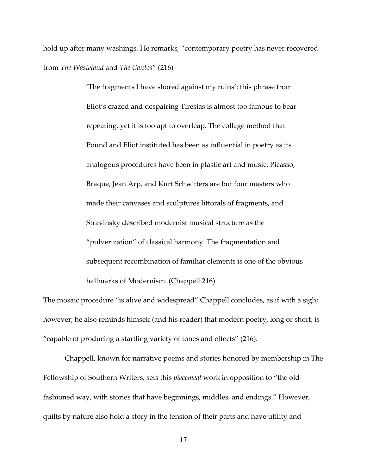hold up after many washings. He remarks, "contemporary poetry has never recovered from The Wasteland and The Cantos" (216)

> 'The fragments I have shored against my ruins': this phrase from Eliot's crazed and despairing Tiresias is almost too famous to bear repeating, yet it is too apt to overleap. The collage method that Pound and Eliot instituted has been as influential in poetry as its analogous procedures have been in plastic art and music. Picasso, Braque, Jean Arp, and Kurt Schwitters are but four masters who made their canvases and sculptures littorals of fragments, and Stravinsky described modernist musical structure as the "pulverization" of classical harmony. The fragmentation and subsequent recombination of familiar elements is one of the obvious hallmarks of Modernism. (Chappell 216)

The mosaic procedure "is alive and widespread" Chappell concludes, as if with a sigh; however, he also reminds himself (and his reader) that modern poetry, long or short, is "capable of producing a startling variety of tones and effects" (216).

 Chappell, known for narrative poems and stories honored by membership in The Fellowship of Southern Writers, sets this *piecemeal* work in opposition to "the oldfashioned way, with stories that have beginnings, middles, and endings." However, quilts by nature also hold a story in the tension of their parts and have utility and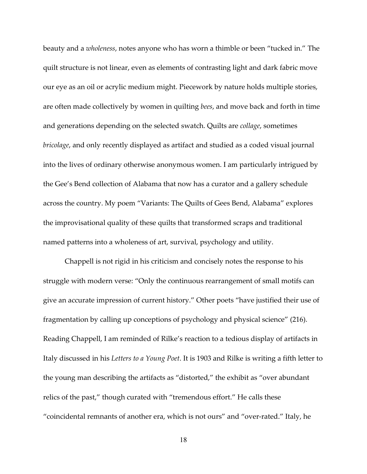beauty and a wholeness, notes anyone who has worn a thimble or been "tucked in." The quilt structure is not linear, even as elements of contrasting light and dark fabric move our eye as an oil or acrylic medium might. Piecework by nature holds multiple stories, are often made collectively by women in quilting bees, and move back and forth in time and generations depending on the selected swatch. Quilts are collage, sometimes bricolage, and only recently displayed as artifact and studied as a coded visual journal into the lives of ordinary otherwise anonymous women. I am particularly intrigued by the Gee's Bend collection of Alabama that now has a curator and a gallery schedule across the country. My poem "Variants: The Quilts of Gees Bend, Alabama" explores the improvisational quality of these quilts that transformed scraps and traditional named patterns into a wholeness of art, survival, psychology and utility.

 Chappell is not rigid in his criticism and concisely notes the response to his struggle with modern verse: "Only the continuous rearrangement of small motifs can give an accurate impression of current history." Other poets "have justified their use of fragmentation by calling up conceptions of psychology and physical science" (216). Reading Chappell, I am reminded of Rilke's reaction to a tedious display of artifacts in Italy discussed in his Letters to a Young Poet. It is 1903 and Rilke is writing a fifth letter to the young man describing the artifacts as "distorted," the exhibit as "over abundant relics of the past," though curated with "tremendous effort." He calls these "coincidental remnants of another era, which is not ours" and "over-rated." Italy, he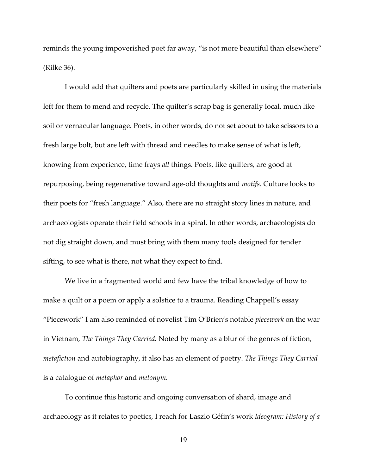reminds the young impoverished poet far away, "is not more beautiful than elsewhere" (Rilke 36).

 I would add that quilters and poets are particularly skilled in using the materials left for them to mend and recycle. The quilter's scrap bag is generally local, much like soil or vernacular language. Poets, in other words, do not set about to take scissors to a fresh large bolt, but are left with thread and needles to make sense of what is left, knowing from experience, time frays all things. Poets, like quilters, are good at repurposing, being regenerative toward age-old thoughts and motifs. Culture looks to their poets for "fresh language." Also, there are no straight story lines in nature, and archaeologists operate their field schools in a spiral. In other words, archaeologists do not dig straight down, and must bring with them many tools designed for tender sifting, to see what is there, not what they expect to find.

 We live in a fragmented world and few have the tribal knowledge of how to make a quilt or a poem or apply a solstice to a trauma. Reading Chappell's essay "Piecework" I am also reminded of novelist Tim O'Brien's notable piecework on the war in Vietnam, The Things They Carried. Noted by many as a blur of the genres of fiction, metafiction and autobiography, it also has an element of poetry. The Things They Carried is a catalogue of metaphor and metonym.

To continue this historic and ongoing conversation of shard, image and archaeology as it relates to poetics, I reach for Laszlo Géfin's work Ideogram: History of a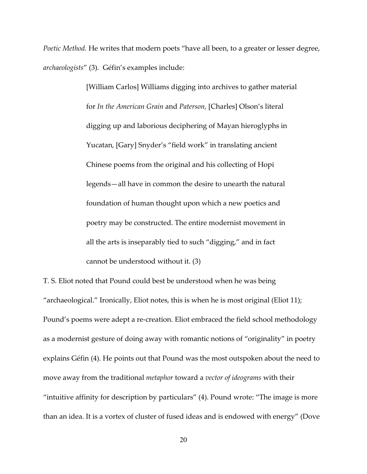Poetic Method. He writes that modern poets "have all been, to a greater or lesser degree, archaeologists" (3). Géfin's examples include:

> [William Carlos] Williams digging into archives to gather material for In the American Grain and Paterson, [Charles] Olson's literal digging up and laborious deciphering of Mayan hieroglyphs in Yucatan, [Gary] Snyder's "field work" in translating ancient Chinese poems from the original and his collecting of Hopi legends—all have in common the desire to unearth the natural foundation of human thought upon which a new poetics and poetry may be constructed. The entire modernist movement in all the arts is inseparably tied to such "digging," and in fact cannot be understood without it. (3)

T. S. Eliot noted that Pound could best be understood when he was being "archaeological." Ironically, Eliot notes, this is when he is most original (Eliot 11); Pound's poems were adept a re-creation. Eliot embraced the field school methodology as a modernist gesture of doing away with romantic notions of "originality" in poetry explains Géfin (4). He points out that Pound was the most outspoken about the need to move away from the traditional *metaphor* toward a *vector of ideograms* with their "intuitive affinity for description by particulars" (4). Pound wrote: "The image is more than an idea. It is a vortex of cluster of fused ideas and is endowed with energy" (Dove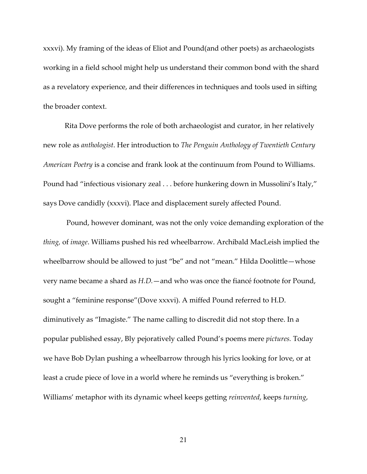xxxvi). My framing of the ideas of Eliot and Pound(and other poets) as archaeologists working in a field school might help us understand their common bond with the shard as a revelatory experience, and their differences in techniques and tools used in sifting the broader context.

 Rita Dove performs the role of both archaeologist and curator, in her relatively new role as anthologist. Her introduction to The Penguin Anthology of Twentieth Century American Poetry is a concise and frank look at the continuum from Pound to Williams. Pound had "infectious visionary zeal . . . before hunkering down in Mussolini's Italy," says Dove candidly (xxxvi). Place and displacement surely affected Pound.

 Pound, however dominant, was not the only voice demanding exploration of the thing, of image. Williams pushed his red wheelbarrow. Archibald MacLeish implied the wheelbarrow should be allowed to just "be" and not "mean." Hilda Doolittle—whose very name became a shard as H.D.—and who was once the fiancé footnote for Pound, sought a "feminine response"(Dove xxxvi). A miffed Pound referred to H.D. diminutively as "Imagiste." The name calling to discredit did not stop there. In a popular published essay, Bly pejoratively called Pound's poems mere pictures. Today we have Bob Dylan pushing a wheelbarrow through his lyrics looking for love, or at least a crude piece of love in a world where he reminds us "everything is broken." Williams' metaphor with its dynamic wheel keeps getting reinvented, keeps turning,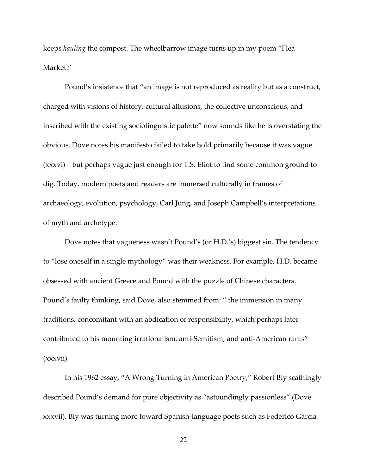keeps hauling the compost. The wheelbarrow image turns up in my poem "Flea Market."

 Pound's insistence that "an image is not reproduced as reality but as a construct, charged with visions of history, cultural allusions, the collective unconscious, and inscribed with the existing sociolinguistic palette" now sounds like he is overstating the obvious. Dove notes his manifesto failed to take hold primarily because it was vague (xxxvi)—but perhaps vague just enough for T.S. Eliot to find some common ground to dig. Today, modern poets and readers are immersed culturally in frames of archaeology, evolution, psychology, Carl Jung, and Joseph Campbell's interpretations of myth and archetype.

 Dove notes that vagueness wasn't Pound's (or H.D.'s) biggest sin. The tendency to "lose oneself in a single mythology" was their weakness. For example, H.D. became obsessed with ancient Greece and Pound with the puzzle of Chinese characters. Pound's faulty thinking, said Dove, also stemmed from: " the immersion in many traditions, concomitant with an abdication of responsibility, which perhaps later contributed to his mounting irrationalism, anti-Semitism, and anti-American rants" (xxxvii).

 In his 1962 essay, "A Wrong Turning in American Poetry," Robert Bly scathingly described Pound's demand for pure objectivity as "astoundingly passionless" (Dove xxxvii). Bly was turning more toward Spanish-language poets such as Federico Garcia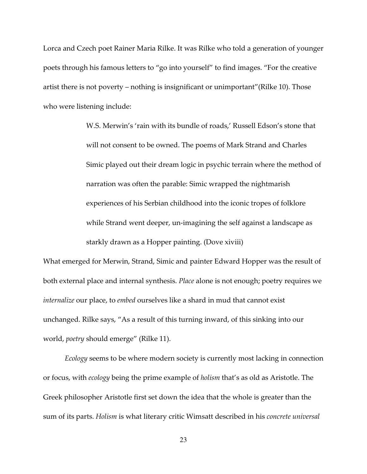Lorca and Czech poet Rainer Maria Rilke. It was Rilke who told a generation of younger poets through his famous letters to "go into yourself" to find images. "For the creative artist there is not poverty – nothing is insignificant or unimportant"(Rilke 10). Those who were listening include:

> W.S. Merwin's 'rain with its bundle of roads,' Russell Edson's stone that will not consent to be owned. The poems of Mark Strand and Charles Simic played out their dream logic in psychic terrain where the method of narration was often the parable: Simic wrapped the nightmarish experiences of his Serbian childhood into the iconic tropes of folklore while Strand went deeper, un-imagining the self against a landscape as starkly drawn as a Hopper painting. (Dove xiviii)

What emerged for Merwin, Strand, Simic and painter Edward Hopper was the result of both external place and internal synthesis. Place alone is not enough; poetry requires we internalize our place, to embed ourselves like a shard in mud that cannot exist unchanged. Rilke says, "As a result of this turning inward, of this sinking into our world, poetry should emerge" (Rilke 11).

 Ecology seems to be where modern society is currently most lacking in connection or focus, with *ecology* being the prime example of *holism* that's as old as Aristotle. The Greek philosopher Aristotle first set down the idea that the whole is greater than the sum of its parts. Holism is what literary critic Wimsatt described in his concrete universal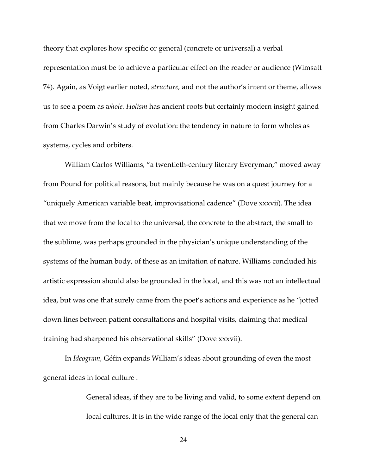theory that explores how specific or general (concrete or universal) a verbal representation must be to achieve a particular effect on the reader or audience (Wimsatt 74). Again, as Voigt earlier noted, structure, and not the author's intent or theme, allows us to see a poem as whole. Holism has ancient roots but certainly modern insight gained from Charles Darwin's study of evolution: the tendency in nature to form wholes as systems, cycles and orbiters.

 William Carlos Williams, "a twentieth-century literary Everyman," moved away from Pound for political reasons, but mainly because he was on a quest journey for a "uniquely American variable beat, improvisational cadence" (Dove xxxvii). The idea that we move from the local to the universal, the concrete to the abstract, the small to the sublime, was perhaps grounded in the physician's unique understanding of the systems of the human body, of these as an imitation of nature. Williams concluded his artistic expression should also be grounded in the local, and this was not an intellectual idea, but was one that surely came from the poet's actions and experience as he "jotted down lines between patient consultations and hospital visits, claiming that medical training had sharpened his observational skills" (Dove xxxvii).

 In Ideogram, Géfin expands William's ideas about grounding of even the most general ideas in local culture :

> General ideas, if they are to be living and valid, to some extent depend on local cultures. It is in the wide range of the local only that the general can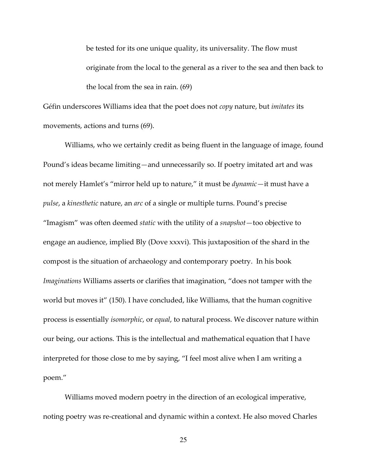be tested for its one unique quality, its universality. The flow must originate from the local to the general as a river to the sea and then back to the local from the sea in rain. (69)

Géfin underscores Williams idea that the poet does not copy nature, but imitates its movements, actions and turns (69).

 Williams, who we certainly credit as being fluent in the language of image, found Pound's ideas became limiting—and unnecessarily so. If poetry imitated art and was not merely Hamlet's "mirror held up to nature," it must be *dynamic*—it must have a pulse, a kinesthetic nature, an arc of a single or multiple turns. Pound's precise "Imagism" was often deemed static with the utility of a snapshot—too objective to engage an audience, implied Bly (Dove xxxvi). This juxtaposition of the shard in the compost is the situation of archaeology and contemporary poetry. In his book Imaginations Williams asserts or clarifies that imagination, "does not tamper with the world but moves it" (150). I have concluded, like Williams, that the human cognitive process is essentially isomorphic, or equal, to natural process. We discover nature within our being, our actions. This is the intellectual and mathematical equation that I have interpreted for those close to me by saying, "I feel most alive when I am writing a poem."

 Williams moved modern poetry in the direction of an ecological imperative, noting poetry was re-creational and dynamic within a context. He also moved Charles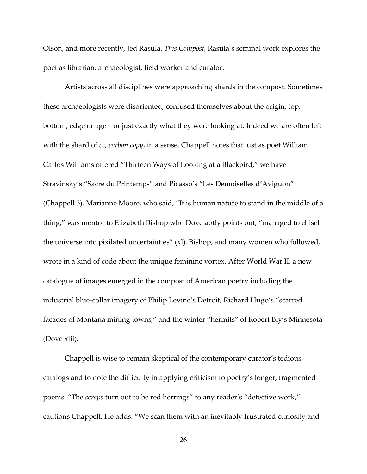Olson, and more recently, Jed Rasula. This Compost, Rasula's seminal work explores the poet as librarian, archaeologist, field worker and curator.

 Artists across all disciplines were approaching shards in the compost. Sometimes these archaeologists were disoriented, confused themselves about the origin, top, bottom, edge or age—or just exactly what they were looking at. Indeed we are often left with the shard of cc, carbon copy, in a sense. Chappell notes that just as poet William Carlos Williams offered "Thirteen Ways of Looking at a Blackbird," we have Stravinsky's "Sacre du Printemps" and Picasso's "Les Demoiselles d'Aviguon" (Chappell 3). Marianne Moore, who said, "It is human nature to stand in the middle of a thing," was mentor to Elizabeth Bishop who Dove aptly points out, "managed to chisel the universe into pixilated uncertainties" (xl). Bishop, and many women who followed, wrote in a kind of code about the unique feminine vortex. After World War II, a new catalogue of images emerged in the compost of American poetry including the industrial blue-collar imagery of Philip Levine's Detroit, Richard Hugo's "scarred facades of Montana mining towns," and the winter "hermits" of Robert Bly's Minnesota (Dove xlii).

 Chappell is wise to remain skeptical of the contemporary curator's tedious catalogs and to note the difficulty in applying criticism to poetry's longer, fragmented poems. "The scraps turn out to be red herrings" to any reader's "detective work," cautions Chappell. He adds: "We scan them with an inevitably frustrated curiosity and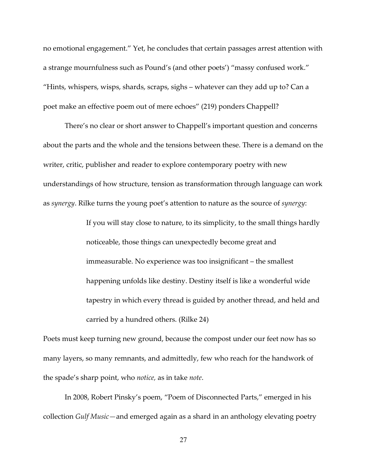no emotional engagement." Yet, he concludes that certain passages arrest attention with a strange mournfulness such as Pound's (and other poets') "massy confused work." "Hints, whispers, wisps, shards, scraps, sighs – whatever can they add up to? Can a poet make an effective poem out of mere echoes" (219) ponders Chappell?

 There's no clear or short answer to Chappell's important question and concerns about the parts and the whole and the tensions between these. There is a demand on the writer, critic, publisher and reader to explore contemporary poetry with new understandings of how structure, tension as transformation through language can work as *synergy*. Rilke turns the young poet's attention to nature as the source of *synergy*:

> If you will stay close to nature, to its simplicity, to the small things hardly noticeable, those things can unexpectedly become great and immeasurable. No experience was too insignificant – the smallest happening unfolds like destiny. Destiny itself is like a wonderful wide tapestry in which every thread is guided by another thread, and held and carried by a hundred others. (Rilke 24)

Poets must keep turning new ground, because the compost under our feet now has so many layers, so many remnants, and admittedly, few who reach for the handwork of the spade's sharp point, who notice, as in take note.

 In 2008, Robert Pinsky's poem, "Poem of Disconnected Parts," emerged in his collection Gulf Music—and emerged again as a shard in an anthology elevating poetry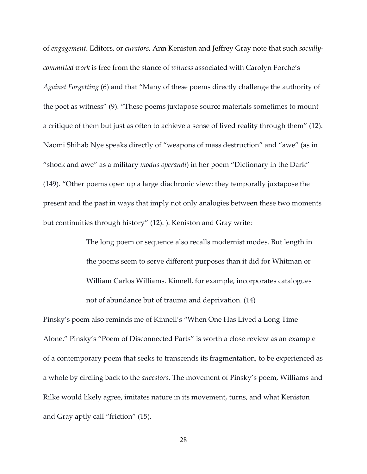of engagement. Editors, or curators, Ann Keniston and Jeffrey Gray note that such sociallycommitted work is free from the stance of witness associated with Carolyn Forche's Against Forgetting (6) and that "Many of these poems directly challenge the authority of the poet as witness" (9). "These poems juxtapose source materials sometimes to mount a critique of them but just as often to achieve a sense of lived reality through them" (12). Naomi Shihab Nye speaks directly of "weapons of mass destruction" and "awe" (as in "shock and awe" as a military modus operandi) in her poem "Dictionary in the Dark" (149). "Other poems open up a large diachronic view: they temporally juxtapose the present and the past in ways that imply not only analogies between these two moments but continuities through history" (12). ). Keniston and Gray write:

> The long poem or sequence also recalls modernist modes. But length in the poems seem to serve different purposes than it did for Whitman or William Carlos Williams. Kinnell, for example, incorporates catalogues not of abundance but of trauma and deprivation. (14)

Pinsky's poem also reminds me of Kinnell's "When One Has Lived a Long Time Alone." Pinsky's "Poem of Disconnected Parts" is worth a close review as an example of a contemporary poem that seeks to transcends its fragmentation, to be experienced as a whole by circling back to the ancestors. The movement of Pinsky's poem, Williams and Rilke would likely agree, imitates nature in its movement, turns, and what Keniston and Gray aptly call "friction" (15).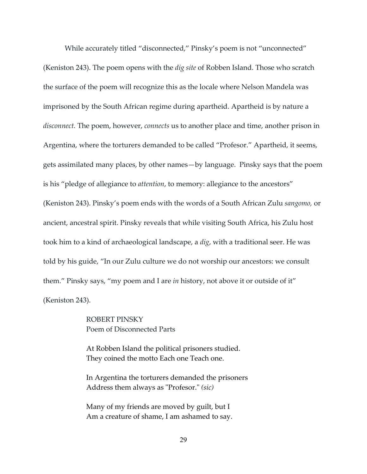While accurately titled "disconnected," Pinsky's poem is not "unconnected" (Keniston 243). The poem opens with the *dig site* of Robben Island. Those who scratch the surface of the poem will recognize this as the locale where Nelson Mandela was imprisoned by the South African regime during apartheid. Apartheid is by nature a disconnect. The poem, however, connects us to another place and time, another prison in Argentina, where the torturers demanded to be called "Profesor." Apartheid, it seems, gets assimilated many places, by other names—by language. Pinsky says that the poem is his "pledge of allegiance to attention, to memory: allegiance to the ancestors" (Keniston 243). Pinsky's poem ends with the words of a South African Zulu sangomo, or ancient, ancestral spirit. Pinsky reveals that while visiting South Africa, his Zulu host took him to a kind of archaeological landscape, a dig, with a traditional seer. He was told by his guide, "In our Zulu culture we do not worship our ancestors: we consult them." Pinsky says, "my poem and I are in history, not above it or outside of it" (Keniston 243).

> ROBERT PINSKY Poem of Disconnected Parts

At Robben Island the political prisoners studied. They coined the motto Each one Teach one.

In Argentina the torturers demanded the prisoners Address them always as "Profesor." (sic)

Many of my friends are moved by guilt, but I Am a creature of shame, I am ashamed to say.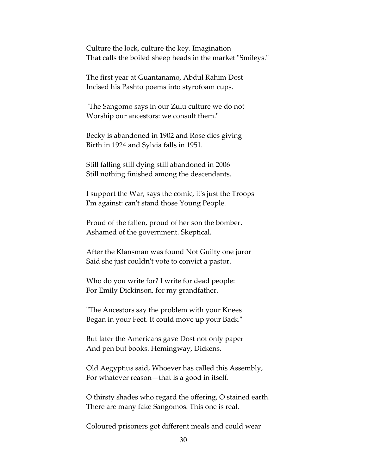Culture the lock, culture the key. Imagination That calls the boiled sheep heads in the market "Smileys."

The first year at Guantanamo, Abdul Rahim Dost Incised his Pashto poems into styrofoam cups.

"The Sangomo says in our Zulu culture we do not Worship our ancestors: we consult them."

Becky is abandoned in 1902 and Rose dies giving Birth in 1924 and Sylvia falls in 1951.

Still falling still dying still abandoned in 2006 Still nothing finished among the descendants.

I support the War, says the comic, it's just the Troops I'm against: can't stand those Young People.

Proud of the fallen, proud of her son the bomber. Ashamed of the government. Skeptical.

After the Klansman was found Not Guilty one juror Said she just couldn't vote to convict a pastor.

Who do you write for? I write for dead people: For Emily Dickinson, for my grandfather.

"The Ancestors say the problem with your Knees Began in your Feet. It could move up your Back."

But later the Americans gave Dost not only paper And pen but books. Hemingway, Dickens.

Old Aegyptius said, Whoever has called this Assembly, For whatever reason—that is a good in itself.

O thirsty shades who regard the offering, O stained earth. There are many fake Sangomos. This one is real.

Coloured prisoners got different meals and could wear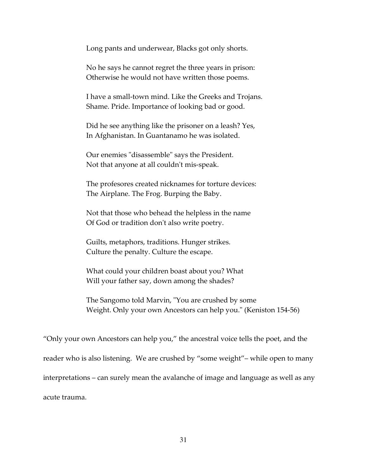Long pants and underwear, Blacks got only shorts.

No he says he cannot regret the three years in prison: Otherwise he would not have written those poems.

I have a small-town mind. Like the Greeks and Trojans. Shame. Pride. Importance of looking bad or good.

Did he see anything like the prisoner on a leash? Yes, In Afghanistan. In Guantanamo he was isolated.

Our enemies "disassemble" says the President. Not that anyone at all couldn't mis-speak.

The profesores created nicknames for torture devices: The Airplane. The Frog. Burping the Baby.

Not that those who behead the helpless in the name Of God or tradition don't also write poetry.

Guilts, metaphors, traditions. Hunger strikes. Culture the penalty. Culture the escape.

What could your children boast about you? What Will your father say, down among the shades?

The Sangomo told Marvin, "You are crushed by some Weight. Only your own Ancestors can help you." (Keniston 154-56)

"Only your own Ancestors can help you," the ancestral voice tells the poet, and the reader who is also listening. We are crushed by "some weight"– while open to many interpretations – can surely mean the avalanche of image and language as well as any acute trauma.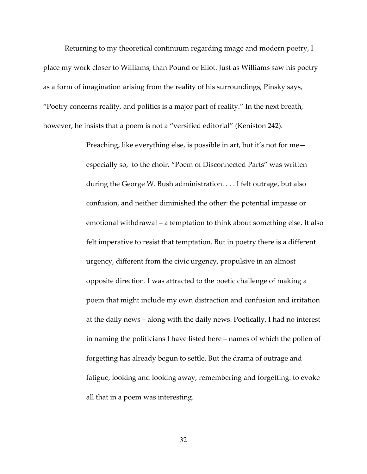Returning to my theoretical continuum regarding image and modern poetry, I place my work closer to Williams, than Pound or Eliot. Just as Williams saw his poetry as a form of imagination arising from the reality of his surroundings, Pinsky says, "Poetry concerns reality, and politics is a major part of reality." In the next breath, however, he insists that a poem is not a "versified editorial" (Keniston 242).

> Preaching, like everything else, is possible in art, but it's not for me especially so, to the choir. "Poem of Disconnected Parts" was written during the George W. Bush administration. . . . I felt outrage, but also confusion, and neither diminished the other: the potential impasse or emotional withdrawal – a temptation to think about something else. It also felt imperative to resist that temptation. But in poetry there is a different urgency, different from the civic urgency, propulsive in an almost opposite direction. I was attracted to the poetic challenge of making a poem that might include my own distraction and confusion and irritation at the daily news – along with the daily news. Poetically, I had no interest in naming the politicians I have listed here – names of which the pollen of forgetting has already begun to settle. But the drama of outrage and fatigue, looking and looking away, remembering and forgetting: to evoke all that in a poem was interesting.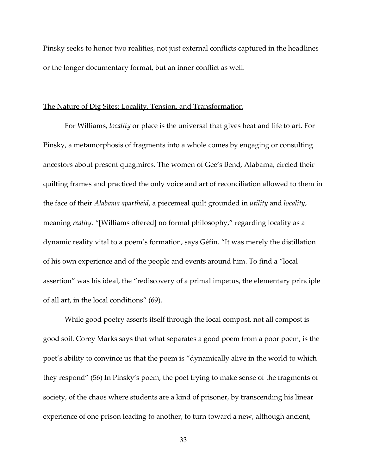Pinsky seeks to honor two realities, not just external conflicts captured in the headlines or the longer documentary format, but an inner conflict as well.

#### The Nature of Dig Sites: Locality, Tension, and Transformation

 For Williams, locality or place is the universal that gives heat and life to art. For Pinsky, a metamorphosis of fragments into a whole comes by engaging or consulting ancestors about present quagmires. The women of Gee's Bend, Alabama, circled their quilting frames and practiced the only voice and art of reconciliation allowed to them in the face of their Alabama apartheid, a piecemeal quilt grounded in utility and locality, meaning reality. "[Williams offered] no formal philosophy," regarding locality as a dynamic reality vital to a poem's formation, says Géfin. "It was merely the distillation of his own experience and of the people and events around him. To find a "local assertion" was his ideal, the "rediscovery of a primal impetus, the elementary principle of all art, in the local conditions" (69).

 While good poetry asserts itself through the local compost, not all compost is good soil. Corey Marks says that what separates a good poem from a poor poem, is the poet's ability to convince us that the poem is "dynamically alive in the world to which they respond" (56) In Pinsky's poem, the poet trying to make sense of the fragments of society, of the chaos where students are a kind of prisoner, by transcending his linear experience of one prison leading to another, to turn toward a new, although ancient,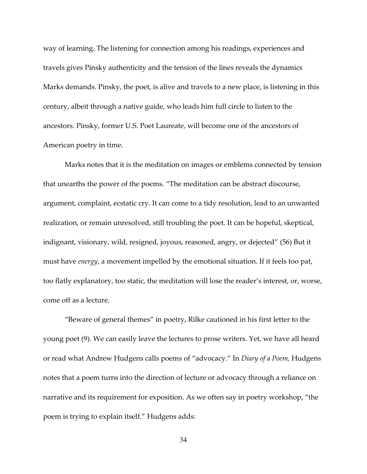way of learning. The listening for connection among his readings, experiences and travels gives Pinsky authenticity and the tension of the lines reveals the dynamics Marks demands. Pinsky, the poet, is alive and travels to a new place, is listening in this century, albeit through a native guide, who leads him full circle to listen to the ancestors. Pinsky, former U.S. Poet Laureate, will become one of the ancestors of American poetry in time.

 Marks notes that it is the meditation on images or emblems connected by tension that unearths the power of the poems. "The meditation can be abstract discourse, argument, complaint, ecstatic cry. It can come to a tidy resolution, lead to an unwanted realization, or remain unresolved, still troubling the poet. It can be hopeful, skeptical, indignant, visionary, wild, resigned, joyous, reasoned, angry, or dejected" (56) But it must have *energy*, a movement impelled by the emotional situation. If it feels too pat, too flatly explanatory, too static, the meditation will lose the reader's interest, or, worse, come off as a lecture.

"Beware of general themes" in poetry, Rilke cautioned in his first letter to the young poet (9). We can easily leave the lectures to prose writers. Yet, we have all heard or read what Andrew Hudgens calls poems of "advocacy." In Diary of a Poem, Hudgens notes that a poem turns into the direction of lecture or advocacy through a reliance on narrative and its requirement for exposition. As we often say in poetry workshop, "the poem is trying to explain itself." Hudgens adds: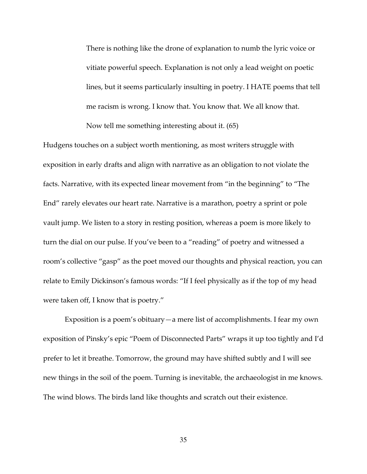There is nothing like the drone of explanation to numb the lyric voice or vitiate powerful speech. Explanation is not only a lead weight on poetic lines, but it seems particularly insulting in poetry. I HATE poems that tell me racism is wrong. I know that. You know that. We all know that. Now tell me something interesting about it. (65)

Hudgens touches on a subject worth mentioning, as most writers struggle with exposition in early drafts and align with narrative as an obligation to not violate the facts. Narrative, with its expected linear movement from "in the beginning" to "The End" rarely elevates our heart rate. Narrative is a marathon, poetry a sprint or pole vault jump. We listen to a story in resting position, whereas a poem is more likely to turn the dial on our pulse. If you've been to a "reading" of poetry and witnessed a room's collective "gasp" as the poet moved our thoughts and physical reaction, you can relate to Emily Dickinson's famous words: "If I feel physically as if the top of my head were taken off, I know that is poetry."

Exposition is a poem's obituary—a mere list of accomplishments. I fear my own exposition of Pinsky's epic "Poem of Disconnected Parts" wraps it up too tightly and I'd prefer to let it breathe. Tomorrow, the ground may have shifted subtly and I will see new things in the soil of the poem. Turning is inevitable, the archaeologist in me knows. The wind blows. The birds land like thoughts and scratch out their existence.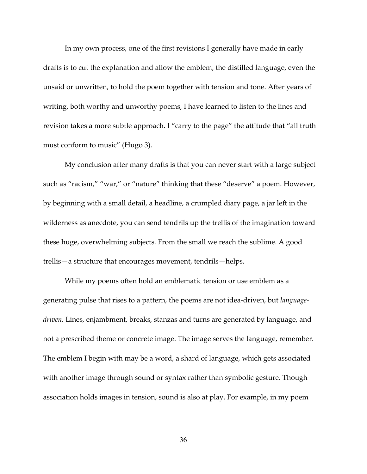In my own process, one of the first revisions I generally have made in early drafts is to cut the explanation and allow the emblem, the distilled language, even the unsaid or unwritten, to hold the poem together with tension and tone. After years of writing, both worthy and unworthy poems, I have learned to listen to the lines and revision takes a more subtle approach. I "carry to the page" the attitude that "all truth must conform to music" (Hugo 3).

My conclusion after many drafts is that you can never start with a large subject such as "racism," "war," or "nature" thinking that these "deserve" a poem. However, by beginning with a small detail, a headline, a crumpled diary page, a jar left in the wilderness as anecdote, you can send tendrils up the trellis of the imagination toward these huge, overwhelming subjects. From the small we reach the sublime. A good trellis—a structure that encourages movement, tendrils—helps.

While my poems often hold an emblematic tension or use emblem as a generating pulse that rises to a pattern, the poems are not idea-driven, but languagedriven. Lines, enjambment, breaks, stanzas and turns are generated by language, and not a prescribed theme or concrete image. The image serves the language, remember. The emblem I begin with may be a word, a shard of language, which gets associated with another image through sound or syntax rather than symbolic gesture. Though association holds images in tension, sound is also at play. For example, in my poem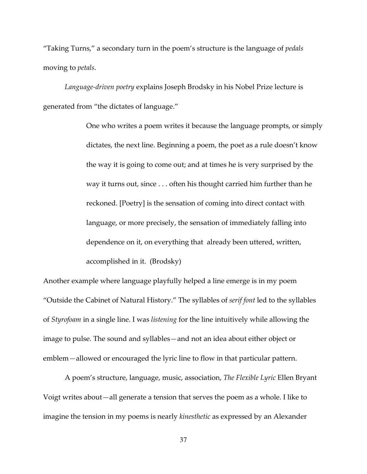"Taking Turns," a secondary turn in the poem's structure is the language of pedals moving to petals.

 Language-driven poetry explains Joseph Brodsky in his Nobel Prize lecture is generated from "the dictates of language."

> One who writes a poem writes it because the language prompts, or simply dictates, the next line. Beginning a poem, the poet as a rule doesn't know the way it is going to come out; and at times he is very surprised by the way it turns out, since . . . often his thought carried him further than he reckoned. [Poetry] is the sensation of coming into direct contact with language, or more precisely, the sensation of immediately falling into dependence on it, on everything that already been uttered, written, accomplished in it. (Brodsky)

Another example where language playfully helped a line emerge is in my poem "Outside the Cabinet of Natural History." The syllables of serif font led to the syllables of Styrofoam in a single line. I was listening for the line intuitively while allowing the image to pulse. The sound and syllables—and not an idea about either object or emblem—allowed or encouraged the lyric line to flow in that particular pattern.

A poem's structure, language, music, association, The Flexible Lyric Ellen Bryant Voigt writes about—all generate a tension that serves the poem as a whole. I like to imagine the tension in my poems is nearly kinesthetic as expressed by an Alexander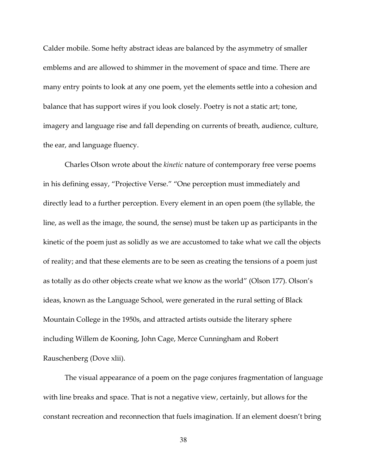Calder mobile. Some hefty abstract ideas are balanced by the asymmetry of smaller emblems and are allowed to shimmer in the movement of space and time. There are many entry points to look at any one poem, yet the elements settle into a cohesion and balance that has support wires if you look closely. Poetry is not a static art; tone, imagery and language rise and fall depending on currents of breath, audience, culture, the ear, and language fluency.

Charles Olson wrote about the kinetic nature of contemporary free verse poems in his defining essay, "Projective Verse." "One perception must immediately and directly lead to a further perception. Every element in an open poem (the syllable, the line, as well as the image, the sound, the sense) must be taken up as participants in the kinetic of the poem just as solidly as we are accustomed to take what we call the objects of reality; and that these elements are to be seen as creating the tensions of a poem just as totally as do other objects create what we know as the world" (Olson 177). Olson's ideas, known as the Language School, were generated in the rural setting of Black Mountain College in the 1950s, and attracted artists outside the literary sphere including Willem de Kooning, John Cage, Merce Cunningham and Robert Rauschenberg (Dove xlii).

The visual appearance of a poem on the page conjures fragmentation of language with line breaks and space. That is not a negative view, certainly, but allows for the constant recreation and reconnection that fuels imagination. If an element doesn't bring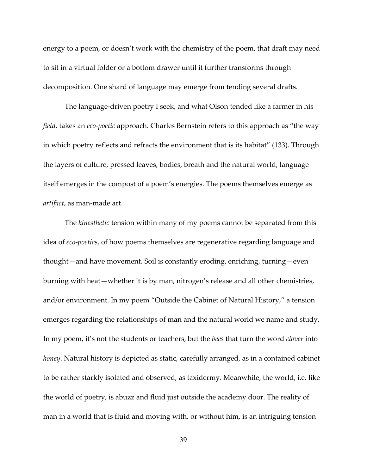energy to a poem, or doesn't work with the chemistry of the poem, that draft may need to sit in a virtual folder or a bottom drawer until it further transforms through decomposition. One shard of language may emerge from tending several drafts.

The language-driven poetry I seek, and what Olson tended like a farmer in his field, takes an eco-poetic approach. Charles Bernstein refers to this approach as "the way in which poetry reflects and refracts the environment that is its habitat" (133). Through the layers of culture, pressed leaves, bodies, breath and the natural world, language itself emerges in the compost of a poem's energies. The poems themselves emerge as artifact, as man-made art.

The kinesthetic tension within many of my poems cannot be separated from this idea of eco-poetics, of how poems themselves are regenerative regarding language and thought—and have movement. Soil is constantly eroding, enriching, turning—even burning with heat—whether it is by man, nitrogen's release and all other chemistries, and/or environment. In my poem "Outside the Cabinet of Natural History," a tension emerges regarding the relationships of man and the natural world we name and study. In my poem, it's not the students or teachers, but the bees that turn the word *clover* into honey. Natural history is depicted as static, carefully arranged, as in a contained cabinet to be rather starkly isolated and observed, as taxidermy. Meanwhile, the world, i.e. like the world of poetry, is abuzz and fluid just outside the academy door. The reality of man in a world that is fluid and moving with, or without him, is an intriguing tension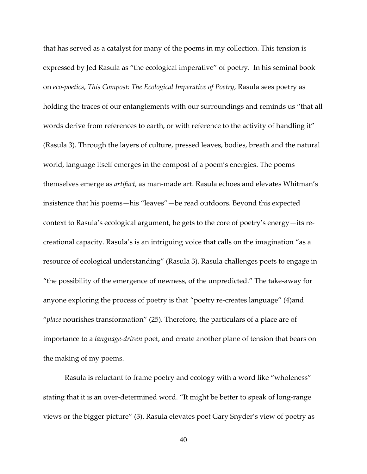that has served as a catalyst for many of the poems in my collection. This tension is expressed by Jed Rasula as "the ecological imperative" of poetry. In his seminal book on eco-poetics, This Compost: The Ecological Imperative of Poetry, Rasula sees poetry as holding the traces of our entanglements with our surroundings and reminds us "that all words derive from references to earth, or with reference to the activity of handling it" (Rasula 3). Through the layers of culture, pressed leaves, bodies, breath and the natural world, language itself emerges in the compost of a poem's energies. The poems themselves emerge as artifact, as man-made art. Rasula echoes and elevates Whitman's insistence that his poems—his "leaves"—be read outdoors. Beyond this expected context to Rasula's ecological argument, he gets to the core of poetry's energy—its recreational capacity. Rasula's is an intriguing voice that calls on the imagination "as a resource of ecological understanding" (Rasula 3). Rasula challenges poets to engage in "the possibility of the emergence of newness, of the unpredicted." The take-away for anyone exploring the process of poetry is that "poetry re-creates language" (4)and "place nourishes transformation" (25). Therefore, the particulars of a place are of importance to a language-driven poet, and create another plane of tension that bears on the making of my poems.

Rasula is reluctant to frame poetry and ecology with a word like "wholeness" stating that it is an over-determined word. "It might be better to speak of long-range views or the bigger picture" (3). Rasula elevates poet Gary Snyder's view of poetry as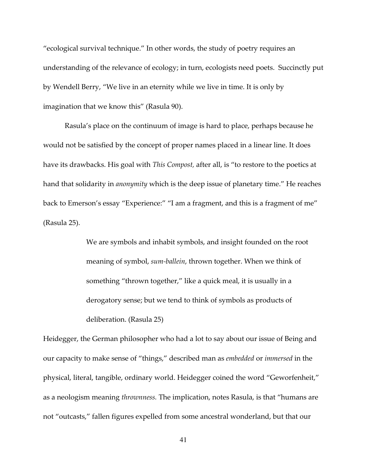"ecological survival technique." In other words, the study of poetry requires an understanding of the relevance of ecology; in turn, ecologists need poets. Succinctly put by Wendell Berry, "We live in an eternity while we live in time. It is only by imagination that we know this" (Rasula 90).

Rasula's place on the continuum of image is hard to place, perhaps because he would not be satisfied by the concept of proper names placed in a linear line. It does have its drawbacks. His goal with *This Compost*, after all, is "to restore to the poetics at hand that solidarity in anonymity which is the deep issue of planetary time." He reaches back to Emerson's essay "Experience:" "I am a fragment, and this is a fragment of me" (Rasula 25).

> We are symbols and inhabit symbols, and insight founded on the root meaning of symbol, sum-ballein, thrown together. When we think of something "thrown together," like a quick meal, it is usually in a derogatory sense; but we tend to think of symbols as products of deliberation. (Rasula 25)

Heidegger, the German philosopher who had a lot to say about our issue of Being and our capacity to make sense of "things," described man as embedded or immersed in the physical, literal, tangible, ordinary world. Heidegger coined the word "Geworfenheit," as a neologism meaning thrownness. The implication, notes Rasula, is that "humans are not "outcasts," fallen figures expelled from some ancestral wonderland, but that our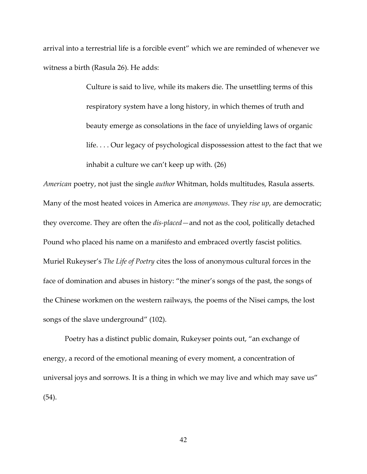arrival into a terrestrial life is a forcible event" which we are reminded of whenever we witness a birth (Rasula 26). He adds:

> Culture is said to live, while its makers die. The unsettling terms of this respiratory system have a long history, in which themes of truth and beauty emerge as consolations in the face of unyielding laws of organic life. . . . Our legacy of psychological dispossession attest to the fact that we inhabit a culture we can't keep up with. (26)

American poetry, not just the single author Whitman, holds multitudes, Rasula asserts. Many of the most heated voices in America are *anonymous*. They *rise up*, are democratic; they overcome. They are often the *dis-placed*—and not as the cool, politically detached Pound who placed his name on a manifesto and embraced overtly fascist politics. Muriel Rukeyser's The Life of Poetry cites the loss of anonymous cultural forces in the face of domination and abuses in history: "the miner's songs of the past, the songs of the Chinese workmen on the western railways, the poems of the Nisei camps, the lost songs of the slave underground" (102).

Poetry has a distinct public domain, Rukeyser points out, "an exchange of energy, a record of the emotional meaning of every moment, a concentration of universal joys and sorrows. It is a thing in which we may live and which may save us" (54).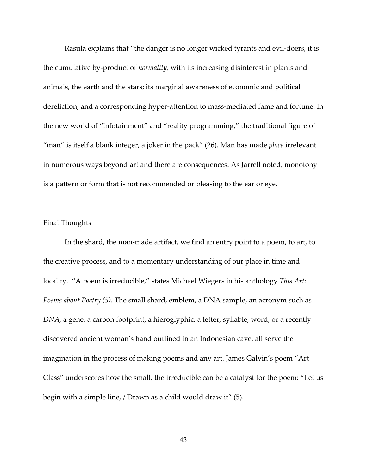Rasula explains that "the danger is no longer wicked tyrants and evil-doers, it is the cumulative by-product of normality, with its increasing disinterest in plants and animals, the earth and the stars; its marginal awareness of economic and political dereliction, and a corresponding hyper-attention to mass-mediated fame and fortune. In the new world of "infotainment" and "reality programming," the traditional figure of "man" is itself a blank integer, a joker in the pack" (26). Man has made place irrelevant in numerous ways beyond art and there are consequences. As Jarrell noted, monotony is a pattern or form that is not recommended or pleasing to the ear or eye.

#### Final Thoughts

 In the shard, the man-made artifact, we find an entry point to a poem, to art, to the creative process, and to a momentary understanding of our place in time and locality. "A poem is irreducible," states Michael Wiegers in his anthology This Art: Poems about Poetry (5). The small shard, emblem, a DNA sample, an acronym such as DNA, a gene, a carbon footprint, a hieroglyphic, a letter, syllable, word, or a recently discovered ancient woman's hand outlined in an Indonesian cave, all serve the imagination in the process of making poems and any art. James Galvin's poem "Art Class" underscores how the small, the irreducible can be a catalyst for the poem: "Let us begin with a simple line, / Drawn as a child would draw it" (5).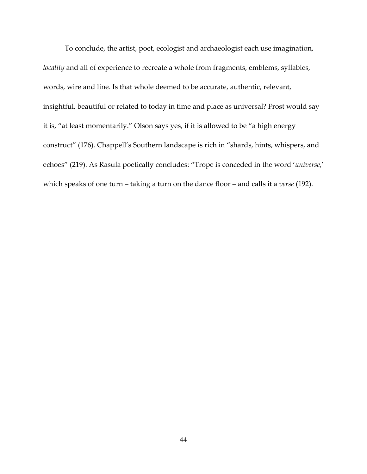To conclude, the artist, poet, ecologist and archaeologist each use imagination, locality and all of experience to recreate a whole from fragments, emblems, syllables, words, wire and line. Is that whole deemed to be accurate, authentic, relevant, insightful, beautiful or related to today in time and place as universal? Frost would say it is, "at least momentarily." Olson says yes, if it is allowed to be "a high energy construct" (176). Chappell's Southern landscape is rich in "shards, hints, whispers, and echoes" (219). As Rasula poetically concludes: "Trope is conceded in the word 'universe,' which speaks of one turn – taking a turn on the dance floor – and calls it a verse (192).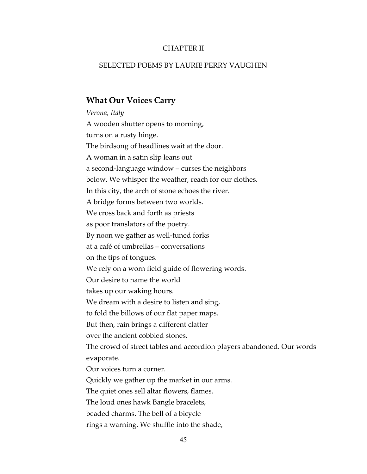#### CHAPTER II

#### SELECTED POEMS BY LAURIE PERRY VAUGHEN

#### What Our Voices Carry

Verona, Italy A wooden shutter opens to morning, turns on a rusty hinge. The birdsong of headlines wait at the door. A woman in a satin slip leans out a second-language window – curses the neighbors below. We whisper the weather, reach for our clothes. In this city, the arch of stone echoes the river. A bridge forms between two worlds. We cross back and forth as priests as poor translators of the poetry. By noon we gather as well-tuned forks at a café of umbrellas – conversations on the tips of tongues. We rely on a worn field guide of flowering words. Our desire to name the world takes up our waking hours. We dream with a desire to listen and sing, to fold the billows of our flat paper maps. But then, rain brings a different clatter over the ancient cobbled stones. The crowd of street tables and accordion players abandoned. Our words evaporate. Our voices turn a corner. Quickly we gather up the market in our arms. The quiet ones sell altar flowers, flames. The loud ones hawk Bangle bracelets, beaded charms. The bell of a bicycle rings a warning. We shuffle into the shade,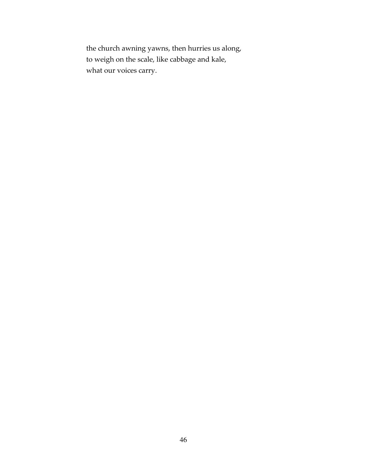the church awning yawns, then hurries us along, to weigh on the scale, like cabbage and kale, what our voices carry.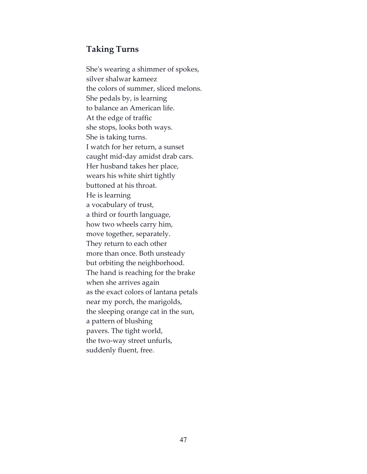# Taking Turns

She's wearing a shimmer of spokes, silver shalwar kameez the colors of summer, sliced melons. She pedals by, is learning to balance an American life. At the edge of traffic she stops, looks both ways. She is taking turns. I watch for her return, a sunset caught mid-day amidst drab cars. Her husband takes her place, wears his white shirt tightly buttoned at his throat. He is learning a vocabulary of trust, a third or fourth language, how two wheels carry him, move together, separately. They return to each other more than once. Both unsteady but orbiting the neighborhood. The hand is reaching for the brake when she arrives again as the exact colors of lantana petals near my porch, the marigolds, the sleeping orange cat in the sun, a pattern of blushing pavers. The tight world, the two-way street unfurls, suddenly fluent, free.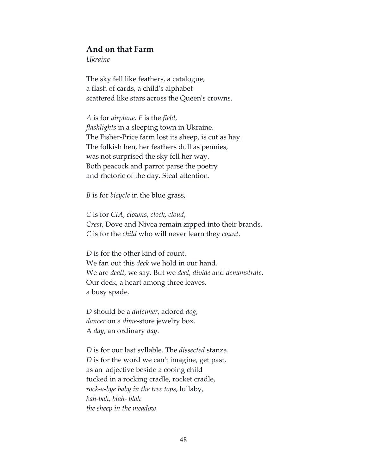### And on that Farm

Ukraine

The sky fell like feathers, a catalogue, a flash of cards, a child's alphabet scattered like stars across the Queen's crowns.

A is for airplane. F is the field, flashlights in a sleeping town in Ukraine. The Fisher-Price farm lost its sheep, is cut as hay. The folkish hen, her feathers dull as pennies, was not surprised the sky fell her way. Both peacock and parrot parse the poetry and rhetoric of the day. Steal attention.

B is for bicycle in the blue grass,

C is for CIA, clowns, clock, cloud, Crest, Dove and Nivea remain zipped into their brands. C is for the child who will never learn they count.

D is for the other kind of count. We fan out this *deck* we hold in our hand. We are dealt, we say. But we deal, divide and demonstrate. Our deck, a heart among three leaves, a busy spade.

D should be a *dulcimer*, adored *dog*, dancer on a dime-store jewelry box. A day, an ordinary day.

D is for our last syllable. The *dissected* stanza. D is for the word we can't imagine, get past, as an adjective beside a cooing child tucked in a rocking cradle, rocket cradle, rock-a-bye baby in the tree tops, lullaby, bah-bah, blah- blah the sheep in the meadow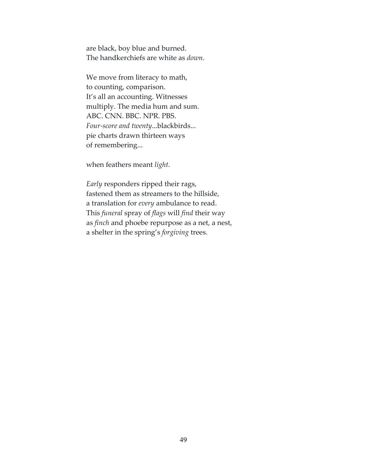are black, boy blue and burned. The handkerchiefs are white as down.

We move from literacy to math, to counting, comparison. It's all an accounting. Witnesses multiply. The media hum and sum. ABC. CNN. BBC. NPR. PBS. Four-score and twenty...blackbirds... pie charts drawn thirteen ways of remembering...

when feathers meant light.

Early responders ripped their rags, fastened them as streamers to the hillside, a translation for every ambulance to read. This funeral spray of flags will find their way as finch and phoebe repurpose as a net, a nest, a shelter in the spring's forgiving trees.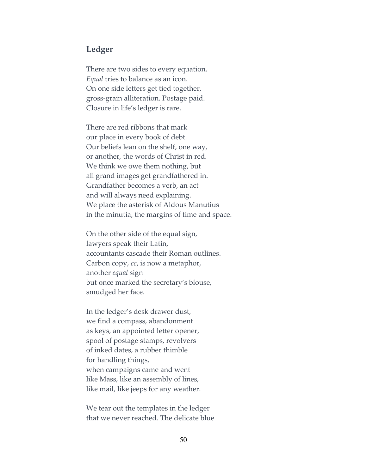### Ledger

There are two sides to every equation. Equal tries to balance as an icon. On one side letters get tied together, gross-grain alliteration. Postage paid. Closure in life's ledger is rare.

There are red ribbons that mark our place in every book of debt. Our beliefs lean on the shelf, one way, or another, the words of Christ in red. We think we owe them nothing, but all grand images get grandfathered in. Grandfather becomes a verb, an act and will always need explaining. We place the asterisk of Aldous Manutius in the minutia, the margins of time and space.

On the other side of the equal sign, lawyers speak their Latin, accountants cascade their Roman outlines. Carbon copy, cc, is now a metaphor, another equal sign but once marked the secretary's blouse, smudged her face.

In the ledger's desk drawer dust, we find a compass, abandonment as keys, an appointed letter opener, spool of postage stamps, revolvers of inked dates, a rubber thimble for handling things, when campaigns came and went like Mass, like an assembly of lines, like mail, like jeeps for any weather.

We tear out the templates in the ledger that we never reached. The delicate blue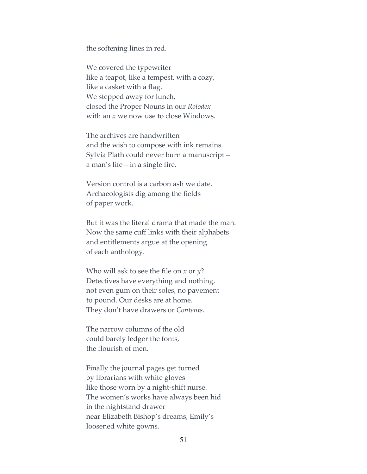the softening lines in red.

We covered the typewriter like a teapot, like a tempest, with a cozy, like a casket with a flag. We stepped away for lunch, closed the Proper Nouns in our Rolodex with an x we now use to close Windows.

The archives are handwritten and the wish to compose with ink remains. Sylvia Plath could never burn a manuscript – a man's life – in a single fire.

Version control is a carbon ash we date. Archaeologists dig among the fields of paper work.

But it was the literal drama that made the man. Now the same cuff links with their alphabets and entitlements argue at the opening of each anthology.

Who will ask to see the file on  $x$  or  $y$ ? Detectives have everything and nothing, not even gum on their soles, no pavement to pound. Our desks are at home. They don't have drawers or Contents.

The narrow columns of the old could barely ledger the fonts, the flourish of men.

Finally the journal pages get turned by librarians with white gloves like those worn by a night-shift nurse. The women's works have always been hid in the nightstand drawer near Elizabeth Bishop's dreams, Emily's loosened white gowns.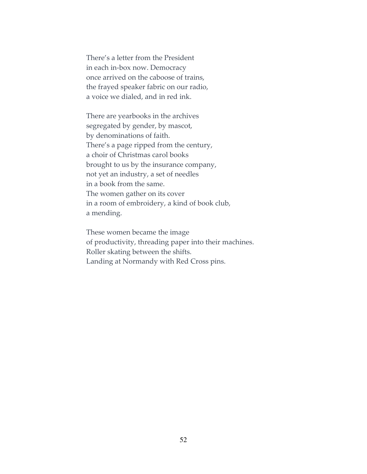There's a letter from the President in each in-box now. Democracy once arrived on the caboose of trains, the frayed speaker fabric on our radio, a voice we dialed, and in red ink.

There are yearbooks in the archives segregated by gender, by mascot, by denominations of faith. There's a page ripped from the century, a choir of Christmas carol books brought to us by the insurance company, not yet an industry, a set of needles in a book from the same. The women gather on its cover in a room of embroidery, a kind of book club, a mending.

These women became the image of productivity, threading paper into their machines. Roller skating between the shifts. Landing at Normandy with Red Cross pins.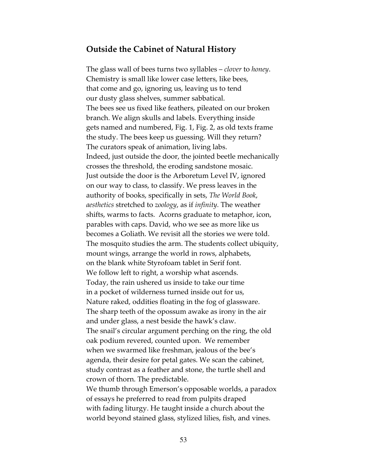### Outside the Cabinet of Natural History

The glass wall of bees turns two syllables – *clover* to *honey*. Chemistry is small like lower case letters, like bees, that come and go, ignoring us, leaving us to tend our dusty glass shelves, summer sabbatical. The bees see us fixed like feathers, pileated on our broken branch. We align skulls and labels. Everything inside gets named and numbered, Fig. 1, Fig. 2, as old texts frame the study. The bees keep us guessing. Will they return? The curators speak of animation, living labs. Indeed, just outside the door, the jointed beetle mechanically crosses the threshold, the eroding sandstone mosaic. Just outside the door is the Arboretum Level IV, ignored on our way to class, to classify. We press leaves in the authority of books, specifically in sets, The World Book, aesthetics stretched to zoology, as if infinity. The weather shifts, warms to facts. Acorns graduate to metaphor, icon, parables with caps. David, who we see as more like us becomes a Goliath. We revisit all the stories we were told. The mosquito studies the arm. The students collect ubiquity, mount wings, arrange the world in rows, alphabets, on the blank white Styrofoam tablet in Serif font. We follow left to right, a worship what ascends. Today, the rain ushered us inside to take our time in a pocket of wilderness turned inside out for us, Nature raked, oddities floating in the fog of glassware. The sharp teeth of the opossum awake as irony in the air and under glass, a nest beside the hawk's claw. The snail's circular argument perching on the ring, the old oak podium revered, counted upon. We remember when we swarmed like freshman, jealous of the bee's agenda, their desire for petal gates. We scan the cabinet, study contrast as a feather and stone, the turtle shell and crown of thorn. The predictable.

We thumb through Emerson's opposable worlds, a paradox of essays he preferred to read from pulpits draped with fading liturgy. He taught inside a church about the world beyond stained glass, stylized lilies, fish, and vines.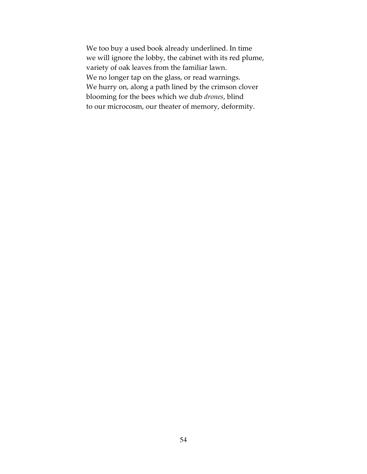We too buy a used book already underlined. In time we will ignore the lobby, the cabinet with its red plume, variety of oak leaves from the familiar lawn. We no longer tap on the glass, or read warnings. We hurry on, along a path lined by the crimson clover blooming for the bees which we dub drones, blind to our microcosm, our theater of memory, deformity.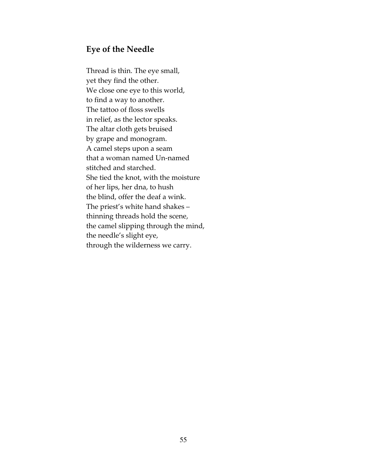### Eye of the Needle

Thread is thin. The eye small, yet they find the other. We close one eye to this world, to find a way to another. The tattoo of floss swells in relief, as the lector speaks. The altar cloth gets bruised by grape and monogram. A camel steps upon a seam that a woman named Un-named stitched and starched. She tied the knot, with the moisture of her lips, her dna, to hush the blind, offer the deaf a wink. The priest's white hand shakes – thinning threads hold the scene, the camel slipping through the mind, the needle's slight eye, through the wilderness we carry.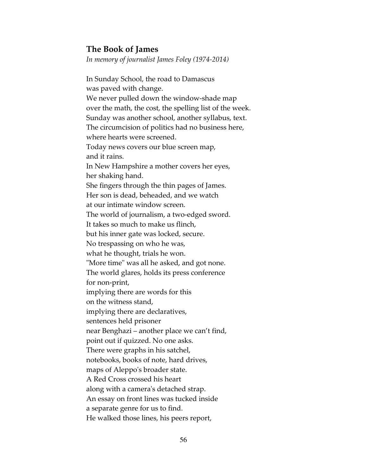### The Book of James

In memory of journalist James Foley (1974-2014)

In Sunday School, the road to Damascus was paved with change. We never pulled down the window-shade map over the math, the cost, the spelling list of the week. Sunday was another school, another syllabus, text. The circumcision of politics had no business here, where hearts were screened. Today news covers our blue screen map, and it rains. In New Hampshire a mother covers her eyes, her shaking hand. She fingers through the thin pages of James. Her son is dead, beheaded, and we watch at our intimate window screen. The world of journalism, a two-edged sword. It takes so much to make us flinch, but his inner gate was locked, secure. No trespassing on who he was, what he thought, trials he won. "More time" was all he asked, and got none. The world glares, holds its press conference for non-print, implying there are words for this on the witness stand, implying there are declaratives, sentences held prisoner near Benghazi – another place we can't find, point out if quizzed. No one asks. There were graphs in his satchel, notebooks, books of note, hard drives, maps of Aleppo's broader state. A Red Cross crossed his heart along with a camera's detached strap. An essay on front lines was tucked inside a separate genre for us to find. He walked those lines, his peers report,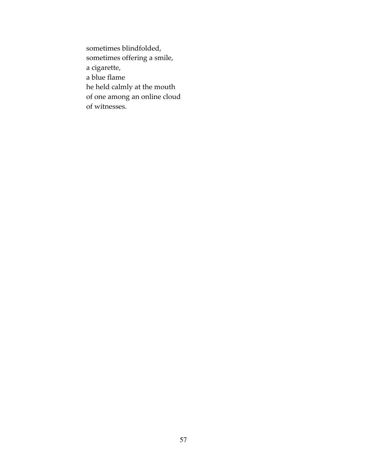sometimes blindfolded, sometimes offering a smile, a cigarette, a blue flame he held calmly at the mouth of one among an online cloud of witnesses.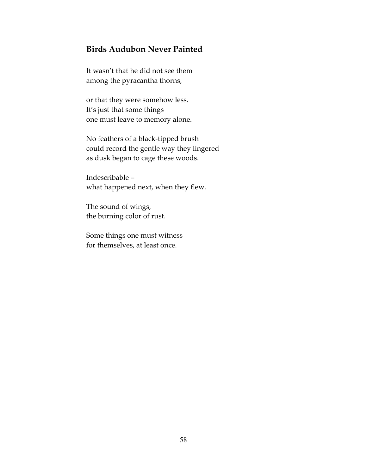# Birds Audubon Never Painted

It wasn't that he did not see them among the pyracantha thorns,

or that they were somehow less. It's just that some things one must leave to memory alone.

No feathers of a black-tipped brush could record the gentle way they lingered as dusk began to cage these woods.

Indescribable – what happened next, when they flew.

The sound of wings, the burning color of rust.

Some things one must witness for themselves, at least once.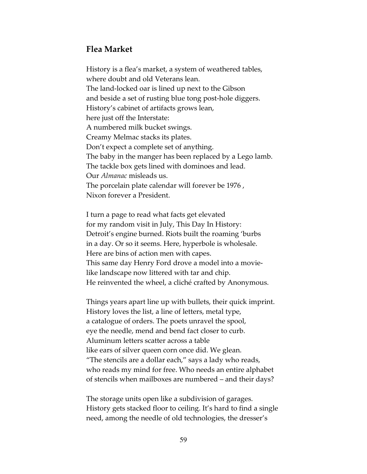# Flea Market

History is a flea's market, a system of weathered tables, where doubt and old Veterans lean. The land-locked oar is lined up next to the Gibson and beside a set of rusting blue tong post-hole diggers. History's cabinet of artifacts grows lean, here just off the Interstate: A numbered milk bucket swings. Creamy Melmac stacks its plates. Don't expect a complete set of anything. The baby in the manger has been replaced by a Lego lamb. The tackle box gets lined with dominoes and lead. Our Almanac misleads us. The porcelain plate calendar will forever be 1976 , Nixon forever a President.

I turn a page to read what facts get elevated for my random visit in July, This Day In History: Detroit's engine burned. Riots built the roaming 'burbs in a day. Or so it seems. Here, hyperbole is wholesale. Here are bins of action men with capes. This same day Henry Ford drove a model into a movielike landscape now littered with tar and chip. He reinvented the wheel, a cliché crafted by Anonymous.

Things years apart line up with bullets, their quick imprint. History loves the list, a line of letters, metal type, a catalogue of orders. The poets unravel the spool, eye the needle, mend and bend fact closer to curb. Aluminum letters scatter across a table like ears of silver queen corn once did. We glean. "The stencils are a dollar each," says a lady who reads, who reads my mind for free. Who needs an entire alphabet of stencils when mailboxes are numbered – and their days?

The storage units open like a subdivision of garages. History gets stacked floor to ceiling. It's hard to find a single need, among the needle of old technologies, the dresser's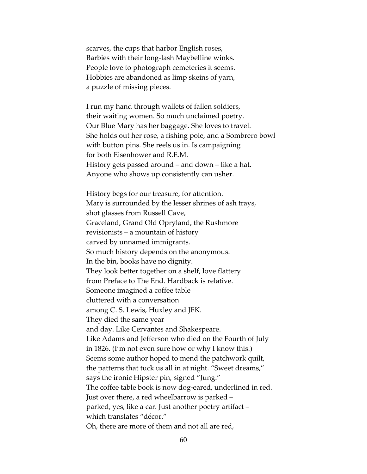scarves, the cups that harbor English roses, Barbies with their long-lash Maybelline winks. People love to photograph cemeteries it seems. Hobbies are abandoned as limp skeins of yarn, a puzzle of missing pieces.

I run my hand through wallets of fallen soldiers, their waiting women. So much unclaimed poetry. Our Blue Mary has her baggage. She loves to travel. She holds out her rose, a fishing pole, and a Sombrero bowl with button pins. She reels us in. Is campaigning for both Eisenhower and R.E.M. History gets passed around – and down – like a hat. Anyone who shows up consistently can usher.

History begs for our treasure, for attention. Mary is surrounded by the lesser shrines of ash trays, shot glasses from Russell Cave, Graceland, Grand Old Opryland, the Rushmore revisionists – a mountain of history carved by unnamed immigrants. So much history depends on the anonymous. In the bin, books have no dignity. They look better together on a shelf, love flattery from Preface to The End. Hardback is relative. Someone imagined a coffee table cluttered with a conversation among C. S. Lewis, Huxley and JFK. They died the same year and day. Like Cervantes and Shakespeare. Like Adams and Jefferson who died on the Fourth of July in 1826. (I'm not even sure how or why I know this.) Seems some author hoped to mend the patchwork quilt, the patterns that tuck us all in at night. "Sweet dreams," says the ironic Hipster pin, signed "Jung." The coffee table book is now dog-eared, underlined in red. Just over there, a red wheelbarrow is parked – parked, yes, like a car. Just another poetry artifact – which translates "décor." Oh, there are more of them and not all are red,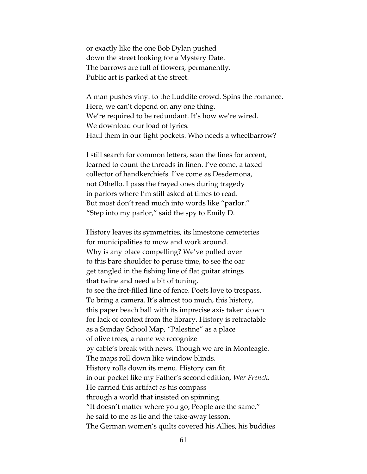or exactly like the one Bob Dylan pushed down the street looking for a Mystery Date. The barrows are full of flowers, permanently. Public art is parked at the street.

A man pushes vinyl to the Luddite crowd. Spins the romance. Here, we can't depend on any one thing. We're required to be redundant. It's how we're wired. We download our load of lyrics. Haul them in our tight pockets. Who needs a wheelbarrow?

I still search for common letters, scan the lines for accent, learned to count the threads in linen. I've come, a taxed collector of handkerchiefs. I've come as Desdemona, not Othello. I pass the frayed ones during tragedy in parlors where I'm still asked at times to read. But most don't read much into words like "parlor." "Step into my parlor," said the spy to Emily D.

History leaves its symmetries, its limestone cemeteries for municipalities to mow and work around. Why is any place compelling? We've pulled over to this bare shoulder to peruse time, to see the oar get tangled in the fishing line of flat guitar strings that twine and need a bit of tuning, to see the fret-filled line of fence. Poets love to trespass. To bring a camera. It's almost too much, this history, this paper beach ball with its imprecise axis taken down for lack of context from the library. History is retractable as a Sunday School Map, "Palestine" as a place of olive trees, a name we recognize by cable's break with news. Though we are in Monteagle. The maps roll down like window blinds. History rolls down its menu. History can fit in our pocket like my Father's second edition, War French. He carried this artifact as his compass through a world that insisted on spinning. "It doesn't matter where you go; People are the same," he said to me as lie and the take-away lesson. The German women's quilts covered his Allies, his buddies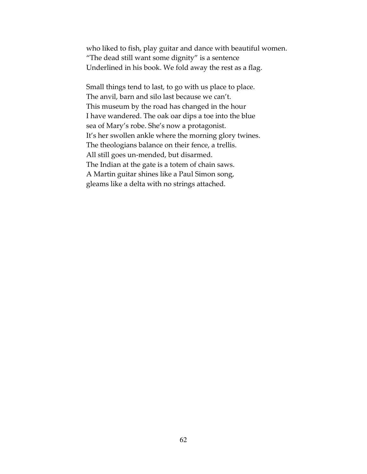who liked to fish, play guitar and dance with beautiful women. "The dead still want some dignity" is a sentence Underlined in his book. We fold away the rest as a flag.

Small things tend to last, to go with us place to place. The anvil, barn and silo last because we can't. This museum by the road has changed in the hour I have wandered. The oak oar dips a toe into the blue sea of Mary's robe. She's now a protagonist. It's her swollen ankle where the morning glory twines. The theologians balance on their fence, a trellis. All still goes un-mended, but disarmed. The Indian at the gate is a totem of chain saws. A Martin guitar shines like a Paul Simon song, gleams like a delta with no strings attached.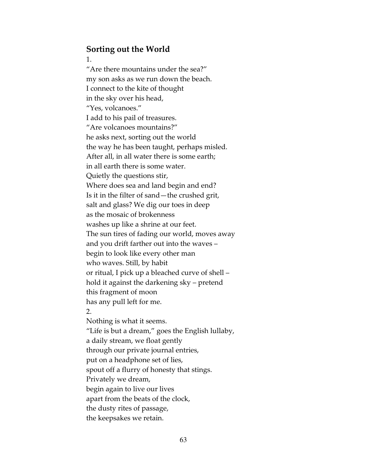## Sorting out the World

#### 1.

"Are there mountains under the sea?" my son asks as we run down the beach. I connect to the kite of thought in the sky over his head, "Yes, volcanoes." I add to his pail of treasures. "Are volcanoes mountains?" he asks next, sorting out the world the way he has been taught, perhaps misled. After all, in all water there is some earth; in all earth there is some water. Quietly the questions stir, Where does sea and land begin and end? Is it in the filter of sand—the crushed grit, salt and glass? We dig our toes in deep as the mosaic of brokenness washes up like a shrine at our feet. The sun tires of fading our world, moves away and you drift farther out into the waves – begin to look like every other man who waves. Still, by habit or ritual, I pick up a bleached curve of shell – hold it against the darkening sky – pretend this fragment of moon has any pull left for me. 2. Nothing is what it seems. "Life is but a dream," goes the English lullaby, a daily stream, we float gently through our private journal entries, put on a headphone set of lies, spout off a flurry of honesty that stings. Privately we dream, begin again to live our lives apart from the beats of the clock, the dusty rites of passage, the keepsakes we retain.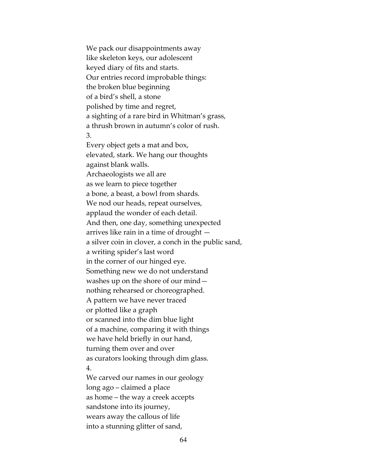We pack our disappointments away like skeleton keys, our adolescent keyed diary of fits and starts. Our entries record improbable things: the broken blue beginning of a bird's shell, a stone polished by time and regret, a sighting of a rare bird in Whitman's grass, a thrush brown in autumn's color of rush. 3. Every object gets a mat and box, elevated, stark. We hang our thoughts against blank walls. Archaeologists we all are as we learn to piece together a bone, a beast, a bowl from shards. We nod our heads, repeat ourselves, applaud the wonder of each detail. And then, one day, something unexpected arrives like rain in a time of drought a silver coin in clover, a conch in the public sand, a writing spider's last word in the corner of our hinged eye. Something new we do not understand washes up on the shore of our mind nothing rehearsed or choreographed. A pattern we have never traced or plotted like a graph or scanned into the dim blue light of a machine, comparing it with things we have held briefly in our hand, turning them over and over as curators looking through dim glass. 4. We carved our names in our geology long ago – claimed a place as home – the way a creek accepts sandstone into its journey, wears away the callous of life

64

into a stunning glitter of sand,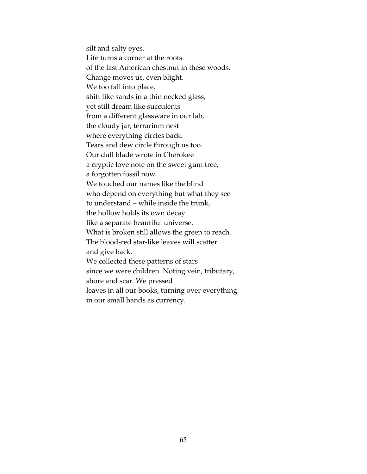silt and salty eyes. Life turns a corner at the roots of the last American chestnut in these woods. Change moves us, even blight. We too fall into place, shift like sands in a thin necked glass, yet still dream like succulents from a different glassware in our lab, the cloudy jar, terrarium nest where everything circles back. Tears and dew circle through us too. Our dull blade wrote in Cherokee a cryptic love note on the sweet gum tree, a forgotten fossil now. We touched our names like the blind who depend on everything but what they see to understand – while inside the trunk, the hollow holds its own decay like a separate beautiful universe. What is broken still allows the green to reach. The blood-red star-like leaves will scatter and give back. We collected these patterns of stars since we were children. Noting vein, tributary, shore and scar. We pressed leaves in all our books, turning over everything in our small hands as currency.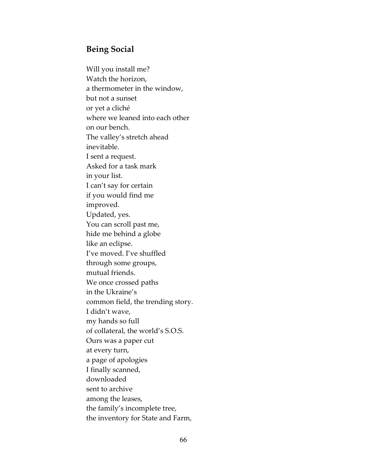# Being Social

Will you install me? Watch the horizon, a thermometer in the window, but not a sunset or yet a cliché where we leaned into each other on our bench. The valley's stretch ahead inevitable. I sent a request. Asked for a task mark in your list. I can't say for certain if you would find me improved. Updated, yes. You can scroll past me, hide me behind a globe like an eclipse. I've moved. I've shuffled through some groups, mutual friends. We once crossed paths in the Ukraine's common field, the trending story. I didn't wave, my hands so full of collateral, the world's S.O.S. Ours was a paper cut at every turn, a page of apologies I finally scanned, downloaded sent to archive among the leases, the family's incomplete tree, the inventory for State and Farm,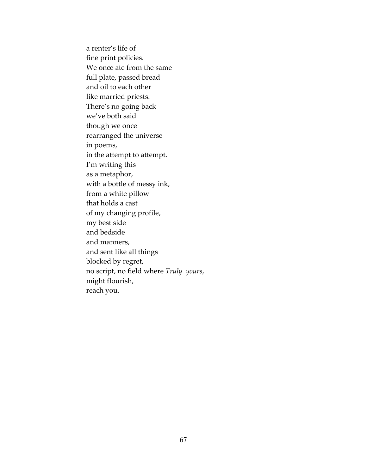a renter's life of fine print policies. We once ate from the same full plate, passed bread and oil to each other like married priests. There's no going back we've both said though we once rearranged the universe in poems, in the attempt to attempt. I'm writing this as a metaphor, with a bottle of messy ink, from a white pillow that holds a cast of my changing profile, my best side and bedside and manners, and sent like all things blocked by regret, no script, no field where Truly yours, might flourish, reach you.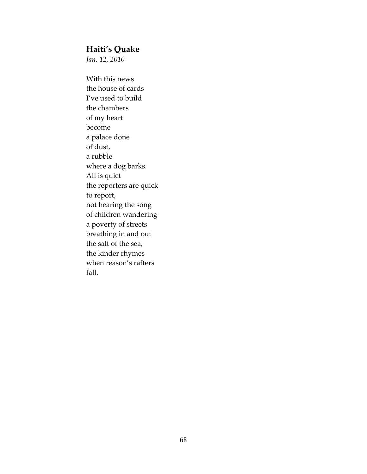## Haiti's Quake

Jan. 12, 2010

With this news the house of cards I've used to build the chambers of my heart become a palace done of dust, a rubble where a dog barks. All is quiet the reporters are quick to report, not hearing the song of children wandering a poverty of streets breathing in and out the salt of the sea, the kinder rhymes when reason's rafters fall.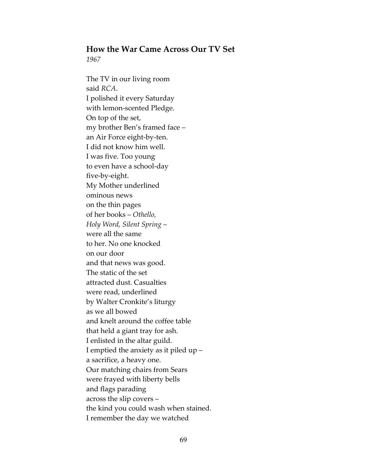# How the War Came Across Our TV Set

1967

The TV in our living room said RCA. I polished it every Saturday with lemon-scented Pledge. On top of the set, my brother Ben's framed face – an Air Force eight-by-ten. I did not know him well. I was five. Too young to even have a school-day five-by-eight. My Mother underlined ominous news on the thin pages of her books – Othello, Holy Word, Silent Spring – were all the same to her. No one knocked on our door and that news was good. The static of the set attracted dust. Casualties were read, underlined by Walter Cronkite's liturgy as we all bowed and knelt around the coffee table that held a giant tray for ash. I enlisted in the altar guild. I emptied the anxiety as it piled up – a sacrifice, a heavy one. Our matching chairs from Sears were frayed with liberty bells and flags parading across the slip covers – the kind you could wash when stained. I remember the day we watched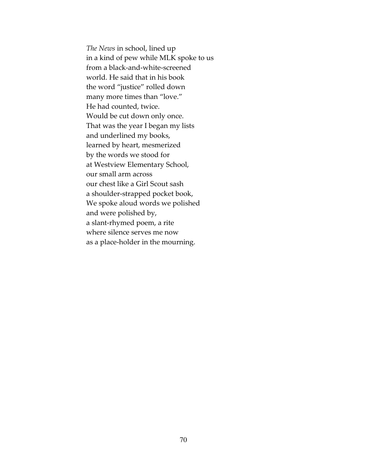The News in school, lined up in a kind of pew while MLK spoke to us from a black-and-white-screened world. He said that in his book the word "justice" rolled down many more times than "love." He had counted, twice. Would be cut down only once. That was the year I began my lists and underlined my books, learned by heart, mesmerized by the words we stood for at Westview Elementary School, our small arm across our chest like a Girl Scout sash a shoulder-strapped pocket book, We spoke aloud words we polished and were polished by, a slant-rhymed poem, a rite where silence serves me now as a place-holder in the mourning.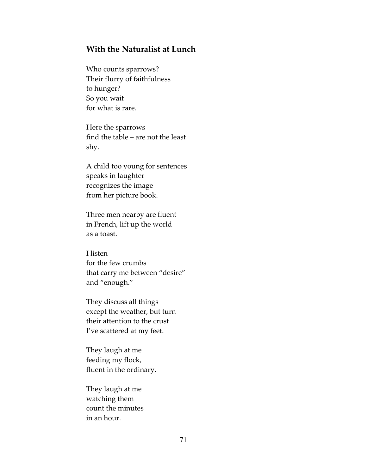## With the Naturalist at Lunch

Who counts sparrows? Their flurry of faithfulness to hunger? So you wait for what is rare.

Here the sparrows find the table – are not the least shy.

A child too young for sentences speaks in laughter recognizes the image from her picture book.

Three men nearby are fluent in French, lift up the world as a toast.

I listen for the few crumbs that carry me between "desire" and "enough."

They discuss all things except the weather, but turn their attention to the crust I've scattered at my feet.

They laugh at me feeding my flock, fluent in the ordinary.

They laugh at me watching them count the minutes in an hour.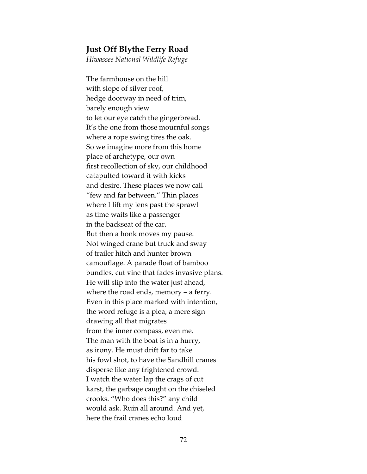#### Just Off Blythe Ferry Road

Hiwassee National Wildlife Refuge

The farmhouse on the hill with slope of silver roof, hedge doorway in need of trim, barely enough view to let our eye catch the gingerbread. It's the one from those mournful songs where a rope swing tires the oak. So we imagine more from this home place of archetype, our own first recollection of sky, our childhood catapulted toward it with kicks and desire. These places we now call "few and far between." Thin places where I lift my lens past the sprawl as time waits like a passenger in the backseat of the car. But then a honk moves my pause. Not winged crane but truck and sway of trailer hitch and hunter brown camouflage. A parade float of bamboo bundles, cut vine that fades invasive plans. He will slip into the water just ahead, where the road ends, memory – a ferry. Even in this place marked with intention, the word refuge is a plea, a mere sign drawing all that migrates from the inner compass, even me. The man with the boat is in a hurry, as irony. He must drift far to take his fowl shot, to have the Sandhill cranes disperse like any frightened crowd. I watch the water lap the crags of cut karst, the garbage caught on the chiseled crooks. "Who does this?" any child would ask. Ruin all around. And yet, here the frail cranes echo loud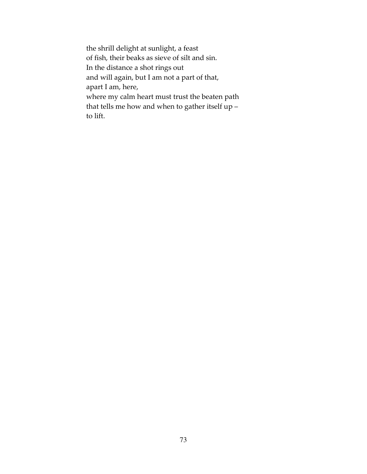the shrill delight at sunlight, a feast of fish, their beaks as sieve of silt and sin. In the distance a shot rings out and will again, but I am not a part of that, apart I am, here, where my calm heart must trust the beaten path that tells me how and when to gather itself up – to lift.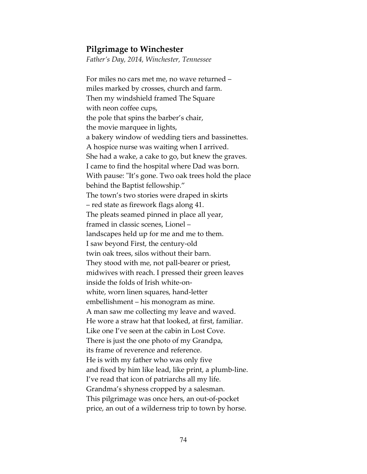#### Pilgrimage to Winchester

Father's Day, 2014, Winchester, Tennessee

For miles no cars met me, no wave returned – miles marked by crosses, church and farm. Then my windshield framed The Square with neon coffee cups, the pole that spins the barber's chair, the movie marquee in lights, a bakery window of wedding tiers and bassinettes. A hospice nurse was waiting when I arrived. She had a wake, a cake to go, but knew the graves. I came to find the hospital where Dad was born. With pause: "It's gone. Two oak trees hold the place behind the Baptist fellowship." The town's two stories were draped in skirts – red state as firework flags along 41. The pleats seamed pinned in place all year, framed in classic scenes, Lionel – landscapes held up for me and me to them. I saw beyond First, the century-old twin oak trees, silos without their barn. They stood with me, not pall-bearer or priest, midwives with reach. I pressed their green leaves inside the folds of Irish white-onwhite, worn linen squares, hand-letter embellishment – his monogram as mine. A man saw me collecting my leave and waved. He wore a straw hat that looked, at first, familiar. Like one I've seen at the cabin in Lost Cove. There is just the one photo of my Grandpa, its frame of reverence and reference. He is with my father who was only five and fixed by him like lead, like print, a plumb-line. I've read that icon of patriarchs all my life. Grandma's shyness cropped by a salesman. This pilgrimage was once hers, an out-of-pocket price, an out of a wilderness trip to town by horse.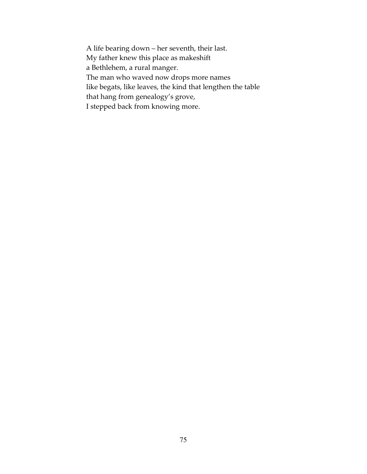A life bearing down – her seventh, their last. My father knew this place as makeshift a Bethlehem, a rural manger. The man who waved now drops more names like begats, like leaves, the kind that lengthen the table that hang from genealogy's grove, I stepped back from knowing more.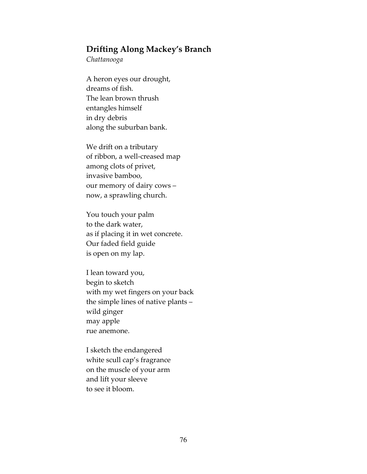## Drifting Along Mackey's Branch

Chattanooga

A heron eyes our drought, dreams of fish. The lean brown thrush entangles himself in dry debris along the suburban bank.

We drift on a tributary of ribbon, a well-creased map among clots of privet, invasive bamboo, our memory of dairy cows – now, a sprawling church.

You touch your palm to the dark water, as if placing it in wet concrete. Our faded field guide is open on my lap.

I lean toward you, begin to sketch with my wet fingers on your back the simple lines of native plants – wild ginger may apple rue anemone.

I sketch the endangered white scull cap's fragrance on the muscle of your arm and lift your sleeve to see it bloom.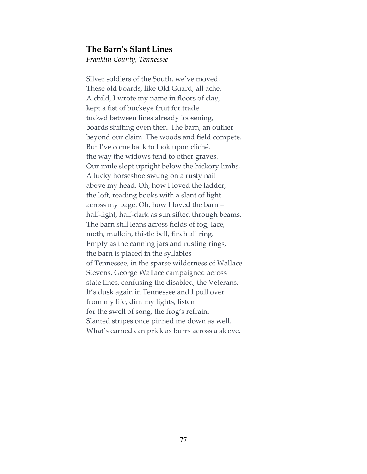#### The Barn's Slant Lines

Franklin County, Tennessee

Silver soldiers of the South, we've moved. These old boards, like Old Guard, all ache. A child, I wrote my name in floors of clay, kept a fist of buckeye fruit for trade tucked between lines already loosening, boards shifting even then. The barn, an outlier beyond our claim. The woods and field compete. But I've come back to look upon cliché, the way the widows tend to other graves. Our mule slept upright below the hickory limbs. A lucky horseshoe swung on a rusty nail above my head. Oh, how I loved the ladder, the loft, reading books with a slant of light across my page. Oh, how I loved the barn – half-light, half-dark as sun sifted through beams. The barn still leans across fields of fog, lace, moth, mullein, thistle bell, finch all ring. Empty as the canning jars and rusting rings, the barn is placed in the syllables of Tennessee, in the sparse wilderness of Wallace Stevens. George Wallace campaigned across state lines, confusing the disabled, the Veterans. It's dusk again in Tennessee and I pull over from my life, dim my lights, listen for the swell of song, the frog's refrain. Slanted stripes once pinned me down as well. What's earned can prick as burrs across a sleeve.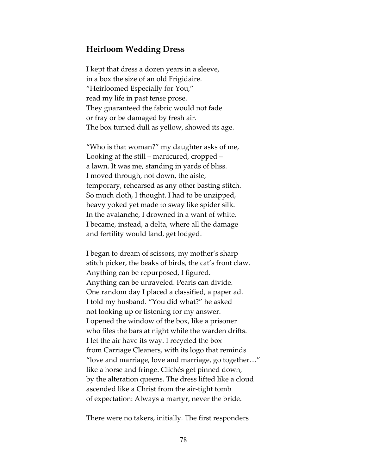## Heirloom Wedding Dress

I kept that dress a dozen years in a sleeve, in a box the size of an old Frigidaire. "Heirloomed Especially for You," read my life in past tense prose. They guaranteed the fabric would not fade or fray or be damaged by fresh air. The box turned dull as yellow, showed its age.

"Who is that woman?" my daughter asks of me, Looking at the still – manicured, cropped – a lawn. It was me, standing in yards of bliss. I moved through, not down, the aisle, temporary, rehearsed as any other basting stitch. So much cloth, I thought. I had to be unzipped, heavy yoked yet made to sway like spider silk. In the avalanche, I drowned in a want of white. I became, instead, a delta, where all the damage and fertility would land, get lodged.

I began to dream of scissors, my mother's sharp stitch picker, the beaks of birds, the cat's front claw. Anything can be repurposed, I figured. Anything can be unraveled. Pearls can divide. One random day I placed a classified, a paper ad. I told my husband. "You did what?" he asked not looking up or listening for my answer. I opened the window of the box, like a prisoner who files the bars at night while the warden drifts. I let the air have its way. I recycled the box from Carriage Cleaners, with its logo that reminds "love and marriage, love and marriage, go together…" like a horse and fringe. Clichés get pinned down, by the alteration queens. The dress lifted like a cloud ascended like a Christ from the air-tight tomb of expectation: Always a martyr, never the bride.

There were no takers, initially. The first responders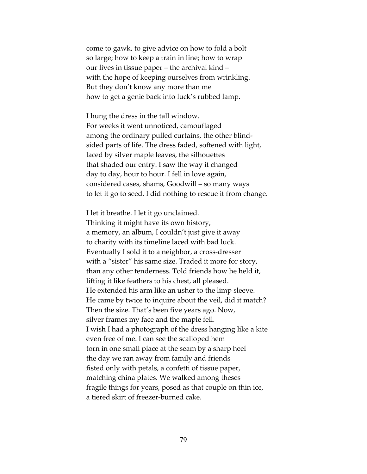come to gawk, to give advice on how to fold a bolt so large; how to keep a train in line; how to wrap our lives in tissue paper – the archival kind – with the hope of keeping ourselves from wrinkling. But they don't know any more than me how to get a genie back into luck's rubbed lamp.

I hung the dress in the tall window. For weeks it went unnoticed, camouflaged among the ordinary pulled curtains, the other blindsided parts of life. The dress faded, softened with light, laced by silver maple leaves, the silhouettes that shaded our entry. I saw the way it changed day to day, hour to hour. I fell in love again, considered cases, shams, Goodwill – so many ways to let it go to seed. I did nothing to rescue it from change.

I let it breathe. I let it go unclaimed. Thinking it might have its own history, a memory, an album, I couldn't just give it away to charity with its timeline laced with bad luck. Eventually I sold it to a neighbor, a cross-dresser with a "sister" his same size. Traded it more for story, than any other tenderness. Told friends how he held it, lifting it like feathers to his chest, all pleased. He extended his arm like an usher to the limp sleeve. He came by twice to inquire about the veil, did it match? Then the size. That's been five years ago. Now, silver frames my face and the maple fell. I wish I had a photograph of the dress hanging like a kite even free of me. I can see the scalloped hem torn in one small place at the seam by a sharp heel the day we ran away from family and friends fisted only with petals, a confetti of tissue paper, matching china plates. We walked among theses fragile things for years, posed as that couple on thin ice, a tiered skirt of freezer-burned cake.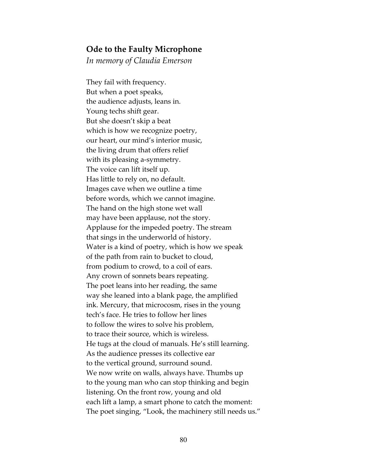#### Ode to the Faulty Microphone

In memory of Claudia Emerson

They fail with frequency. But when a poet speaks, the audience adjusts, leans in. Young techs shift gear. But she doesn't skip a beat which is how we recognize poetry, our heart, our mind's interior music, the living drum that offers relief with its pleasing a-symmetry. The voice can lift itself up. Has little to rely on, no default. Images cave when we outline a time before words, which we cannot imagine. The hand on the high stone wet wall may have been applause, not the story. Applause for the impeded poetry. The stream that sings in the underworld of history. Water is a kind of poetry, which is how we speak of the path from rain to bucket to cloud, from podium to crowd, to a coil of ears. Any crown of sonnets bears repeating. The poet leans into her reading, the same way she leaned into a blank page, the amplified ink. Mercury, that microcosm, rises in the young tech's face. He tries to follow her lines to follow the wires to solve his problem, to trace their source, which is wireless. He tugs at the cloud of manuals. He's still learning. As the audience presses its collective ear to the vertical ground, surround sound. We now write on walls, always have. Thumbs up to the young man who can stop thinking and begin listening. On the front row, young and old each lift a lamp, a smart phone to catch the moment: The poet singing, "Look, the machinery still needs us."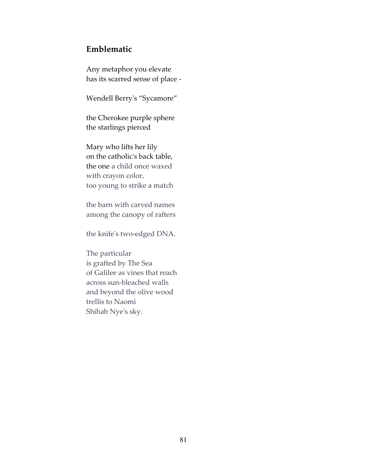## Emblematic

Any metaphor you elevate has its scarred sense of place -

Wendell Berry's "Sycamore"

the Cherokee purple sphere the starlings pierced

Mary who lifts her lily on the catholic's back table, the one a child once waxed with crayon color, too young to strike a match

the barn with carved names among the canopy of rafters

the knife's two-edged DNA.

The particular is grafted by The Sea of Galilee as vines that reach across sun-bleached walls and beyond the olive wood trellis to Naomi Shihab Nye's sky.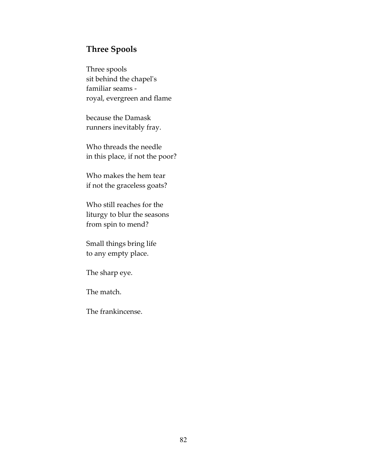# Three Spools

Three spools sit behind the chapel's familiar seams royal, evergreen and flame

because the Damask runners inevitably fray.

Who threads the needle in this place, if not the poor?

Who makes the hem tear if not the graceless goats?

Who still reaches for the liturgy to blur the seasons from spin to mend?

Small things bring life to any empty place.

The sharp eye.

The match.

The frankincense.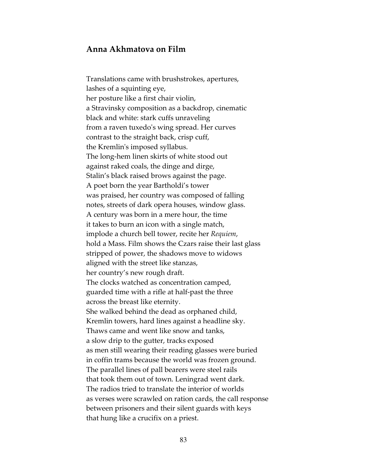## Anna Akhmatova on Film

Translations came with brushstrokes, apertures, lashes of a squinting eye, her posture like a first chair violin, a Stravinsky composition as a backdrop, cinematic black and white: stark cuffs unraveling from a raven tuxedo's wing spread. Her curves contrast to the straight back, crisp cuff, the Kremlin's imposed syllabus. The long-hem linen skirts of white stood out against raked coals, the dinge and dirge, Stalin's black raised brows against the page. A poet born the year Bartholdi's tower was praised, her country was composed of falling notes, streets of dark opera houses, window glass. A century was born in a mere hour, the time it takes to burn an icon with a single match, implode a church bell tower, recite her Requiem, hold a Mass. Film shows the Czars raise their last glass stripped of power, the shadows move to widows aligned with the street like stanzas, her country's new rough draft. The clocks watched as concentration camped, guarded time with a rifle at half-past the three across the breast like eternity. She walked behind the dead as orphaned child, Kremlin towers, hard lines against a headline sky. Thaws came and went like snow and tanks, a slow drip to the gutter, tracks exposed as men still wearing their reading glasses were buried in coffin trams because the world was frozen ground. The parallel lines of pall bearers were steel rails that took them out of town. Leningrad went dark. The radios tried to translate the interior of worlds as verses were scrawled on ration cards, the call response between prisoners and their silent guards with keys that hung like a crucifix on a priest.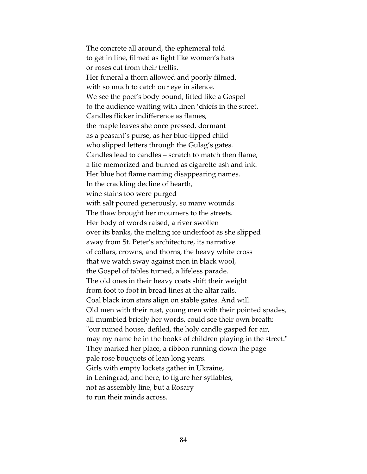The concrete all around, the ephemeral told to get in line, filmed as light like women's hats or roses cut from their trellis. Her funeral a thorn allowed and poorly filmed, with so much to catch our eye in silence. We see the poet's body bound, lifted like a Gospel to the audience waiting with linen 'chiefs in the street. Candles flicker indifference as flames, the maple leaves she once pressed, dormant as a peasant's purse, as her blue-lipped child who slipped letters through the Gulag's gates. Candles lead to candles – scratch to match then flame, a life memorized and burned as cigarette ash and ink. Her blue hot flame naming disappearing names. In the crackling decline of hearth, wine stains too were purged with salt poured generously, so many wounds. The thaw brought her mourners to the streets. Her body of words raised, a river swollen over its banks, the melting ice underfoot as she slipped away from St. Peter's architecture, its narrative of collars, crowns, and thorns, the heavy white cross that we watch sway against men in black wool, the Gospel of tables turned, a lifeless parade. The old ones in their heavy coats shift their weight from foot to foot in bread lines at the altar rails. Coal black iron stars align on stable gates. And will. Old men with their rust, young men with their pointed spades, all mumbled briefly her words, could see their own breath: "our ruined house, defiled, the holy candle gasped for air, may my name be in the books of children playing in the street." They marked her place, a ribbon running down the page pale rose bouquets of lean long years. Girls with empty lockets gather in Ukraine, in Leningrad, and here, to figure her syllables, not as assembly line, but a Rosary to run their minds across.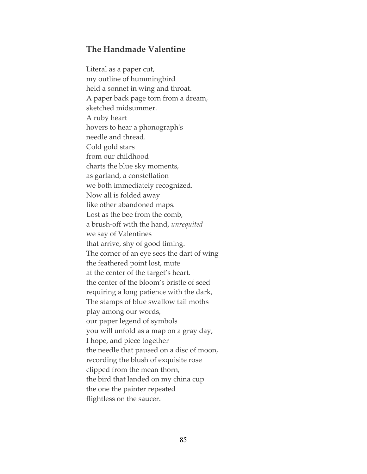## The Handmade Valentine

Literal as a paper cut, my outline of hummingbird held a sonnet in wing and throat. A paper back page torn from a dream, sketched midsummer. A ruby heart hovers to hear a phonograph's needle and thread. Cold gold stars from our childhood charts the blue sky moments, as garland, a constellation we both immediately recognized. Now all is folded away like other abandoned maps. Lost as the bee from the comb, a brush-off with the hand, unrequited we say of Valentines that arrive, shy of good timing. The corner of an eye sees the dart of wing the feathered point lost, mute at the center of the target's heart. the center of the bloom's bristle of seed requiring a long patience with the dark, The stamps of blue swallow tail moths play among our words, our paper legend of symbols you will unfold as a map on a gray day, I hope, and piece together the needle that paused on a disc of moon, recording the blush of exquisite rose clipped from the mean thorn, the bird that landed on my china cup the one the painter repeated flightless on the saucer.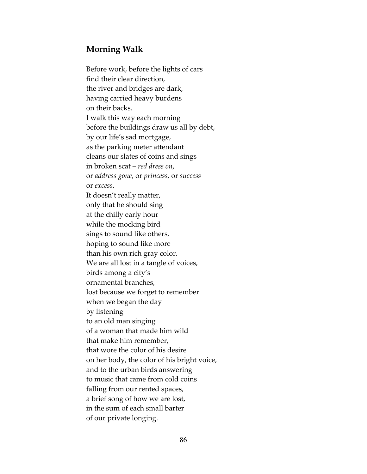# Morning Walk

Before work, before the lights of cars find their clear direction, the river and bridges are dark, having carried heavy burdens on their backs. I walk this way each morning before the buildings draw us all by debt, by our life's sad mortgage, as the parking meter attendant cleans our slates of coins and sings in broken scat – red dress on, or address gone, or princess, or success or excess. It doesn't really matter, only that he should sing at the chilly early hour while the mocking bird sings to sound like others, hoping to sound like more than his own rich gray color. We are all lost in a tangle of voices, birds among a city's ornamental branches, lost because we forget to remember when we began the day by listening to an old man singing of a woman that made him wild that make him remember, that wore the color of his desire on her body, the color of his bright voice, and to the urban birds answering to music that came from cold coins falling from our rented spaces, a brief song of how we are lost, in the sum of each small barter of our private longing.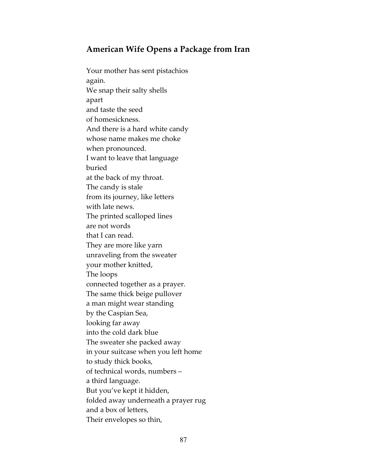# American Wife Opens a Package from Iran

Your mother has sent pistachios again. We snap their salty shells apart and taste the seed of homesickness. And there is a hard white candy whose name makes me choke when pronounced. I want to leave that language buried at the back of my throat. The candy is stale from its journey, like letters with late news. The printed scalloped lines are not words that I can read. They are more like yarn unraveling from the sweater your mother knitted, The loops connected together as a prayer. The same thick beige pullover a man might wear standing by the Caspian Sea, looking far away into the cold dark blue The sweater she packed away in your suitcase when you left home to study thick books, of technical words, numbers – a third language. But you've kept it hidden, folded away underneath a prayer rug and a box of letters, Their envelopes so thin,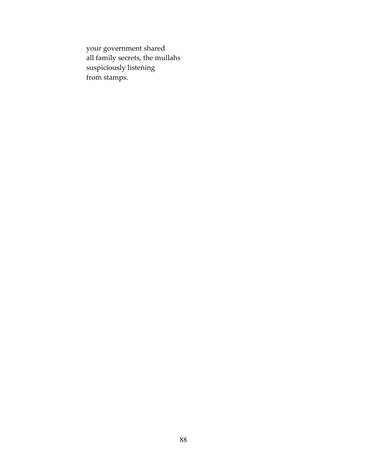your government shared all family secrets, the mullahs suspiciously listening from stamps.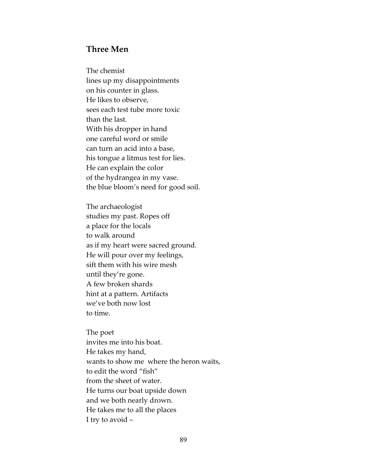## Three Men

The chemist lines up my disappointments on his counter in glass. He likes to observe, sees each test tube more toxic than the last. With his dropper in hand one careful word or smile can turn an acid into a base, his tongue a litmus test for lies. He can explain the color of the hydrangea in my vase. the blue bloom's need for good soil.

The archaeologist studies my past. Ropes off a place for the locals to walk around as if my heart were sacred ground. He will pour over my feelings, sift them with his wire mesh until they're gone. A few broken shards hint at a pattern. Artifacts we've both now lost to time.

The poet invites me into his boat. He takes my hand, wants to show me where the heron waits, to edit the word "fish" from the sheet of water. He turns our boat upside down and we both nearly drown. He takes me to all the places I try to avoid –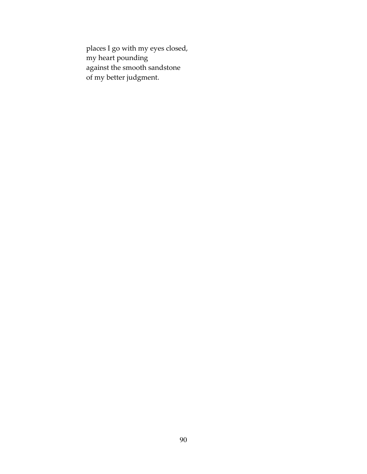places I go with my eyes closed, my heart pounding against the smooth sandstone of my better judgment.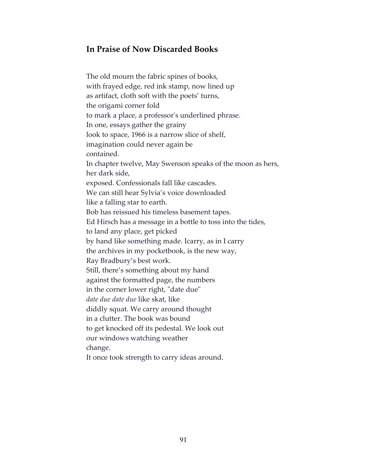# In Praise of Now Discarded Books

The old mourn the fabric spines of books, with frayed edge, red ink stamp, now lined up as artifact, cloth soft with the poets' turns, the origami corner fold to mark a place, a professor's underlined phrase. In one, essays gather the grainy look to space, 1966 is a narrow slice of shelf, imagination could never again be contained. In chapter twelve, May Swenson speaks of the moon as hers, her dark side, exposed. Confessionals fall like cascades. We can still hear Sylvia's voice downloaded like a falling star to earth. Bob has reissued his timeless basement tapes. Ed Hirsch has a message in a bottle to toss into the tides, to land any place, get picked by hand like something made. Icarry, as in I carry the archives in my pocketbook, is the new way, Ray Bradbury's best work. Still, there's something about my hand against the formatted page, the numbers in the corner lower right, "date due" date due date due like skat, like diddly squat. We carry around thought in a clutter. The book was bound to get knocked off its pedestal. We look out our windows watching weather change.

It once took strength to carry ideas around.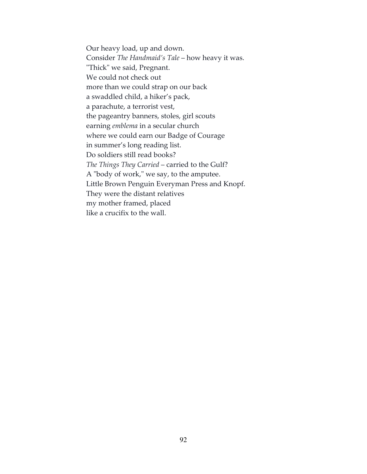Our heavy load, up and down. Consider The Handmaid's Tale – how heavy it was. "Thick" we said, Pregnant. We could not check out more than we could strap on our back a swaddled child, a hiker's pack, a parachute, a terrorist vest, the pageantry banners, stoles, girl scouts earning emblema in a secular church where we could earn our Badge of Courage in summer's long reading list. Do soldiers still read books? The Things They Carried – carried to the Gulf? A "body of work," we say, to the amputee. Little Brown Penguin Everyman Press and Knopf. They were the distant relatives my mother framed, placed like a crucifix to the wall.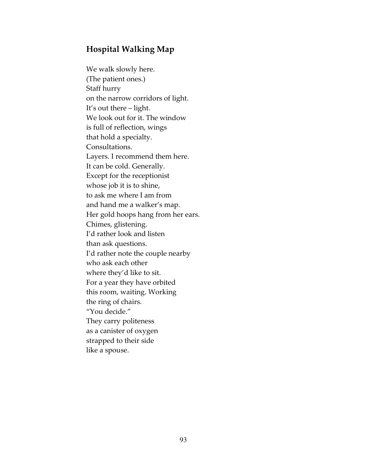# Hospital Walking Map

We walk slowly here. (The patient ones.) Staff hurry on the narrow corridors of light. It's out there – light. We look out for it. The window is full of reflection, wings that hold a specialty. Consultations. Layers. I recommend them here. It can be cold. Generally. Except for the receptionist whose job it is to shine, to ask me where I am from and hand me a walker's map. Her gold hoops hang from her ears. Chimes, glistening. I'd rather look and listen than ask questions. I'd rather note the couple nearby who ask each other where they'd like to sit. For a year they have orbited this room, waiting. Working the ring of chairs. "You decide." They carry politeness as a canister of oxygen strapped to their side like a spouse.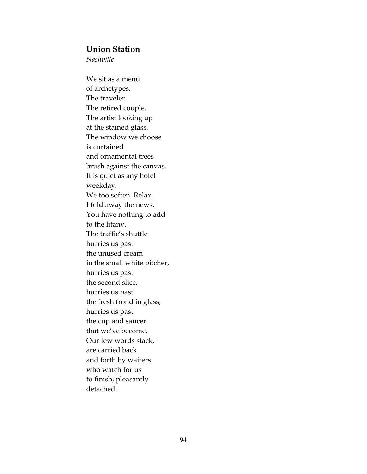#### Union Station

Nashville

We sit as a menu of archetypes. The traveler. The retired couple. The artist looking up at the stained glass. The window we choose is curtained and ornamental trees brush against the canvas. It is quiet as any hotel weekday. We too soften. Relax. I fold away the news. You have nothing to add to the litany. The traffic's shuttle hurries us past the unused cream in the small white pitcher, hurries us past the second slice, hurries us past the fresh frond in glass, hurries us past the cup and saucer that we've become. Our few words stack, are carried back and forth by waiters who watch for us to finish, pleasantly detached.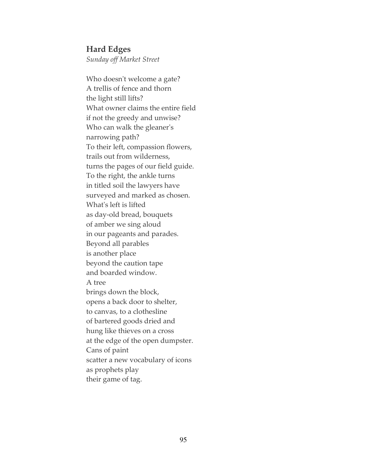## Hard Edges

Sunday off Market Street

Who doesn't welcome a gate? A trellis of fence and thorn the light still lifts? What owner claims the entire field if not the greedy and unwise? Who can walk the gleaner's narrowing path? To their left, compassion flowers, trails out from wilderness, turns the pages of our field guide. To the right, the ankle turns in titled soil the lawyers have surveyed and marked as chosen. What's left is lifted as day-old bread, bouquets of amber we sing aloud in our pageants and parades. Beyond all parables is another place beyond the caution tape and boarded window. A tree brings down the block, opens a back door to shelter, to canvas, to a clothesline of bartered goods dried and hung like thieves on a cross at the edge of the open dumpster. Cans of paint scatter a new vocabulary of icons as prophets play their game of tag.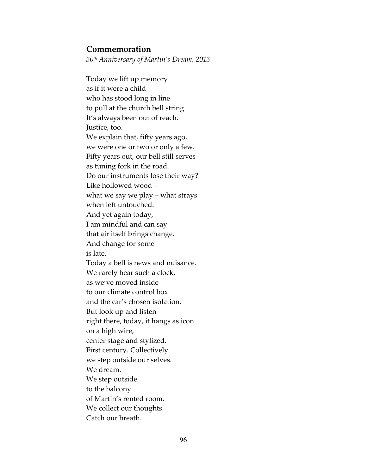## Commemoration

50th Anniversary of Martin's Dream, 2013

Today we lift up memory as if it were a child who has stood long in line to pull at the church bell string. It's always been out of reach. Justice, too. We explain that, fifty years ago, we were one or two or only a few. Fifty years out, our bell still serves as tuning fork in the road. Do our instruments lose their way? Like hollowed wood – what we say we play – what strays when left untouched. And yet again today, I am mindful and can say that air itself brings change. And change for some is late. Today a bell is news and nuisance. We rarely hear such a clock, as we've moved inside to our climate control box and the car's chosen isolation. But look up and listen right there, today, it hangs as icon on a high wire, center stage and stylized. First century. Collectively we step outside our selves. We dream. We step outside to the balcony of Martin's rented room. We collect our thoughts. Catch our breath.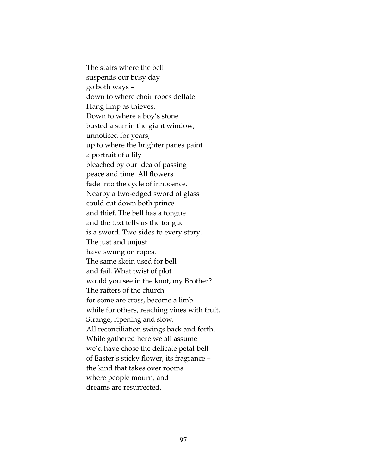The stairs where the bell suspends our busy day go both ways – down to where choir robes deflate. Hang limp as thieves. Down to where a boy's stone busted a star in the giant window, unnoticed for years; up to where the brighter panes paint a portrait of a lily bleached by our idea of passing peace and time. All flowers fade into the cycle of innocence. Nearby a two-edged sword of glass could cut down both prince and thief. The bell has a tongue and the text tells us the tongue is a sword. Two sides to every story. The just and unjust have swung on ropes. The same skein used for bell and fail. What twist of plot would you see in the knot, my Brother? The rafters of the church for some are cross, become a limb while for others, reaching vines with fruit. Strange, ripening and slow. All reconciliation swings back and forth. While gathered here we all assume we'd have chose the delicate petal-bell of Easter's sticky flower, its fragrance – the kind that takes over rooms where people mourn, and dreams are resurrected.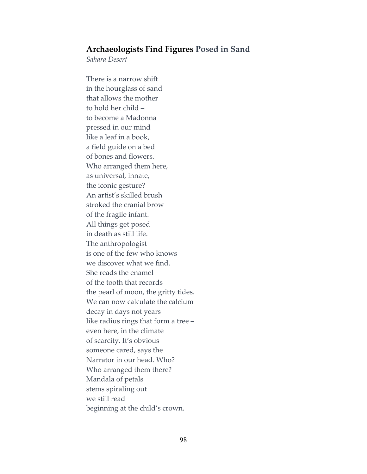## Archaeologists Find Figures Posed in Sand

Sahara Desert

There is a narrow shift in the hourglass of sand that allows the mother to hold her child – to become a Madonna pressed in our mind like a leaf in a book, a field guide on a bed of bones and flowers. Who arranged them here, as universal, innate, the iconic gesture? An artist's skilled brush stroked the cranial brow of the fragile infant. All things get posed in death as still life. The anthropologist is one of the few who knows we discover what we find. She reads the enamel of the tooth that records the pearl of moon, the gritty tides. We can now calculate the calcium decay in days not years like radius rings that form a tree – even here, in the climate of scarcity. It's obvious someone cared, says the Narrator in our head. Who? Who arranged them there? Mandala of petals stems spiraling out we still read beginning at the child's crown.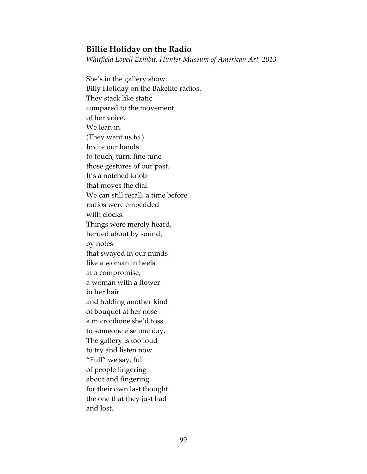## Billie Holiday on the Radio

Whitfield Lovell Exhibit, Hunter Museum of American Art, 2013

She's in the gallery show. Billy Holiday on the Bakelite radios. They stack like static compared to the movement of her voice. We lean in. (They want us to.) Invite our hands to touch, turn, fine tune those gestures of our past. It's a notched knob that moves the dial. We can still recall, a time before radios were embedded with clocks. Things were merely heard, herded about by sound, by notes that swayed in our minds like a woman in heels at a compromise, a woman with a flower in her hair and holding another kind of bouquet at her nose – a microphone she'd toss to someone else one day. The gallery is too loud to try and listen now. "Full" we say, full of people lingering about and fingering for their own last thought the one that they just had and lost.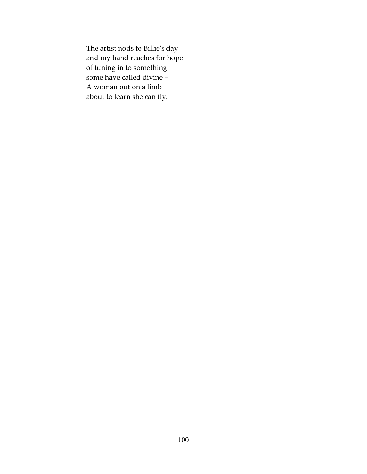The artist nods to Billie's day and my hand reaches for hope of tuning in to something some have called divine – A woman out on a limb about to learn she can fly.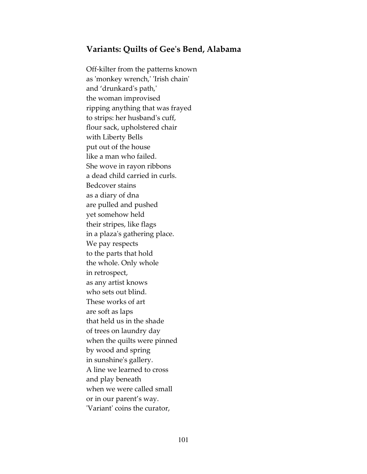## Variants: Quilts of Gee's Bend, Alabama

Off-kilter from the patterns known as 'monkey wrench,' 'Irish chain' and 'drunkard's path,' the woman improvised ripping anything that was frayed to strips: her husband's cuff, flour sack, upholstered chair with Liberty Bells put out of the house like a man who failed. She wove in rayon ribbons a dead child carried in curls. Bedcover stains as a diary of dna are pulled and pushed yet somehow held their stripes, like flags in a plaza's gathering place. We pay respects to the parts that hold the whole. Only whole in retrospect, as any artist knows who sets out blind. These works of art are soft as laps that held us in the shade of trees on laundry day when the quilts were pinned by wood and spring in sunshine's gallery. A line we learned to cross and play beneath when we were called small or in our parent's way. 'Variant' coins the curator,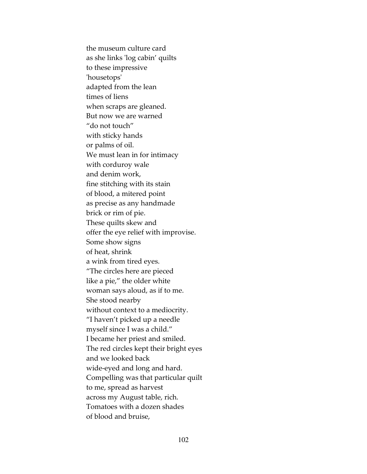the museum culture card as she links 'log cabin' quilts to these impressive 'housetops' adapted from the lean times of liens when scraps are gleaned. But now we are warned "do not touch" with sticky hands or palms of oil. We must lean in for intimacy with corduroy wale and denim work, fine stitching with its stain of blood, a mitered point as precise as any handmade brick or rim of pie. These quilts skew and offer the eye relief with improvise. Some show signs of heat, shrink a wink from tired eyes. "The circles here are pieced like a pie," the older white woman says aloud, as if to me. She stood nearby without context to a mediocrity. "I haven't picked up a needle myself since I was a child." I became her priest and smiled. The red circles kept their bright eyes and we looked back wide-eyed and long and hard. Compelling was that particular quilt to me, spread as harvest across my August table, rich. Tomatoes with a dozen shades of blood and bruise,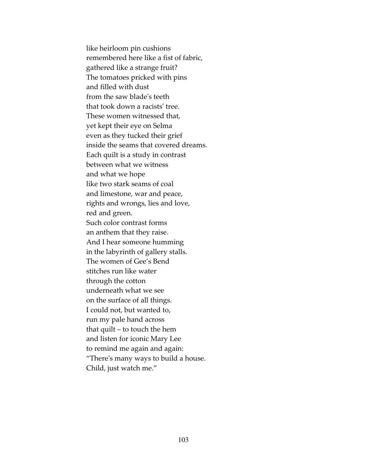like heirloom pin cushions remembered here like a fist of fabric, gathered like a strange fruit? The tomatoes pricked with pins and filled with dust from the saw blade's teeth that took down a racists' tree. These women witnessed that, yet kept their eye on Selma even as they tucked their grief inside the seams that covered dreams. Each quilt is a study in contrast between what we witness and what we hope like two stark seams of coal and limestone, war and peace, rights and wrongs, lies and love, red and green. Such color contrast forms an anthem that they raise. And I hear someone humming in the labyrinth of gallery stalls. The women of Gee's Bend stitches run like water through the cotton underneath what we see on the surface of all things. I could not, but wanted to, run my pale hand across that quilt – to touch the hem and listen for iconic Mary Lee to remind me again and again: "There's many ways to build a house. Child, just watch me."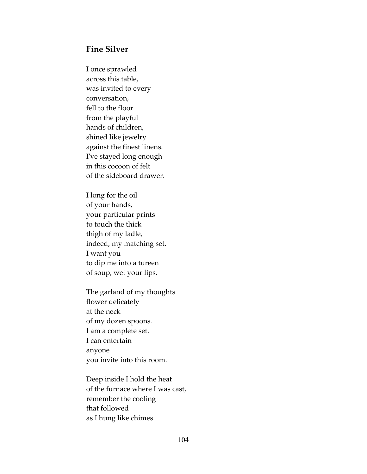#### Fine Silver

I once sprawled across this table, was invited to every conversation, fell to the floor from the playful hands of children, shined like jewelry against the finest linens. I've stayed long enough in this cocoon of felt of the sideboard drawer.

I long for the oil of your hands, your particular prints to touch the thick thigh of my ladle, indeed, my matching set. I want you to dip me into a tureen of soup, wet your lips.

The garland of my thoughts flower delicately at the neck of my dozen spoons. I am a complete set. I can entertain anyone you invite into this room.

Deep inside I hold the heat of the furnace where I was cast, remember the cooling that followed as I hung like chimes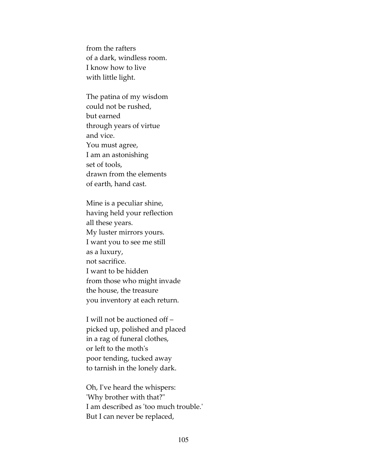from the rafters of a dark, windless room. I know how to live with little light.

The patina of my wisdom could not be rushed, but earned through years of virtue and vice. You must agree, I am an astonishing set of tools, drawn from the elements of earth, hand cast.

Mine is a peculiar shine, having held your reflection all these years. My luster mirrors yours. I want you to see me still as a luxury, not sacrifice. I want to be hidden from those who might invade the house, the treasure you inventory at each return.

I will not be auctioned off – picked up, polished and placed in a rag of funeral clothes, or left to the moth's poor tending, tucked away to tarnish in the lonely dark.

Oh, I've heard the whispers: 'Why brother with that?" I am described as 'too much trouble.' But I can never be replaced,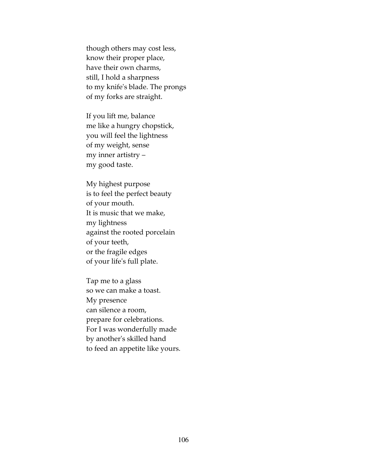though others may cost less, know their proper place, have their own charms, still, I hold a sharpness to my knife's blade. The prongs of my forks are straight.

If you lift me, balance me like a hungry chopstick, you will feel the lightness of my weight, sense my inner artistry – my good taste.

My highest purpose is to feel the perfect beauty of your mouth. It is music that we make, my lightness against the rooted porcelain of your teeth, or the fragile edges of your life's full plate.

Tap me to a glass so we can make a toast. My presence can silence a room, prepare for celebrations. For I was wonderfully made by another's skilled hand to feed an appetite like yours.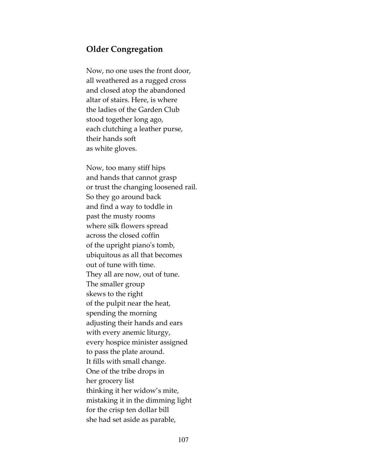### Older Congregation

Now, no one uses the front door, all weathered as a rugged cross and closed atop the abandoned altar of stairs. Here, is where the ladies of the Garden Club stood together long ago, each clutching a leather purse, their hands soft as white gloves.

Now, too many stiff hips and hands that cannot grasp or trust the changing loosened rail. So they go around back and find a way to toddle in past the musty rooms where silk flowers spread across the closed coffin of the upright piano's tomb, ubiquitous as all that becomes out of tune with time. They all are now, out of tune. The smaller group skews to the right of the pulpit near the heat, spending the morning adjusting their hands and ears with every anemic liturgy, every hospice minister assigned to pass the plate around. It fills with small change. One of the tribe drops in her grocery list thinking it her widow's mite, mistaking it in the dimming light for the crisp ten dollar bill she had set aside as parable,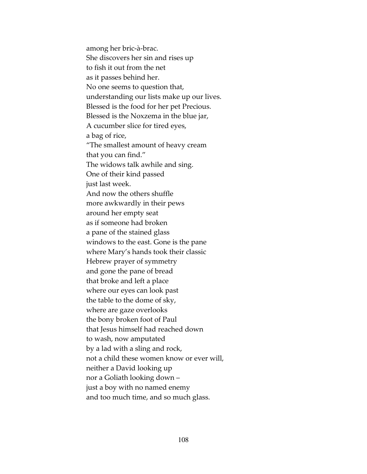among her bric-à-brac. She discovers her sin and rises up to fish it out from the net as it passes behind her. No one seems to question that, understanding our lists make up our lives. Blessed is the food for her pet Precious. Blessed is the Noxzema in the blue jar, A cucumber slice for tired eyes, a bag of rice, "The smallest amount of heavy cream that you can find." The widows talk awhile and sing. One of their kind passed just last week. And now the others shuffle more awkwardly in their pews around her empty seat as if someone had broken a pane of the stained glass windows to the east. Gone is the pane where Mary's hands took their classic Hebrew prayer of symmetry and gone the pane of bread that broke and left a place where our eyes can look past the table to the dome of sky, where are gaze overlooks the bony broken foot of Paul that Jesus himself had reached down to wash, now amputated by a lad with a sling and rock, not a child these women know or ever will, neither a David looking up nor a Goliath looking down – just a boy with no named enemy and too much time, and so much glass.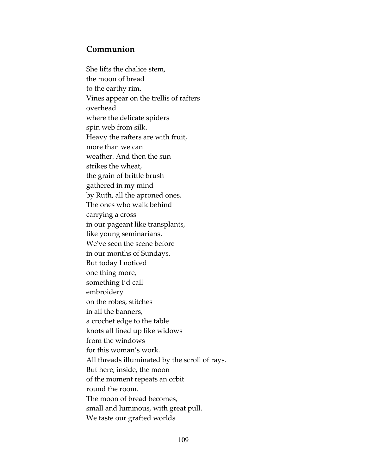## Communion

She lifts the chalice stem, the moon of bread to the earthy rim. Vines appear on the trellis of rafters overhead where the delicate spiders spin web from silk. Heavy the rafters are with fruit, more than we can weather. And then the sun strikes the wheat, the grain of brittle brush gathered in my mind by Ruth, all the aproned ones. The ones who walk behind carrying a cross in our pageant like transplants, like young seminarians. We've seen the scene before in our months of Sundays. But today I noticed one thing more, something I'd call embroidery on the robes, stitches in all the banners, a crochet edge to the table knots all lined up like widows from the windows for this woman's work. All threads illuminated by the scroll of rays. But here, inside, the moon of the moment repeats an orbit round the room. The moon of bread becomes, small and luminous, with great pull. We taste our grafted worlds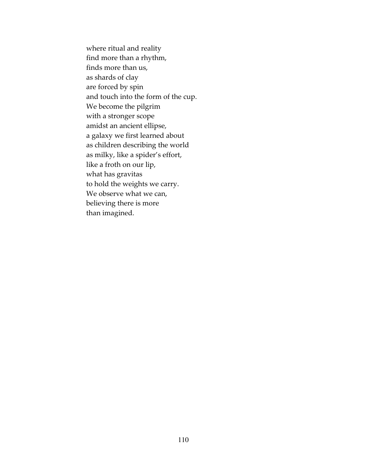where ritual and reality find more than a rhythm, finds more than us, as shards of clay are forced by spin and touch into the form of the cup. We become the pilgrim with a stronger scope amidst an ancient ellipse, a galaxy we first learned about as children describing the world as milky, like a spider's effort, like a froth on our lip, what has gravitas to hold the weights we carry. We observe what we can, believing there is more than imagined.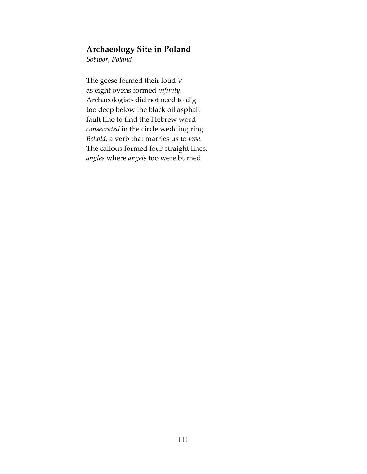## Archaeology Site in Poland

Sobibor, Poland

The geese formed their loud V as eight ovens formed infinity. Archaeologists did not need to dig too deep below the black oil asphalt fault line to find the Hebrew word consecrated in the circle wedding ring. Behold, a verb that marries us to love. The callous formed four straight lines, angles where angels too were burned.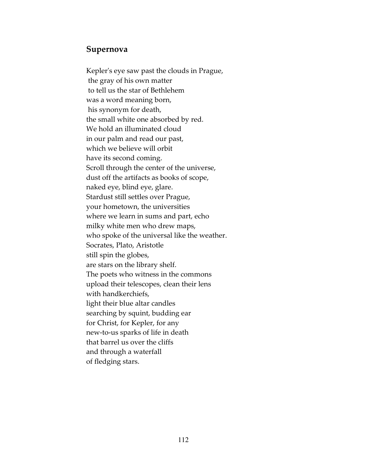#### Supernova

Kepler's eye saw past the clouds in Prague, the gray of his own matter to tell us the star of Bethlehem was a word meaning born, his synonym for death, the small white one absorbed by red. We hold an illuminated cloud in our palm and read our past, which we believe will orbit have its second coming. Scroll through the center of the universe, dust off the artifacts as books of scope, naked eye, blind eye, glare. Stardust still settles over Prague, your hometown, the universities where we learn in sums and part, echo milky white men who drew maps, who spoke of the universal like the weather. Socrates, Plato, Aristotle still spin the globes, are stars on the library shelf. The poets who witness in the commons upload their telescopes, clean their lens with handkerchiefs, light their blue altar candles searching by squint, budding ear for Christ, for Kepler, for any new-to-us sparks of life in death that barrel us over the cliffs and through a waterfall of fledging stars.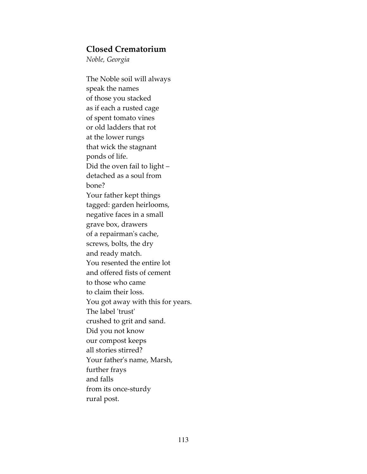### Closed Crematorium

Noble, Georgia

The Noble soil will always speak the names of those you stacked as if each a rusted cage of spent tomato vines or old ladders that rot at the lower rungs that wick the stagnant ponds of life. Did the oven fail to light – detached as a soul from bone? Your father kept things tagged: garden heirlooms, negative faces in a small grave box, drawers of a repairman's cache, screws, bolts, the dry and ready match. You resented the entire lot and offered fists of cement to those who came to claim their loss. You got away with this for years. The label 'trust' crushed to grit and sand. Did you not know our compost keeps all stories stirred? Your father's name, Marsh, further frays and falls from its once-sturdy rural post.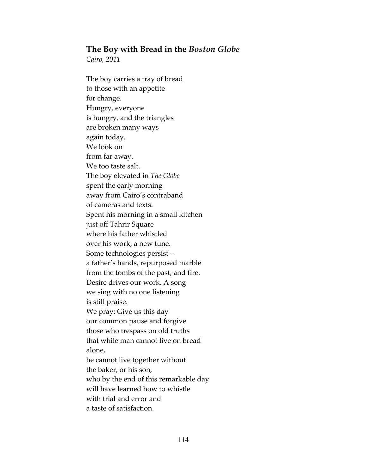#### The Boy with Bread in the Boston Globe

Cairo, 2011

The boy carries a tray of bread to those with an appetite for change. Hungry, everyone is hungry, and the triangles are broken many ways again today. We look on from far away. We too taste salt. The boy elevated in The Globe spent the early morning away from Cairo's contraband of cameras and texts. Spent his morning in a small kitchen just off Tahrir Square where his father whistled over his work, a new tune. Some technologies persist – a father's hands, repurposed marble from the tombs of the past, and fire. Desire drives our work. A song we sing with no one listening is still praise. We pray: Give us this day our common pause and forgive those who trespass on old truths that while man cannot live on bread alone, he cannot live together without the baker, or his son, who by the end of this remarkable day will have learned how to whistle with trial and error and a taste of satisfaction.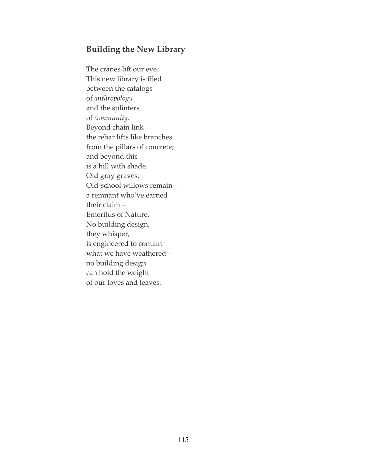# Building the New Library

The cranes lift our eye. This new library is filed between the catalogs of anthropology and the splinters of community. Beyond chain link the rebar lifts like branches from the pillars of concrete; and beyond this is a hill with shade. Old gray graves. Old-school willows remain – a remnant who've earned their claim – Emeritus of Nature. No building design, they whisper, is engineered to contain what we have weathered – no building design can hold the weight of our loves and leaves.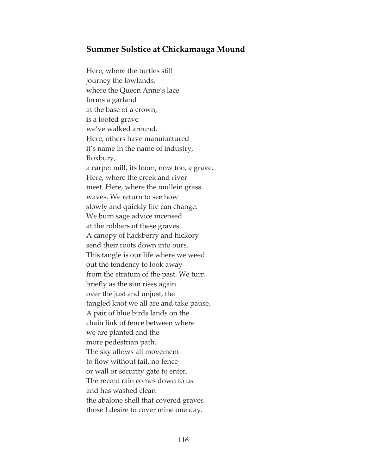### Summer Solstice at Chickamauga Mound

Here, where the turtles still journey the lowlands, where the Queen Anne's lace forms a garland at the base of a crown, is a looted grave we've walked around. Here, others have manufactured it's name in the name of industry, Roxbury, a carpet mill, its loom, now too, a grave. Here, where the creek and river meet. Here, where the mullein grass waves. We return to see how slowly and quickly life can change. We burn sage advice incensed at the robbers of these graves. A canopy of hackberry and hickory send their roots down into ours. This tangle is our life where we weed out the tendency to look away from the stratum of the past. We turn briefly as the sun rises again over the just and unjust, the tangled knot we all are and take pause. A pair of blue birds lands on the chain link of fence between where we are planted and the more pedestrian path. The sky allows all movement to flow without fail, no fence or wall or security gate to enter. The recent rain comes down to us and has washed clean the abalone shell that covered graves those I desire to cover mine one day.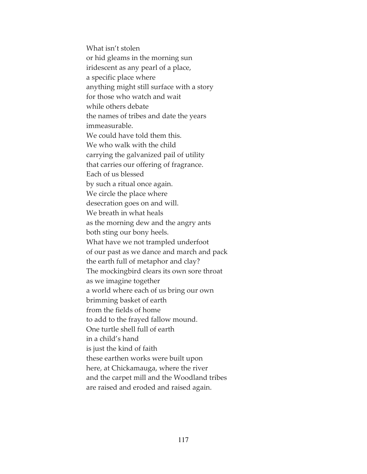What isn't stolen or hid gleams in the morning sun iridescent as any pearl of a place, a specific place where anything might still surface with a story for those who watch and wait while others debate the names of tribes and date the years immeasurable. We could have told them this. We who walk with the child carrying the galvanized pail of utility that carries our offering of fragrance. Each of us blessed by such a ritual once again. We circle the place where desecration goes on and will. We breath in what heals as the morning dew and the angry ants both sting our bony heels. What have we not trampled underfoot of our past as we dance and march and pack the earth full of metaphor and clay? The mockingbird clears its own sore throat as we imagine together a world where each of us bring our own brimming basket of earth from the fields of home to add to the frayed fallow mound. One turtle shell full of earth in a child's hand is just the kind of faith these earthen works were built upon here, at Chickamauga, where the river and the carpet mill and the Woodland tribes are raised and eroded and raised again.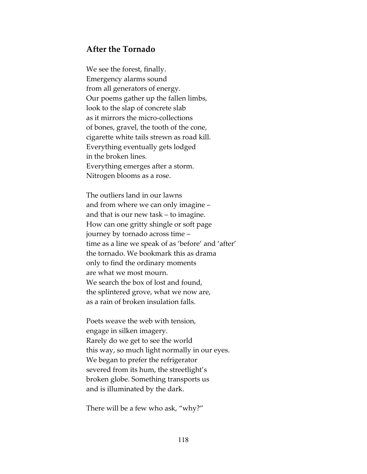### After the Tornado

We see the forest, finally. Emergency alarms sound from all generators of energy. Our poems gather up the fallen limbs, look to the slap of concrete slab as it mirrors the micro-collections of bones, gravel, the tooth of the cone, cigarette white tails strewn as road kill. Everything eventually gets lodged in the broken lines. Everything emerges after a storm. Nitrogen blooms as a rose.

The outliers land in our lawns and from where we can only imagine – and that is our new task – to imagine. How can one gritty shingle or soft page journey by tornado across time – time as a line we speak of as 'before' and 'after' the tornado. We bookmark this as drama only to find the ordinary moments are what we most mourn. We search the box of lost and found, the splintered grove, what we now are, as a rain of broken insulation falls.

Poets weave the web with tension, engage in silken imagery. Rarely do we get to see the world this way, so much light normally in our eyes. We began to prefer the refrigerator severed from its hum, the streetlight's broken globe. Something transports us and is illuminated by the dark.

There will be a few who ask, "why?"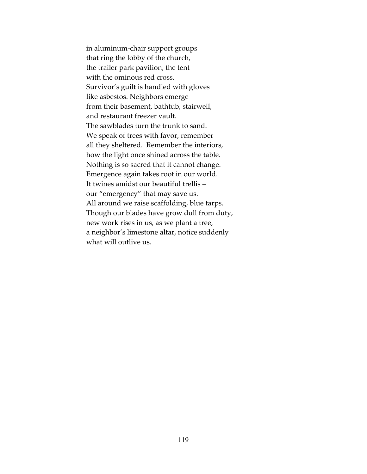in aluminum-chair support groups that ring the lobby of the church, the trailer park pavilion, the tent with the ominous red cross. Survivor's guilt is handled with gloves like asbestos. Neighbors emerge from their basement, bathtub, stairwell, and restaurant freezer vault. The sawblades turn the trunk to sand. We speak of trees with favor, remember all they sheltered. Remember the interiors, how the light once shined across the table. Nothing is so sacred that it cannot change. Emergence again takes root in our world. It twines amidst our beautiful trellis – our "emergency" that may save us. All around we raise scaffolding, blue tarps. Though our blades have grow dull from duty, new work rises in us, as we plant a tree, a neighbor's limestone altar, notice suddenly what will outlive us.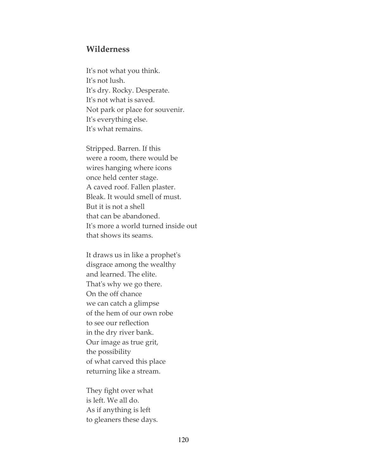#### Wilderness

It's not what you think. It's not lush. It's dry. Rocky. Desperate. It's not what is saved. Not park or place for souvenir. It's everything else. It's what remains.

Stripped. Barren. If this were a room, there would be wires hanging where icons once held center stage. A caved roof. Fallen plaster. Bleak. It would smell of must. But it is not a shell that can be abandoned. It's more a world turned inside out that shows its seams.

It draws us in like a prophet's disgrace among the wealthy and learned. The elite. That's why we go there. On the off chance we can catch a glimpse of the hem of our own robe to see our reflection in the dry river bank. Our image as true grit, the possibility of what carved this place returning like a stream.

They fight over what is left. We all do. As if anything is left to gleaners these days.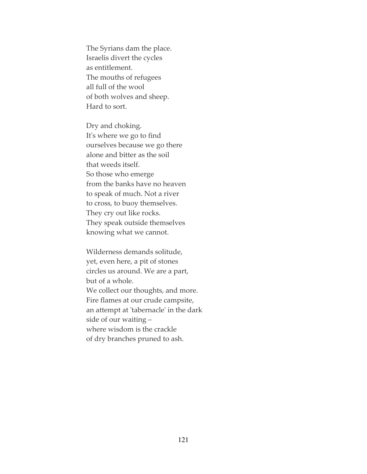The Syrians dam the place. Israelis divert the cycles as entitlement. The mouths of refugees all full of the wool of both wolves and sheep. Hard to sort.

Dry and choking. It's where we go to find ourselves because we go there alone and bitter as the soil that weeds itself. So those who emerge from the banks have no heaven to speak of much. Not a river to cross, to buoy themselves. They cry out like rocks. They speak outside themselves knowing what we cannot.

Wilderness demands solitude, yet, even here, a pit of stones circles us around. We are a part, but of a whole. We collect our thoughts, and more. Fire flames at our crude campsite, an attempt at 'tabernacle' in the dark side of our waiting – where wisdom is the crackle of dry branches pruned to ash.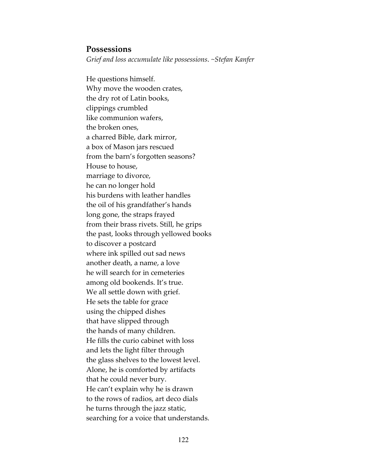### **Possessions**

Grief and loss accumulate like possessions. ~Stefan Kanfer

He questions himself. Why move the wooden crates, the dry rot of Latin books, clippings crumbled like communion wafers, the broken ones, a charred Bible, dark mirror, a box of Mason jars rescued from the barn's forgotten seasons? House to house, marriage to divorce, he can no longer hold his burdens with leather handles the oil of his grandfather's hands long gone, the straps frayed from their brass rivets. Still, he grips the past, looks through yellowed books to discover a postcard where ink spilled out sad news another death, a name, a love he will search for in cemeteries among old bookends. It's true. We all settle down with grief. He sets the table for grace using the chipped dishes that have slipped through the hands of many children. He fills the curio cabinet with loss and lets the light filter through the glass shelves to the lowest level. Alone, he is comforted by artifacts that he could never bury. He can't explain why he is drawn to the rows of radios, art deco dials he turns through the jazz static, searching for a voice that understands.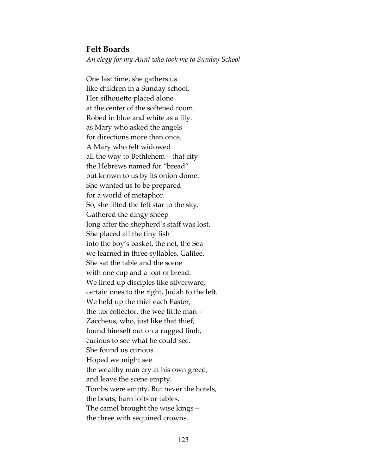#### Felt Boards

An elegy for my Aunt who took me to Sunday School

One last time, she gathers us like children in a Sunday school. Her silhouette placed alone at the center of the softened room. Robed in blue and white as a lily. as Mary who asked the angels for directions more than once. A Mary who felt widowed all the way to Bethlehem – that city the Hebrews named for "bread" but known to us by its onion dome. She wanted us to be prepared for a world of metaphor. So, she lifted the felt star to the sky. Gathered the dingy sheep long after the shepherd's staff was lost. She placed all the tiny fish into the boy's basket, the net, the Sea we learned in three syllables, Galilee. She sat the table and the scene with one cup and a loaf of bread. We lined up disciples like silverware, certain ones to the right, Judah to the left. We held up the thief each Easter, the tax collector, the wee little man – Zaccheus, who, just like that thief, found himself out on a rugged limb, curious to see what he could see. She found us curious. Hoped we might see the wealthy man cry at his own greed, and leave the scene empty. Tombs were empty. But never the hotels, the boats, barn lofts or tables. The camel brought the wise kings – the three with sequined crowns.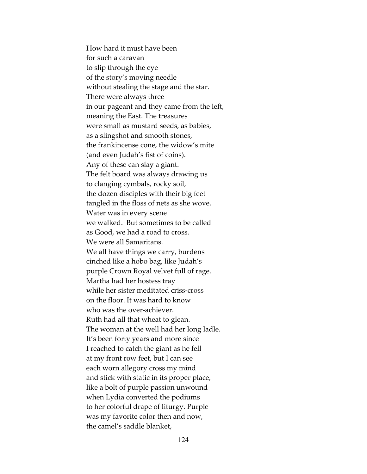How hard it must have been for such a caravan to slip through the eye of the story's moving needle without stealing the stage and the star. There were always three in our pageant and they came from the left, meaning the East. The treasures were small as mustard seeds, as babies, as a slingshot and smooth stones, the frankincense cone, the widow's mite (and even Judah's fist of coins). Any of these can slay a giant. The felt board was always drawing us to clanging cymbals, rocky soil, the dozen disciples with their big feet tangled in the floss of nets as she wove. Water was in every scene we walked. But sometimes to be called as Good, we had a road to cross. We were all Samaritans. We all have things we carry, burdens cinched like a hobo bag, like Judah's purple Crown Royal velvet full of rage. Martha had her hostess tray while her sister meditated criss-cross on the floor. It was hard to know who was the over-achiever. Ruth had all that wheat to glean. The woman at the well had her long ladle. It's been forty years and more since I reached to catch the giant as he fell at my front row feet, but I can see each worn allegory cross my mind and stick with static in its proper place, like a bolt of purple passion unwound when Lydia converted the podiums to her colorful drape of liturgy. Purple was my favorite color then and now, the camel's saddle blanket,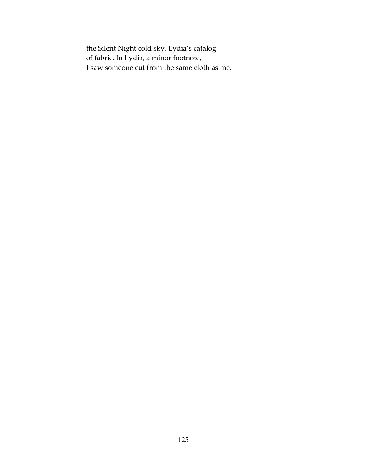the Silent Night cold sky, Lydia's catalog of fabric. In Lydia, a minor footnote, I saw someone cut from the same cloth as me.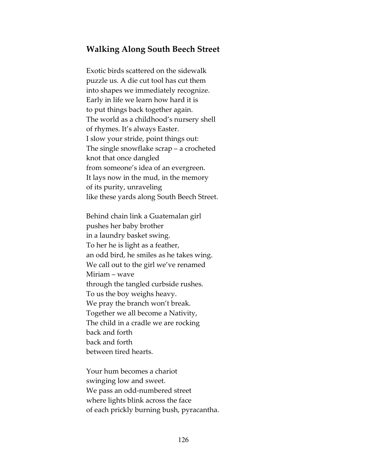### Walking Along South Beech Street

Exotic birds scattered on the sidewalk puzzle us. A die cut tool has cut them into shapes we immediately recognize. Early in life we learn how hard it is to put things back together again. The world as a childhood's nursery shell of rhymes. It's always Easter. I slow your stride, point things out: The single snowflake scrap – a crocheted knot that once dangled from someone's idea of an evergreen. It lays now in the mud, in the memory of its purity, unraveling like these yards along South Beech Street.

Behind chain link a Guatemalan girl pushes her baby brother in a laundry basket swing. To her he is light as a feather, an odd bird, he smiles as he takes wing. We call out to the girl we've renamed Miriam – wave through the tangled curbside rushes. To us the boy weighs heavy. We pray the branch won't break. Together we all become a Nativity, The child in a cradle we are rocking back and forth back and forth between tired hearts.

Your hum becomes a chariot swinging low and sweet. We pass an odd-numbered street where lights blink across the face of each prickly burning bush, pyracantha.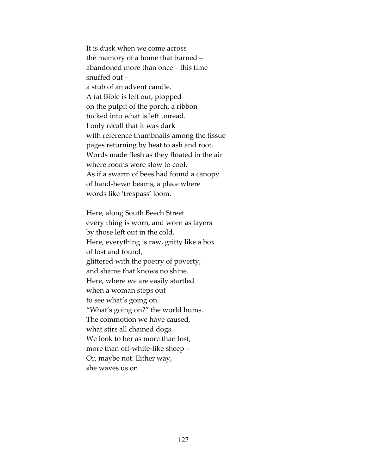It is dusk when we come across the memory of a home that burned – abandoned more than once – this time snuffed out – a stub of an advent candle. A fat Bible is left out, plopped on the pulpit of the porch, a ribbon tucked into what is left unread. I only recall that it was dark with reference thumbnails among the tissue pages returning by heat to ash and root. Words made flesh as they floated in the air where rooms were slow to cool. As if a swarm of bees had found a canopy of hand-hewn beams, a place where words like 'trespass' loom.

Here, along South Beech Street every thing is worn, and worn as layers by those left out in the cold. Here, everything is raw, gritty like a box of lost and found, glittered with the poetry of poverty, and shame that knows no shine. Here, where we are easily startled when a woman steps out to see what's going on. "What's going on?" the world hums. The commotion we have caused, what stirs all chained dogs. We look to her as more than lost, more than off-white-like sheep – Or, maybe not. Either way, she waves us on.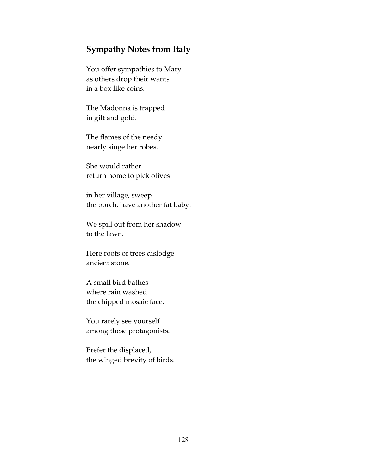## Sympathy Notes from Italy

You offer sympathies to Mary as others drop their wants in a box like coins.

The Madonna is trapped in gilt and gold.

The flames of the needy nearly singe her robes.

She would rather return home to pick olives

in her village, sweep the porch, have another fat baby.

We spill out from her shadow to the lawn.

Here roots of trees dislodge ancient stone.

A small bird bathes where rain washed the chipped mosaic face.

You rarely see yourself among these protagonists.

Prefer the displaced, the winged brevity of birds.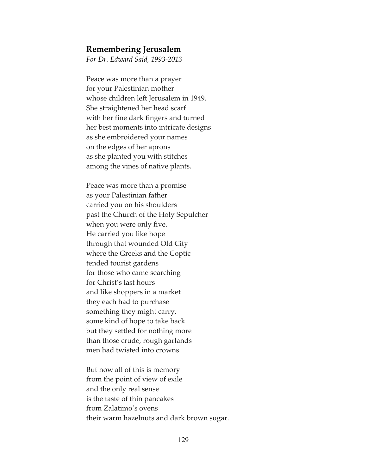#### Remembering Jerusalem

For Dr. Edward Said, 1993-2013

Peace was more than a prayer for your Palestinian mother whose children left Jerusalem in 1949. She straightened her head scarf with her fine dark fingers and turned her best moments into intricate designs as she embroidered your names on the edges of her aprons as she planted you with stitches among the vines of native plants.

Peace was more than a promise as your Palestinian father carried you on his shoulders past the Church of the Holy Sepulcher when you were only five. He carried you like hope through that wounded Old City where the Greeks and the Coptic tended tourist gardens for those who came searching for Christ's last hours and like shoppers in a market they each had to purchase something they might carry, some kind of hope to take back but they settled for nothing more than those crude, rough garlands men had twisted into crowns.

But now all of this is memory from the point of view of exile and the only real sense is the taste of thin pancakes from Zalatimo's ovens their warm hazelnuts and dark brown sugar.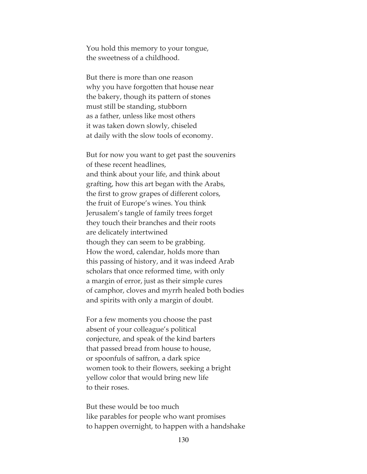You hold this memory to your tongue, the sweetness of a childhood.

But there is more than one reason why you have forgotten that house near the bakery, though its pattern of stones must still be standing, stubborn as a father, unless like most others it was taken down slowly, chiseled at daily with the slow tools of economy.

But for now you want to get past the souvenirs of these recent headlines, and think about your life, and think about grafting, how this art began with the Arabs, the first to grow grapes of different colors, the fruit of Europe's wines. You think Jerusalem's tangle of family trees forget they touch their branches and their roots are delicately intertwined though they can seem to be grabbing. How the word, calendar, holds more than this passing of history, and it was indeed Arab scholars that once reformed time, with only a margin of error, just as their simple cures of camphor, cloves and myrrh healed both bodies and spirits with only a margin of doubt.

For a few moments you choose the past absent of your colleague's political conjecture, and speak of the kind barters that passed bread from house to house, or spoonfuls of saffron, a dark spice women took to their flowers, seeking a bright yellow color that would bring new life to their roses.

But these would be too much like parables for people who want promises to happen overnight, to happen with a handshake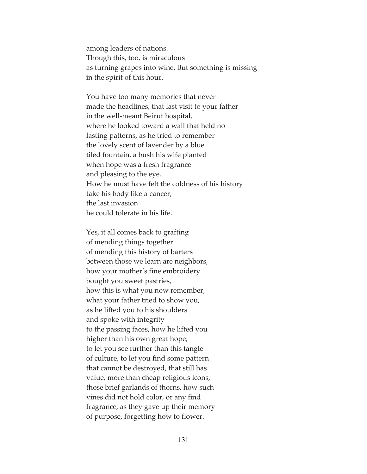among leaders of nations. Though this, too, is miraculous as turning grapes into wine. But something is missing in the spirit of this hour.

You have too many memories that never made the headlines, that last visit to your father in the well-meant Beirut hospital, where he looked toward a wall that held no lasting patterns, as he tried to remember the lovely scent of lavender by a blue tiled fountain, a bush his wife planted when hope was a fresh fragrance and pleasing to the eye. How he must have felt the coldness of his history take his body like a cancer, the last invasion he could tolerate in his life.

Yes, it all comes back to grafting of mending things together of mending this history of barters between those we learn are neighbors, how your mother's fine embroidery bought you sweet pastries, how this is what you now remember, what your father tried to show you, as he lifted you to his shoulders and spoke with integrity to the passing faces, how he lifted you higher than his own great hope, to let you see further than this tangle of culture, to let you find some pattern that cannot be destroyed, that still has value, more than cheap religious icons, those brief garlands of thorns, how such vines did not hold color, or any find fragrance, as they gave up their memory of purpose, forgetting how to flower.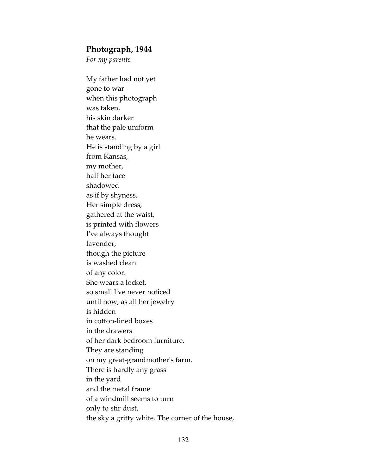### Photograph, 1944

For my parents

My father had not yet gone to war when this photograph was taken, his skin darker that the pale uniform he wears. He is standing by a girl from Kansas, my mother, half her face shadowed as if by shyness. Her simple dress, gathered at the waist, is printed with flowers I've always thought lavender, though the picture is washed clean of any color. She wears a locket, so small I've never noticed until now, as all her jewelry is hidden in cotton-lined boxes in the drawers of her dark bedroom furniture. They are standing on my great-grandmother's farm. There is hardly any grass in the yard and the metal frame of a windmill seems to turn only to stir dust, the sky a gritty white. The corner of the house,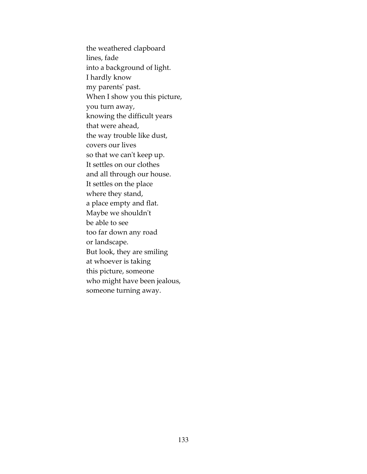the weathered clapboard lines, fade into a background of light. I hardly know my parents' past. When I show you this picture, you turn away, knowing the difficult years that were ahead, the way trouble like dust, covers our lives so that we can't keep up. It settles on our clothes and all through our house. It settles on the place where they stand, a place empty and flat. Maybe we shouldn't be able to see too far down any road or landscape. But look, they are smiling at whoever is taking this picture, someone who might have been jealous, someone turning away.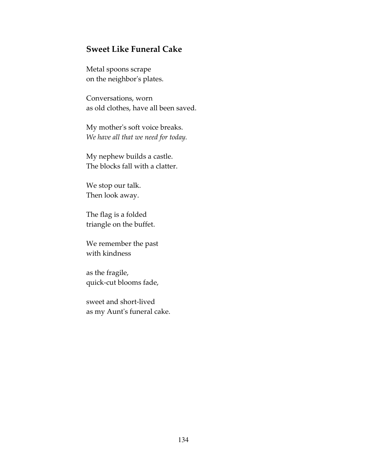### Sweet Like Funeral Cake

Metal spoons scrape on the neighbor's plates.

Conversations, worn as old clothes, have all been saved.

My mother's soft voice breaks. We have all that we need for today.

My nephew builds a castle. The blocks fall with a clatter.

We stop our talk. Then look away.

The flag is a folded triangle on the buffet.

We remember the past with kindness

as the fragile, quick-cut blooms fade,

sweet and short-lived as my Aunt's funeral cake.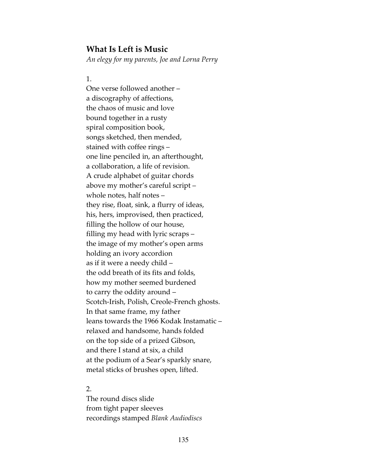#### What Is Left is Music

An elegy for my parents, Joe and Lorna Perry

#### 1.

One verse followed another – a discography of affections, the chaos of music and love bound together in a rusty spiral composition book, songs sketched, then mended, stained with coffee rings – one line penciled in, an afterthought, a collaboration, a life of revision. A crude alphabet of guitar chords above my mother's careful script – whole notes, half notes – they rise, float, sink, a flurry of ideas, his, hers, improvised, then practiced, filling the hollow of our house, filling my head with lyric scraps – the image of my mother's open arms holding an ivory accordion as if it were a needy child – the odd breath of its fits and folds, how my mother seemed burdened to carry the oddity around – Scotch-Irish, Polish, Creole-French ghosts. In that same frame, my father leans towards the 1966 Kodak Instamatic – relaxed and handsome, hands folded on the top side of a prized Gibson, and there I stand at six, a child at the podium of a Sear's sparkly snare, metal sticks of brushes open, lifted.

#### 2.

The round discs slide from tight paper sleeves recordings stamped Blank Audiodiscs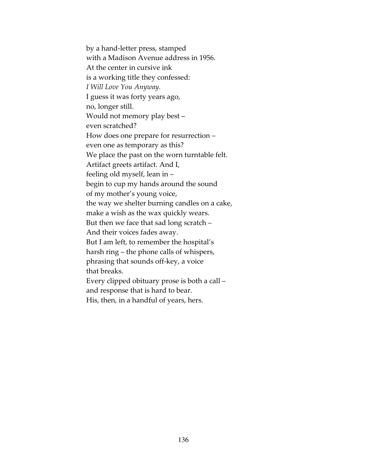by a hand-letter press, stamped with a Madison Avenue address in 1956. At the center in cursive ink is a working title they confessed: I Will Love You Anyway. I guess it was forty years ago, no, longer still. Would not memory play best – even scratched? How does one prepare for resurrection – even one as temporary as this? We place the past on the worn turntable felt. Artifact greets artifact. And I, feeling old myself, lean in – begin to cup my hands around the sound of my mother's young voice, the way we shelter burning candles on a cake, make a wish as the wax quickly wears. But then we face that sad long scratch – And their voices fades away. But I am left, to remember the hospital's harsh ring – the phone calls of whispers, phrasing that sounds off-key, a voice that breaks. Every clipped obituary prose is both a call – and response that is hard to bear. His, then, in a handful of years, hers.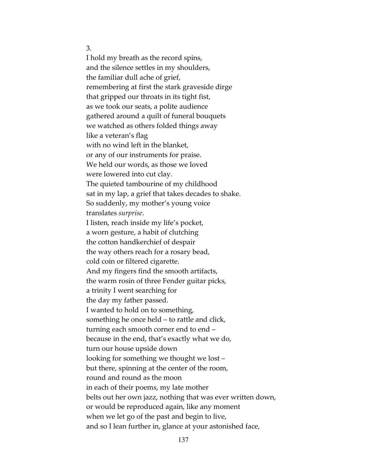3.

I hold my breath as the record spins, and the silence settles in my shoulders, the familiar dull ache of grief, remembering at first the stark graveside dirge that gripped our throats in its tight fist, as we took our seats, a polite audience gathered around a quilt of funeral bouquets we watched as others folded things away like a veteran's flag with no wind left in the blanket, or any of our instruments for praise. We held our words, as those we loved were lowered into cut clay. The quieted tambourine of my childhood sat in my lap, a grief that takes decades to shake. So suddenly, my mother's young voice translates surprise. I listen, reach inside my life's pocket, a worn gesture, a habit of clutching the cotton handkerchief of despair the way others reach for a rosary bead, cold coin or filtered cigarette. And my fingers find the smooth artifacts, the warm rosin of three Fender guitar picks, a trinity I went searching for the day my father passed. I wanted to hold on to something, something he once held – to rattle and click, turning each smooth corner end to end – because in the end, that's exactly what we do, turn our house upside down looking for something we thought we lost – but there, spinning at the center of the room, round and round as the moon in each of their poems, my late mother belts out her own jazz, nothing that was ever written down, or would be reproduced again, like any moment when we let go of the past and begin to live, and so I lean further in, glance at your astonished face,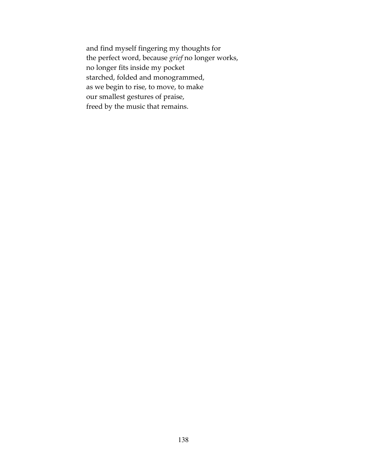and find myself fingering my thoughts for the perfect word, because grief no longer works, no longer fits inside my pocket starched, folded and monogrammed, as we begin to rise, to move, to make our smallest gestures of praise, freed by the music that remains.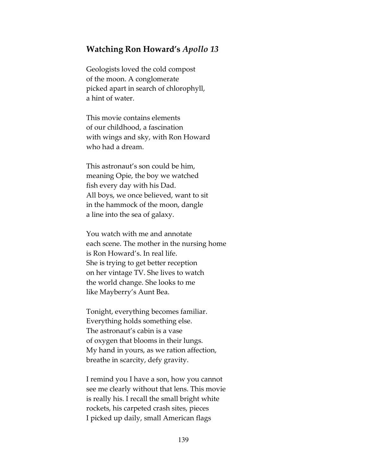### Watching Ron Howard's Apollo 13

Geologists loved the cold compost of the moon. A conglomerate picked apart in search of chlorophyll, a hint of water.

This movie contains elements of our childhood, a fascination with wings and sky, with Ron Howard who had a dream.

This astronaut's son could be him, meaning Opie, the boy we watched fish every day with his Dad. All boys, we once believed, want to sit in the hammock of the moon, dangle a line into the sea of galaxy.

You watch with me and annotate each scene. The mother in the nursing home is Ron Howard's. In real life. She is trying to get better reception on her vintage TV. She lives to watch the world change. She looks to me like Mayberry's Aunt Bea.

Tonight, everything becomes familiar. Everything holds something else. The astronaut's cabin is a vase of oxygen that blooms in their lungs. My hand in yours, as we ration affection, breathe in scarcity, defy gravity.

I remind you I have a son, how you cannot see me clearly without that lens. This movie is really his. I recall the small bright white rockets, his carpeted crash sites, pieces I picked up daily, small American flags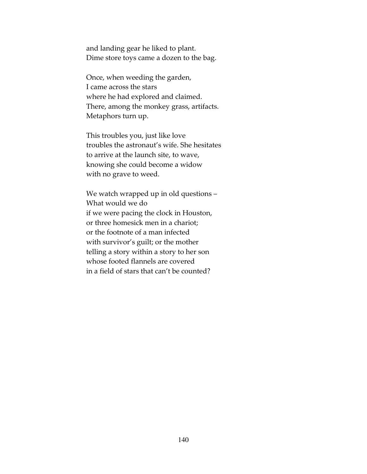and landing gear he liked to plant. Dime store toys came a dozen to the bag.

Once, when weeding the garden, I came across the stars where he had explored and claimed. There, among the monkey grass, artifacts. Metaphors turn up.

This troubles you, just like love troubles the astronaut's wife. She hesitates to arrive at the launch site, to wave, knowing she could become a widow with no grave to weed.

We watch wrapped up in old questions – What would we do if we were pacing the clock in Houston, or three homesick men in a chariot; or the footnote of a man infected with survivor's guilt; or the mother telling a story within a story to her son whose footed flannels are covered in a field of stars that can't be counted?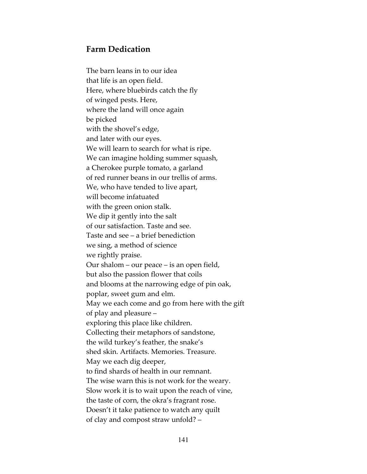# Farm Dedication

The barn leans in to our idea that life is an open field. Here, where bluebirds catch the fly of winged pests. Here, where the land will once again be picked with the shovel's edge, and later with our eyes. We will learn to search for what is ripe. We can imagine holding summer squash, a Cherokee purple tomato, a garland of red runner beans in our trellis of arms. We, who have tended to live apart, will become infatuated with the green onion stalk. We dip it gently into the salt of our satisfaction. Taste and see. Taste and see – a brief benediction we sing, a method of science we rightly praise. Our shalom – our peace – is an open field, but also the passion flower that coils and blooms at the narrowing edge of pin oak, poplar, sweet gum and elm. May we each come and go from here with the gift of play and pleasure – exploring this place like children. Collecting their metaphors of sandstone, the wild turkey's feather, the snake's shed skin. Artifacts. Memories. Treasure. May we each dig deeper, to find shards of health in our remnant. The wise warn this is not work for the weary. Slow work it is to wait upon the reach of vine, the taste of corn, the okra's fragrant rose. Doesn't it take patience to watch any quilt of clay and compost straw unfold? –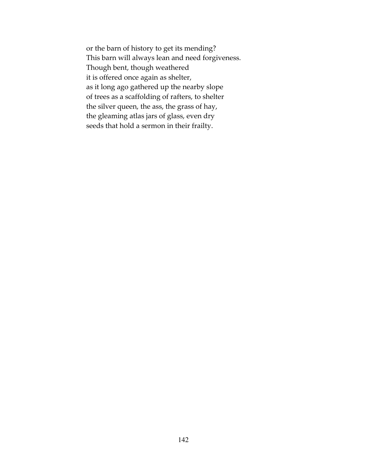or the barn of history to get its mending? This barn will always lean and need forgiveness. Though bent, though weathered it is offered once again as shelter, as it long ago gathered up the nearby slope of trees as a scaffolding of rafters, to shelter the silver queen, the ass, the grass of hay, the gleaming atlas jars of glass, even dry seeds that hold a sermon in their frailty.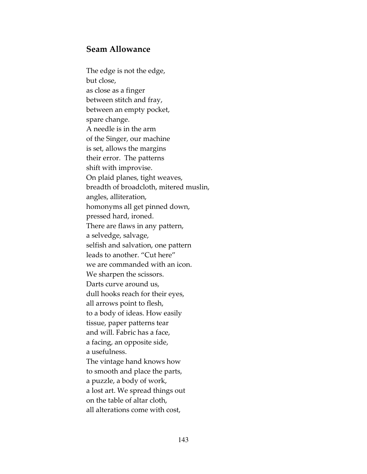### Seam Allowance

The edge is not the edge, but close, as close as a finger between stitch and fray, between an empty pocket, spare change. A needle is in the arm of the Singer, our machine is set, allows the margins their error. The patterns shift with improvise. On plaid planes, tight weaves, breadth of broadcloth, mitered muslin, angles, alliteration, homonyms all get pinned down, pressed hard, ironed. There are flaws in any pattern, a selvedge, salvage, selfish and salvation, one pattern leads to another. "Cut here" we are commanded with an icon. We sharpen the scissors. Darts curve around us, dull hooks reach for their eyes, all arrows point to flesh, to a body of ideas. How easily tissue, paper patterns tear and will. Fabric has a face, a facing, an opposite side, a usefulness. The vintage hand knows how to smooth and place the parts, a puzzle, a body of work, a lost art. We spread things out on the table of altar cloth, all alterations come with cost,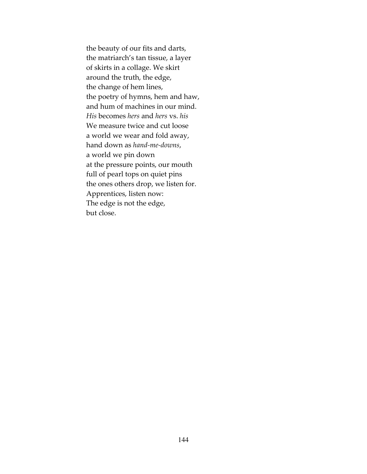the beauty of our fits and darts, the matriarch's tan tissue, a layer of skirts in a collage. We skirt around the truth, the edge, the change of hem lines, the poetry of hymns, hem and haw, and hum of machines in our mind. His becomes hers and hers vs. his We measure twice and cut loose a world we wear and fold away, hand down as hand-me-downs, a world we pin down at the pressure points, our mouth full of pearl tops on quiet pins the ones others drop, we listen for. Apprentices, listen now: The edge is not the edge, but close.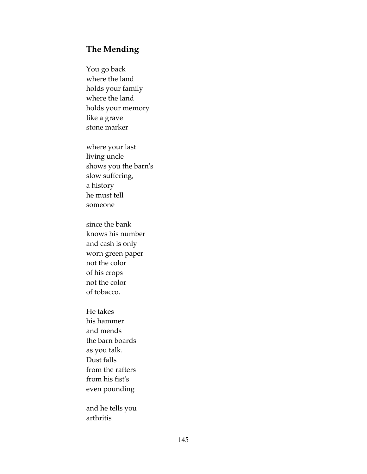## The Mending

You go back where the land holds your family where the land holds your memory like a grave stone marker

where your last living uncle shows you the barn's slow suffering, a history he must tell someone

since the bank knows his number and cash is only worn green paper not the color of his crops not the color of tobacco.

He takes his hammer and mends the barn boards as you talk. Dust falls from the rafters from his fist's even pounding

and he tells you arthritis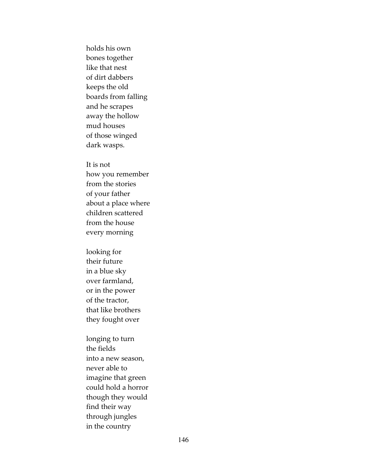holds his own bones together like that nest of dirt dabbers keeps the old boards from falling and he scrapes away the hollow mud houses of those winged dark wasps.

It is not

how you remember from the stories of your father about a place where children scattered from the house every morning

looking for their future in a blue sky over farmland, or in the power of the tractor, that like brothers they fought over

longing to turn the fields into a new season, never able to imagine that green could hold a horror though they would find their way through jungles in the country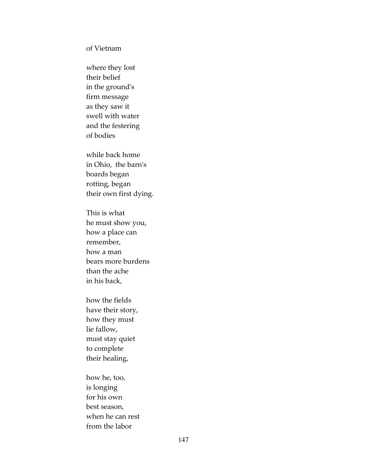of Vietnam

where they lost their belief in the ground's firm message as they saw it swell with water and the festering of bodies

while back home in Ohio, the barn's boards began rotting, began their own first dying.

This is what he must show you, how a place can remember, how a man bears more burdens than the ache in his back,

how the fields have their story, how they must lie fallow, must stay quiet to complete their healing,

how he, too, is longing for his own best season, when he can rest from the labor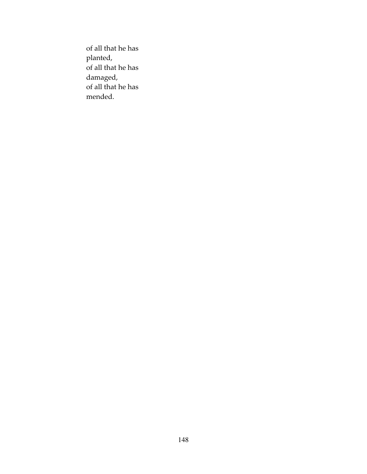of all that he has planted, of all that he has damaged, of all that he has mended.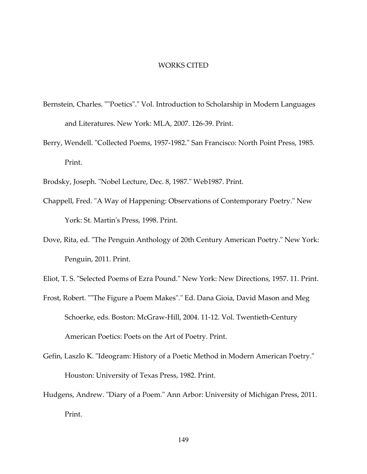#### WORKS CITED

- Bernstein, Charles. ""Poetics"." Vol. Introduction to Scholarship in Modern Languages and Literatures. New York: MLA, 2007. 126-39. Print.
- Berry, Wendell. "Collected Poems, 1957-1982." San Francisco: North Point Press, 1985. Print.
- Brodsky, Joseph. "Nobel Lecture, Dec. 8, 1987." Web1987. Print.
- Chappell, Fred. "A Way of Happening: Observations of Contemporary Poetry." New York: St. Martin's Press, 1998. Print.
- Dove, Rita, ed. "The Penguin Anthology of 20th Century American Poetry." New York: Penguin, 2011. Print.
- Eliot, T. S. "Selected Poems of Ezra Pound." New York: New Directions, 1957. 11. Print.
- Frost, Robert. ""The Figure a Poem Makes"." Ed. Dana Gioia, David Mason and Meg Schoerke, eds. Boston: McGraw-Hill, 2004. 11-12. Vol. Twentieth-Century American Poetics: Poets on the Art of Poetry. Print.
- Gefin, Laszlo K. "Ideogram: History of a Poetic Method in Modern American Poetry." Houston: University of Texas Press, 1982. Print.
- Hudgens, Andrew. "Diary of a Poem." Ann Arbor: University of Michigan Press, 2011. Print.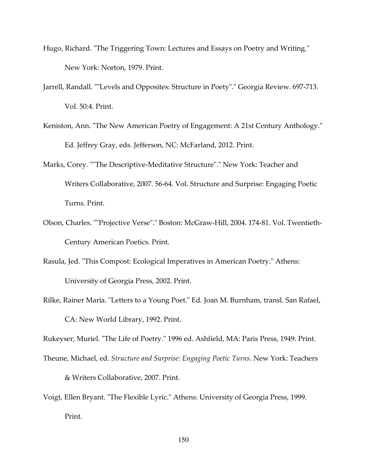- Hugo, Richard. "The Triggering Town: Lectures and Essays on Poetry and Writing." New York: Norton, 1979. Print.
- Jarrell, Randall. ""Levels and Opposites: Structure in Poety"." Georgia Review. 697-713. Vol. 50:4. Print.
- Keniston, Ann. "The New American Poetry of Engagement: A 21st Century Anthology." Ed. Jeffrey Gray, eds. Jefferson, NC: McFarland, 2012. Print.
- Marks, Corey. ""The Descriptive-Meditative Structure"." New York: Teacher and Writers Collaborative, 2007. 56-64. Vol. Structure and Surprise: Engaging Poetic Turns. Print.
- Olson, Charles. ""Projective Verse"." Boston: McGraw-Hill, 2004. 174-81. Vol. Twentieth-Century American Poetics. Print.
- Rasula, Jed. "This Compost: Ecological Imperatives in American Poetry." Athens: University of Georgia Press, 2002. Print.
- Rilke, Rainer Maria. "Letters to a Young Poet." Ed. Joan M. Burnham, transl. San Rafael, CA: New World Library, 1992. Print.

Rukeyser, Muriel. "The Life of Poetry." 1996 ed. Ashfield, MA: Paris Press, 1949. Print.

- Theune, Michael, ed. Structure and Surprise: Engaging Poetic Turns. New York: Teachers & Writers Collaborative, 2007. Print.
- Voigt, Ellen Bryant. "The Flexible Lyric." Athens: University of Georgia Press, 1999. Print.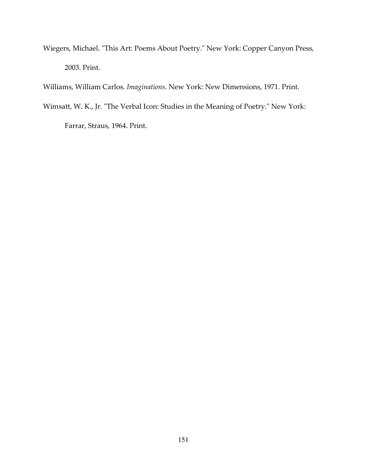Wiegers, Michael. "This Art: Poems About Poetry." New York: Copper Canyon Press, 2003. Print.

Williams, William Carlos. Imaginations. New York: New Dimensions, 1971. Print.

Wimsatt, W. K., Jr. "The Verbal Icon: Studies in the Meaning of Poetry." New York:

Farrar, Straus, 1964. Print.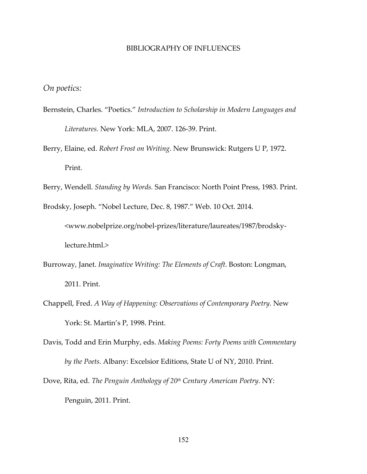#### BIBLIOGRAPHY OF INFLUENCES

On poetics:

- Bernstein, Charles. "Poetics." Introduction to Scholarship in Modern Languages and Literatures. New York: MLA, 2007. 126-39. Print.
- Berry, Elaine, ed. Robert Frost on Writing. New Brunswick: Rutgers U P, 1972. Print.
- Berry, Wendell. Standing by Words. San Francisco: North Point Press, 1983. Print.

Brodsky, Joseph. "Nobel Lecture, Dec. 8, 1987." Web. 10 Oct. 2014. <www.nobelprize.org/nobel-prizes/literature/laureates/1987/brodskylecture.html.>

- Burroway, Janet. Imaginative Writing: The Elements of Craft. Boston: Longman, 2011. Print.
- Chappell, Fred. A Way of Happening: Observations of Contemporary Poetry. New York: St. Martin's P, 1998. Print.
- Davis, Todd and Erin Murphy, eds. Making Poems: Forty Poems with Commentary by the Poets. Albany: Excelsior Editions, State U of NY, 2010. Print.
- Dove, Rita, ed. The Penguin Anthology of 20<sup>th</sup> Century American Poetry. NY: Penguin, 2011. Print.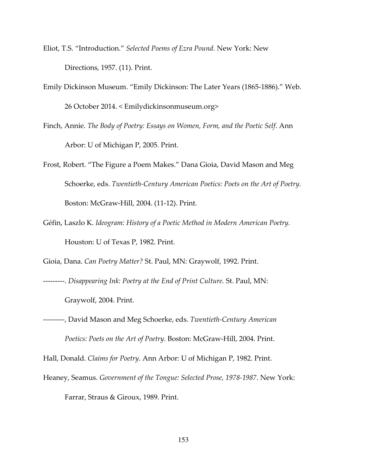- Eliot, T.S. "Introduction." Selected Poems of Ezra Pound. New York: New Directions, 1957. (11). Print.
- Emily Dickinson Museum. "Emily Dickinson: The Later Years (1865-1886)." Web. 26 October 2014. < Emilydickinsonmuseum.org>
- Finch, Annie. The Body of Poetry: Essays on Women, Form, and the Poetic Self. Ann Arbor: U of Michigan P, 2005. Print.
- Frost, Robert. "The Figure a Poem Makes." Dana Gioia, David Mason and Meg Schoerke, eds. Twentieth-Century American Poetics: Poets on the Art of Poetry. Boston: McGraw-Hill, 2004. (11-12). Print.
- Géfin, Laszlo K. Ideogram: History of a Poetic Method in Modern American Poetry. Houston: U of Texas P, 1982. Print.

Gioia, Dana. Can Poetry Matter? St. Paul, MN: Graywolf, 1992. Print.

---------. Disappearing Ink: Poetry at the End of Print Culture. St. Paul, MN:

Graywolf, 2004. Print.

---------, David Mason and Meg Schoerke, eds. Twentieth-Century American Poetics: Poets on the Art of Poetry. Boston: McGraw-Hill, 2004. Print.

Hall, Donald. Claims for Poetry. Ann Arbor: U of Michigan P, 1982. Print.

Heaney, Seamus. Government of the Tongue: Selected Prose, 1978-1987. New York: Farrar, Straus & Giroux, 1989. Print.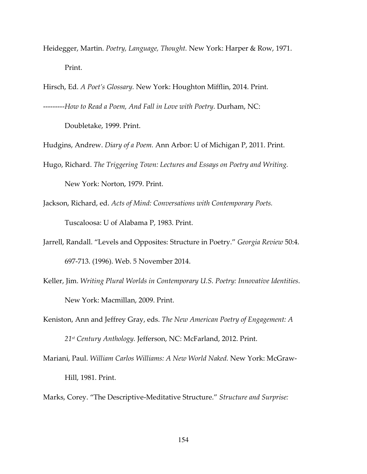- Heidegger, Martin. Poetry, Language, Thought. New York: Harper & Row, 1971. Print.
- Hirsch, Ed. A Poet's Glossary. New York: Houghton Mifflin, 2014. Print. ---------How to Read a Poem, And Fall in Love with Poetry. Durham, NC:

Doubletake, 1999. Print.

Hudgins, Andrew. Diary of a Poem. Ann Arbor: U of Michigan P, 2011. Print.

- Hugo, Richard. The Triggering Town: Lectures and Essays on Poetry and Writing. New York: Norton, 1979. Print.
- Jackson, Richard, ed. Acts of Mind: Conversations with Contemporary Poets. Tuscaloosa: U of Alabama P, 1983. Print.
- Jarrell, Randall. "Levels and Opposites: Structure in Poetry." Georgia Review 50:4. 697-713. (1996). Web. 5 November 2014.
- Keller, Jim. Writing Plural Worlds in Contemporary U.S. Poetry: Innovative Identities. New York: Macmillan, 2009. Print.
- Keniston, Ann and Jeffrey Gray, eds. The New American Poetry of Engagement: A 21<sup>st</sup> Century Anthology. Jefferson, NC: McFarland, 2012. Print.
- Mariani, Paul. William Carlos Williams: A New World Naked. New York: McGraw- Hill, 1981. Print.
- Marks, Corey. "The Descriptive-Meditative Structure." Structure and Surprise: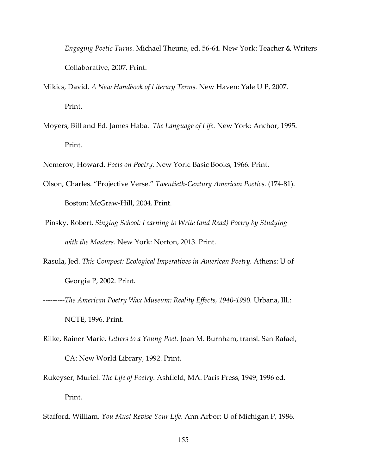Engaging Poetic Turns. Michael Theune, ed. 56-64. New York: Teacher & Writers Collaborative, 2007. Print.

- Mikics, David. A New Handbook of Literary Terms. New Haven: Yale U P, 2007. Print.
- Moyers, Bill and Ed. James Haba. The Language of Life. New York: Anchor, 1995. Print.

Nemerov, Howard. Poets on Poetry. New York: Basic Books, 1966. Print.

- Olson, Charles. "Projective Verse." Twentieth-Century American Poetics. (174-81). Boston: McGraw-Hill, 2004. Print.
- Pinsky, Robert. Singing School: Learning to Write (and Read) Poetry by Studying with the Masters. New York: Norton, 2013. Print.
- Rasula, Jed. This Compost: Ecological Imperatives in American Poetry. Athens: U of Georgia P, 2002. Print.
- ---------The American Poetry Wax Museum: Reality Effects, 1940-1990. Urbana, Ill.: NCTE, 1996. Print.
- Rilke, Rainer Marie. Letters to a Young Poet. Joan M. Burnham, transl. San Rafael, CA: New World Library, 1992. Print.
- Rukeyser, Muriel. The Life of Poetry. Ashfield, MA: Paris Press, 1949; 1996 ed. Print.
- Stafford, William. You Must Revise Your Life. Ann Arbor: U of Michigan P, 1986.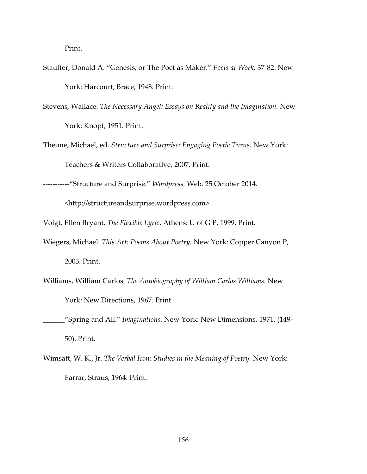Print.

- Stauffer, Donald A. "Genesis, or The Poet as Maker." Poets at Work. 37-82. New York: Harcourt, Brace, 1948. Print.
- Stevens, Wallace. The Necessary Angel: Essays on Reality and the Imagination. New York: Knopf, 1951. Print.
- Theune, Michael, ed. Structure and Surprise: Engaging Poetic Turns. New York: Teachers & Writers Collaborative, 2007. Print.

-----------"Structure and Surprise." Wordpress. Web. 25 October 2014.

<http://structureandsurprise.wordpress.com> .

Voigt, Ellen Bryant. The Flexible Lyric. Athens: U of G P, 1999. Print.

- Wiegers, Michael. This Art: Poems About Poetry. New York: Copper Canyon P, 2003. Print.
- Williams, William Carlos. The Autobiography of William Carlos Williams. New York: New Directions, 1967. Print.
- \_\_\_\_\_\_"Spring and All." Imaginations. New York: New Dimensions, 1971. (149- 50). Print.
- Wimsatt, W. K., Jr. The Verbal Icon: Studies in the Meaning of Poetry. New York: Farrar, Straus, 1964. Print.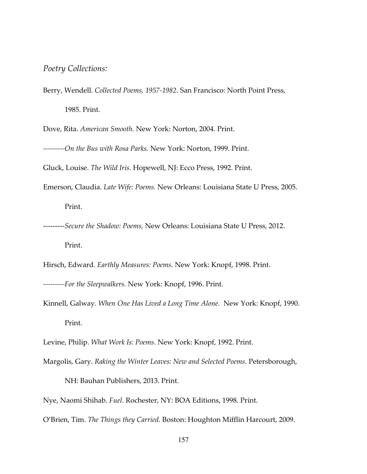#### Poetry Collections:

Berry, Wendell. Collected Poems, 1957-1982. San Francisco: North Point Press, 1985. Print.

Dove, Rita. American Smooth. New York: Norton, 2004. Print.

---------On the Bus with Rosa Parks. New York: Norton, 1999. Print.

Gluck, Louise. The Wild Iris. Hopewell, NJ: Ecco Press, 1992. Print.

- Emerson, Claudia. Late Wife: Poems. New Orleans: Louisiana State U Press, 2005. Print.
- ---------Secure the Shadow: Poems, New Orleans: Louisiana State U Press, 2012. Print.

Hirsch, Edward. Earthly Measures: Poems. New York: Knopf, 1998. Print.

- ---------For the Sleepwalkers. New York: Knopf, 1996. Print.
- Kinnell, Galway. When One Has Lived a Long Time Alone. New York: Knopf, 1990. Print.

Levine, Philip. What Work Is: Poems. New York: Knopf, 1992. Print.

Margolis, Gary. Raking the Winter Leaves: New and Selected Poems. Petersborough,

NH: Bauhan Publishers, 2013. Print.

Nye, Naomi Shihab. Fuel. Rochester, NY: BOA Editions, 1998. Print.

O'Brien, Tim. The Things they Carried. Boston: Houghton Mifflin Harcourt, 2009.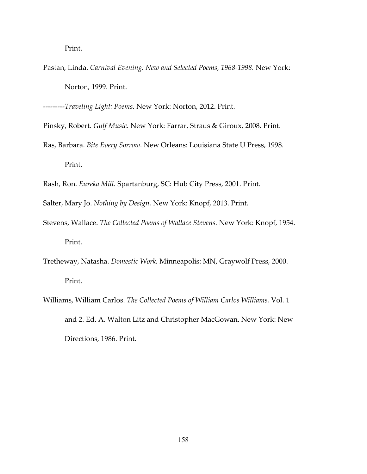Print.

Pastan, Linda. Carnival Evening: New and Selected Poems, 1968-1998. New York: Norton, 1999. Print.

---------Traveling Light: Poems. New York: Norton, 2012. Print.

Pinsky, Robert. Gulf Music. New York: Farrar, Straus & Giroux, 2008. Print.

- Ras, Barbara. Bite Every Sorrow. New Orleans: Louisiana State U Press, 1998. Print.
- Rash, Ron. Eureka Mill. Spartanburg, SC: Hub City Press, 2001. Print.
- Salter, Mary Jo. Nothing by Design. New York: Knopf, 2013. Print.
- Stevens, Wallace. The Collected Poems of Wallace Stevens. New York: Knopf, 1954. Print.
- Tretheway, Natasha. Domestic Work. Minneapolis: MN, Graywolf Press, 2000. Print.
- Williams, William Carlos. The Collected Poems of William Carlos Williams. Vol. 1 and 2. Ed. A. Walton Litz and Christopher MacGowan. New York: New Directions, 1986. Print.